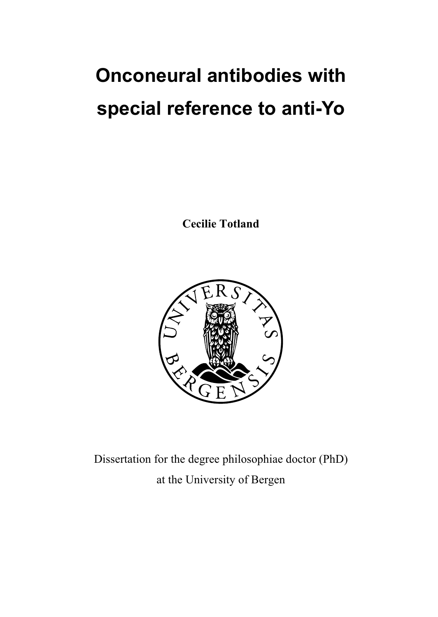# **Onconeural antibodies with special reference to anti-Yo**

**Cecilie Totland** 



Dissertation for the degree philosophiae doctor (PhD) at the University of Bergen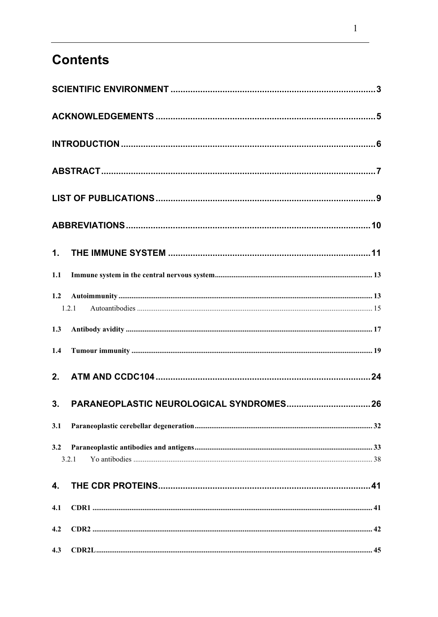# **Contents**

| 1.  |       |  |
|-----|-------|--|
| 1.1 |       |  |
| 1.2 |       |  |
|     | 1.2.1 |  |
| 1.3 |       |  |
| 1.4 |       |  |
| 2.  |       |  |
| 3.  |       |  |
| 3.1 |       |  |
| 3.2 |       |  |
|     | 3.2.1 |  |
| 4.  |       |  |
| 4.1 |       |  |
| 4.2 |       |  |
| 4.3 |       |  |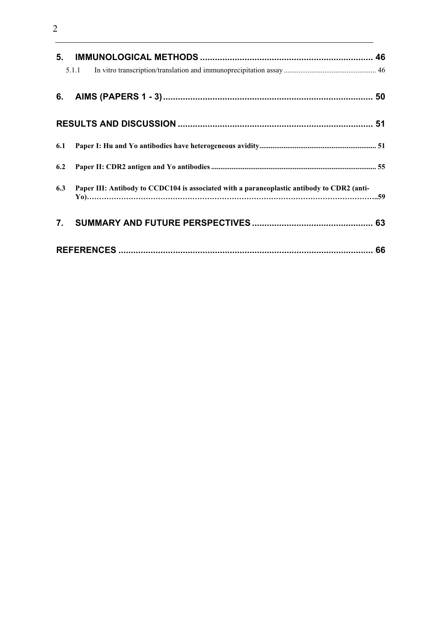|     | 5.1.1                                                                                      |  |
|-----|--------------------------------------------------------------------------------------------|--|
|     |                                                                                            |  |
|     |                                                                                            |  |
| 6.1 |                                                                                            |  |
| 6.2 |                                                                                            |  |
| 6.3 | Paper III: Antibody to CCDC104 is associated with a paraneoplastic antibody to CDR2 (anti- |  |
| 7.  |                                                                                            |  |
|     |                                                                                            |  |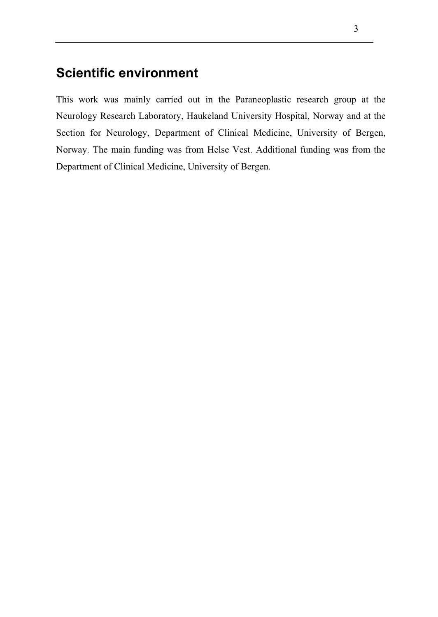# **Scientific environment**

This work was mainly carried out in the Paraneoplastic research group at the Neurology Research Laboratory, Haukeland University Hospital, Norway and at the Section for Neurology, Department of Clinical Medicine, University of Bergen, Norway. The main funding was from Helse Vest. Additional funding was from the Department of Clinical Medicine, University of Bergen.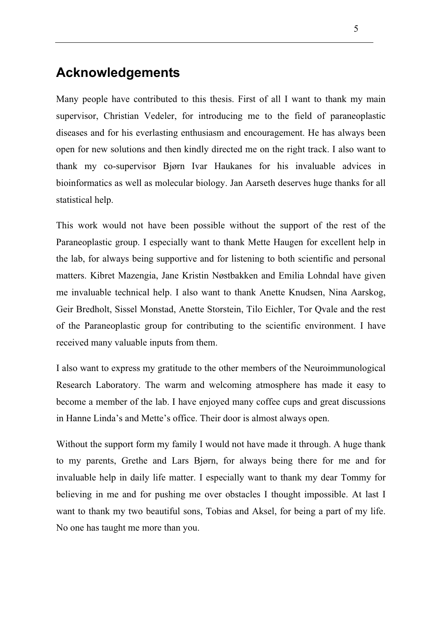# **Acknowledgements**

Many people have contributed to this thesis. First of all I want to thank my main supervisor, Christian Vedeler, for introducing me to the field of paraneoplastic diseases and for his everlasting enthusiasm and encouragement. He has always been open for new solutions and then kindly directed me on the right track. I also want to thank my co-supervisor Bjørn Ivar Haukanes for his invaluable advices in bioinformatics as well as molecular biology. Jan Aarseth deserves huge thanks for all statistical help.

This work would not have been possible without the support of the rest of the Paraneoplastic group. I especially want to thank Mette Haugen for excellent help in the lab, for always being supportive and for listening to both scientific and personal matters. Kibret Mazengia, Jane Kristin Nøstbakken and Emilia Lohndal have given me invaluable technical help. I also want to thank Anette Knudsen, Nina Aarskog, Geir Bredholt, Sissel Monstad, Anette Storstein, Tilo Eichler, Tor Qvale and the rest of the Paraneoplastic group for contributing to the scientific environment. I have received many valuable inputs from them.

I also want to express my gratitude to the other members of the Neuroimmunological Research Laboratory. The warm and welcoming atmosphere has made it easy to become a member of the lab. I have enjoyed many coffee cups and great discussions in Hanne Linda's and Mette's office. Their door is almost always open.

Without the support form my family I would not have made it through. A huge thank to my parents, Grethe and Lars Bjørn, for always being there for me and for invaluable help in daily life matter. I especially want to thank my dear Tommy for believing in me and for pushing me over obstacles I thought impossible. At last I want to thank my two beautiful sons, Tobias and Aksel, for being a part of my life. No one has taught me more than you.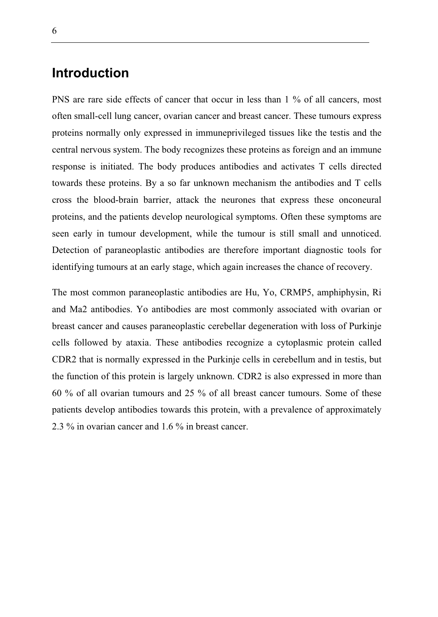# **Introduction**

PNS are rare side effects of cancer that occur in less than 1 % of all cancers, most often small-cell lung cancer, ovarian cancer and breast cancer. These tumours express proteins normally only expressed in immuneprivileged tissues like the testis and the central nervous system. The body recognizes these proteins as foreign and an immune response is initiated. The body produces antibodies and activates T cells directed towards these proteins. By a so far unknown mechanism the antibodies and T cells cross the blood-brain barrier, attack the neurones that express these onconeural proteins, and the patients develop neurological symptoms. Often these symptoms are seen early in tumour development, while the tumour is still small and unnoticed. Detection of paraneoplastic antibodies are therefore important diagnostic tools for identifying tumours at an early stage, which again increases the chance of recovery.

The most common paraneoplastic antibodies are Hu, Yo, CRMP5, amphiphysin, Ri and Ma2 antibodies. Yo antibodies are most commonly associated with ovarian or breast cancer and causes paraneoplastic cerebellar degeneration with loss of Purkinje cells followed by ataxia. These antibodies recognize a cytoplasmic protein called CDR2 that is normally expressed in the Purkinje cells in cerebellum and in testis, but the function of this protein is largely unknown. CDR2 is also expressed in more than 60 % of all ovarian tumours and 25 % of all breast cancer tumours. Some of these patients develop antibodies towards this protein, with a prevalence of approximately 2.3 % in ovarian cancer and 1.6 % in breast cancer.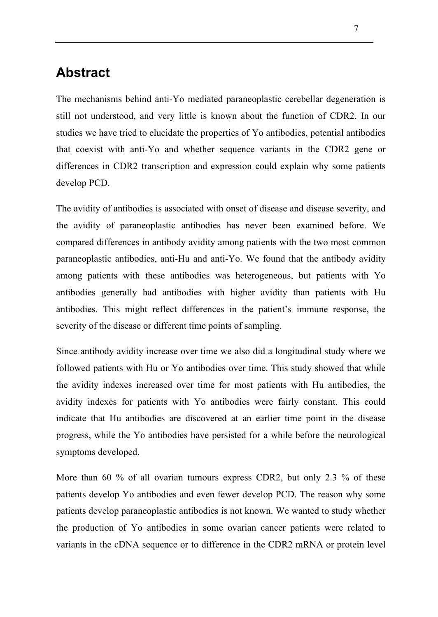# **Abstract**

The mechanisms behind anti-Yo mediated paraneoplastic cerebellar degeneration is still not understood, and very little is known about the function of CDR2. In our studies we have tried to elucidate the properties of Yo antibodies, potential antibodies that coexist with anti-Yo and whether sequence variants in the CDR2 gene or differences in CDR2 transcription and expression could explain why some patients develop PCD.

The avidity of antibodies is associated with onset of disease and disease severity, and the avidity of paraneoplastic antibodies has never been examined before. We compared differences in antibody avidity among patients with the two most common paraneoplastic antibodies, anti-Hu and anti-Yo. We found that the antibody avidity among patients with these antibodies was heterogeneous, but patients with Yo antibodies generally had antibodies with higher avidity than patients with Hu antibodies. This might reflect differences in the patient's immune response, the severity of the disease or different time points of sampling.

Since antibody avidity increase over time we also did a longitudinal study where we followed patients with Hu or Yo antibodies over time. This study showed that while the avidity indexes increased over time for most patients with Hu antibodies, the avidity indexes for patients with Yo antibodies were fairly constant. This could indicate that Hu antibodies are discovered at an earlier time point in the disease progress, while the Yo antibodies have persisted for a while before the neurological symptoms developed.

More than 60 % of all ovarian tumours express CDR2, but only 2.3 % of these patients develop Yo antibodies and even fewer develop PCD. The reason why some patients develop paraneoplastic antibodies is not known. We wanted to study whether the production of Yo antibodies in some ovarian cancer patients were related to variants in the cDNA sequence or to difference in the CDR2 mRNA or protein level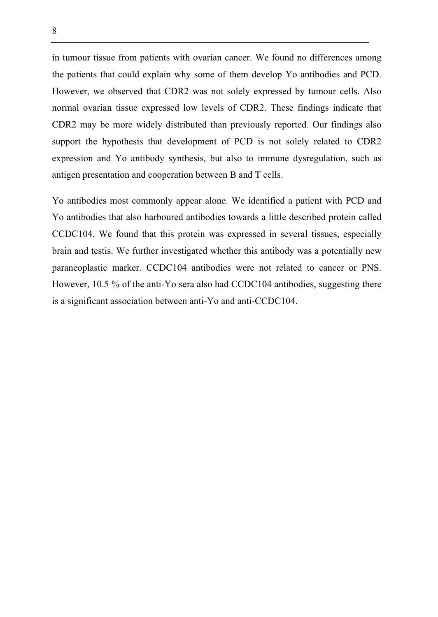in tumour tissue from patients with ovarian cancer. We found no differences among the patients that could explain why some of them develop Yo antibodies and PCD. However, we observed that CDR2 was not solely expressed by tumour cells. Also normal ovarian tissue expressed low levels of CDR2. These findings indicate that CDR2 may be more widely distributed than previously reported. Our findings also support the hypothesis that development of PCD is not solely related to CDR2 expression and Yo antibody synthesis, but also to immune dysregulation, such as antigen presentation and cooperation between B and T cells.

Yo antibodies most commonly appear alone. We identified a patient with PCD and Yo antibodies that also harboured antibodies towards a little described protein called CCDC104. We found that this protein was expressed in several tissues, especially brain and testis. We further investigated whether this antibody was a potentially new paraneoplastic marker. CCDC104 antibodies were not related to cancer or PNS. However, 10.5 % of the anti-Yo sera also had CCDC104 antibodies, suggesting there is a significant association between anti-Yo and anti-CCDC104.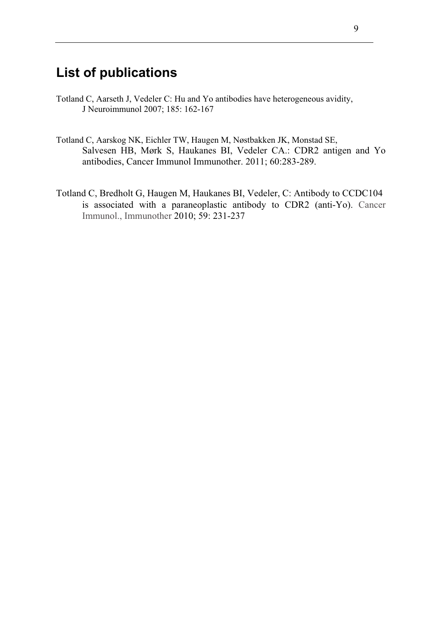# **List of publications**

- Totland C, Aarseth J, Vedeler C: Hu and Yo antibodies have heterogeneous avidity, J Neuroimmunol 2007; 185: 162-167
- Totland C, Aarskog NK, Eichler TW, Haugen M, Nøstbakken JK, Monstad SE, Salvesen HB, Mørk S, Haukanes BI, Vedeler CA.: CDR2 antigen and Yo antibodies, Cancer Immunol Immunother. 2011; 60:283-289.
- Totland C, Bredholt G, Haugen M, Haukanes BI, Vedeler, C: Antibody to CCDC104 is associated with a paraneoplastic antibody to CDR2 (anti-Yo). Cancer Immunol., Immunother 2010; 59: 231-237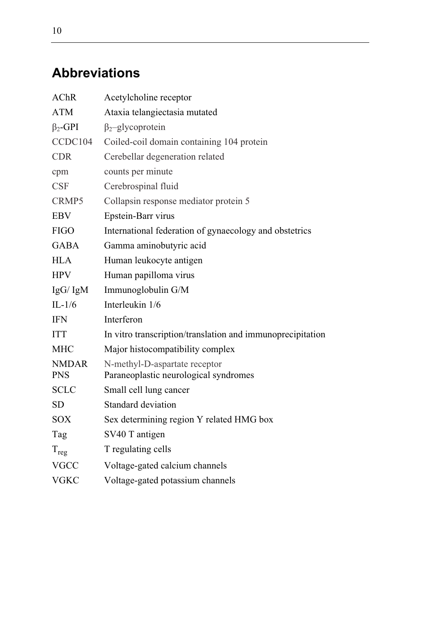# **Abbreviations**

| <b>AChR</b>                | Acetylcholine receptor                                                 |
|----------------------------|------------------------------------------------------------------------|
| <b>ATM</b>                 | Ataxia telangiectasia mutated                                          |
| $\beta_2$ -GPI             | $\beta_2$ -glycoprotein                                                |
| CCDC104                    | Coiled-coil domain containing 104 protein                              |
| <b>CDR</b>                 | Cerebellar degeneration related                                        |
| cpm                        | counts per minute                                                      |
| <b>CSF</b>                 | Cerebrospinal fluid                                                    |
| CRMP5                      | Collapsin response mediator protein 5                                  |
| <b>EBV</b>                 | Epstein-Barr virus                                                     |
| <b>FIGO</b>                | International federation of gynaecology and obstetrics                 |
| <b>GABA</b>                | Gamma aminobutyric acid                                                |
| HLA                        | Human leukocyte antigen                                                |
| <b>HPV</b>                 | Human papilloma virus                                                  |
| IgG/IgM                    | Immunoglobulin G/M                                                     |
| $IL-1/6$                   | Interleukin 1/6                                                        |
| <b>IFN</b>                 | Interferon                                                             |
| <b>ITT</b>                 | In vitro transcription/translation and immunoprecipitation             |
| <b>MHC</b>                 | Major histocompatibility complex                                       |
| <b>NMDAR</b><br><b>PNS</b> | N-methyl-D-aspartate receptor<br>Paraneoplastic neurological syndromes |
| <b>SCLC</b>                | Small cell lung cancer                                                 |
| SD                         | Standard deviation                                                     |
| SOX                        | Sex determining region Y related HMG box                               |
| Tag                        | SV40 T antigen                                                         |
| $T_{reg}$                  | T regulating cells                                                     |
| <b>VGCC</b>                | Voltage-gated calcium channels                                         |
| <b>VGKC</b>                | Voltage-gated potassium channels                                       |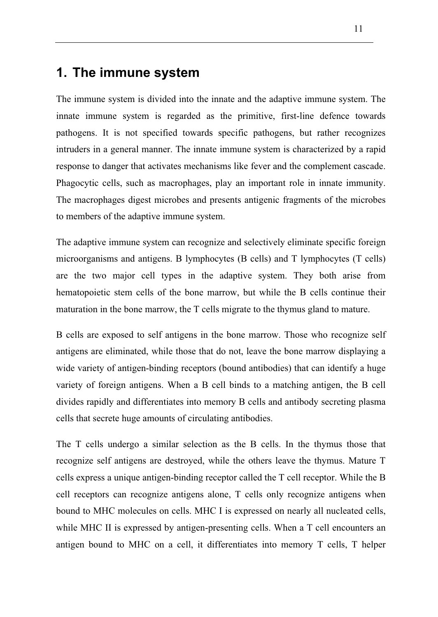# **1. The immune system**

The immune system is divided into the innate and the adaptive immune system. The innate immune system is regarded as the primitive, first-line defence towards pathogens. It is not specified towards specific pathogens, but rather recognizes intruders in a general manner. The innate immune system is characterized by a rapid response to danger that activates mechanisms like fever and the complement cascade. Phagocytic cells, such as macrophages, play an important role in innate immunity. The macrophages digest microbes and presents antigenic fragments of the microbes to members of the adaptive immune system.

The adaptive immune system can recognize and selectively eliminate specific foreign microorganisms and antigens. B lymphocytes (B cells) and T lymphocytes (T cells) are the two major cell types in the adaptive system. They both arise from hematopoietic stem cells of the bone marrow, but while the B cells continue their maturation in the bone marrow, the T cells migrate to the thymus gland to mature.

B cells are exposed to self antigens in the bone marrow. Those who recognize self antigens are eliminated, while those that do not, leave the bone marrow displaying a wide variety of antigen-binding receptors (bound antibodies) that can identify a huge variety of foreign antigens. When a B cell binds to a matching antigen, the B cell divides rapidly and differentiates into memory B cells and antibody secreting plasma cells that secrete huge amounts of circulating antibodies.

The T cells undergo a similar selection as the B cells. In the thymus those that recognize self antigens are destroyed, while the others leave the thymus. Mature T cells express a unique antigen-binding receptor called the T cell receptor. While the B cell receptors can recognize antigens alone, T cells only recognize antigens when bound to MHC molecules on cells. MHC I is expressed on nearly all nucleated cells, while MHC II is expressed by antigen-presenting cells. When a T cell encounters an antigen bound to MHC on a cell, it differentiates into memory T cells, T helper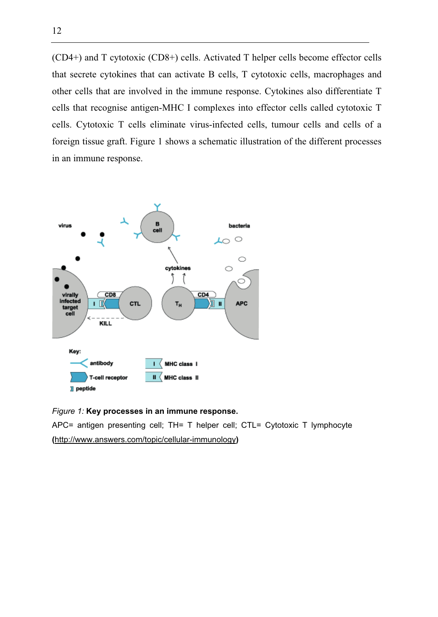(CD4+) and T cytotoxic (CD8+) cells. Activated T helper cells become effector cells that secrete cytokines that can activate B cells, T cytotoxic cells, macrophages and other cells that are involved in the immune response. Cytokines also differentiate T cells that recognise antigen-MHC I complexes into effector cells called cytotoxic T cells. Cytotoxic T cells eliminate virus-infected cells, tumour cells and cells of a foreign tissue graft. Figure 1 shows a schematic illustration of the different processes in an immune response.



*Figure 1:* **Key processes in an immune response.** 

APC= antigen presenting cell; TH= T helper cell; CTL= Cytotoxic T lymphocyte **(**http://www.answers.com/topic/cellular-immunology**)**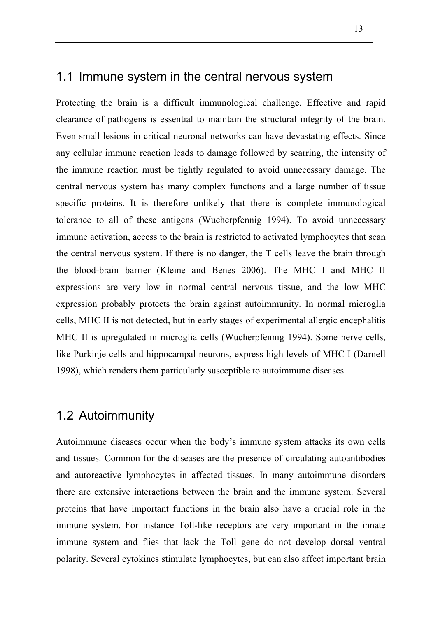#### 1.1 Immune system in the central nervous system

Protecting the brain is a difficult immunological challenge. Effective and rapid clearance of pathogens is essential to maintain the structural integrity of the brain. Even small lesions in critical neuronal networks can have devastating effects. Since any cellular immune reaction leads to damage followed by scarring, the intensity of the immune reaction must be tightly regulated to avoid unnecessary damage. The central nervous system has many complex functions and a large number of tissue specific proteins. It is therefore unlikely that there is complete immunological tolerance to all of these antigens (Wucherpfennig 1994). To avoid unnecessary immune activation, access to the brain is restricted to activated lymphocytes that scan the central nervous system. If there is no danger, the T cells leave the brain through the blood-brain barrier (Kleine and Benes 2006). The MHC I and MHC II expressions are very low in normal central nervous tissue, and the low MHC expression probably protects the brain against autoimmunity. In normal microglia cells, MHC II is not detected, but in early stages of experimental allergic encephalitis MHC II is upregulated in microglia cells (Wucherpfennig 1994). Some nerve cells, like Purkinje cells and hippocampal neurons, express high levels of MHC I (Darnell 1998), which renders them particularly susceptible to autoimmune diseases.

#### 1.2 Autoimmunity

Autoimmune diseases occur when the body's immune system attacks its own cells and tissues. Common for the diseases are the presence of circulating autoantibodies and autoreactive lymphocytes in affected tissues. In many autoimmune disorders there are extensive interactions between the brain and the immune system. Several proteins that have important functions in the brain also have a crucial role in the immune system. For instance Toll-like receptors are very important in the innate immune system and flies that lack the Toll gene do not develop dorsal ventral polarity. Several cytokines stimulate lymphocytes, but can also affect important brain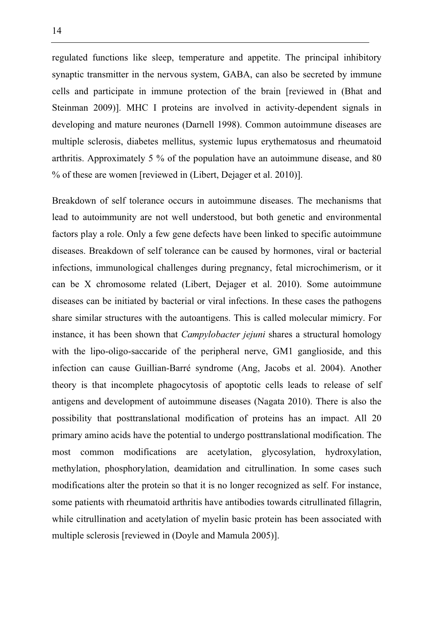regulated functions like sleep, temperature and appetite. The principal inhibitory synaptic transmitter in the nervous system, GABA, can also be secreted by immune cells and participate in immune protection of the brain [reviewed in (Bhat and Steinman 2009)]. MHC I proteins are involved in activity-dependent signals in developing and mature neurones (Darnell 1998). Common autoimmune diseases are multiple sclerosis, diabetes mellitus, systemic lupus erythematosus and rheumatoid arthritis. Approximately 5 % of the population have an autoimmune disease, and 80 % of these are women [reviewed in (Libert, Dejager et al. 2010)].

Breakdown of self tolerance occurs in autoimmune diseases. The mechanisms that lead to autoimmunity are not well understood, but both genetic and environmental factors play a role. Only a few gene defects have been linked to specific autoimmune diseases. Breakdown of self tolerance can be caused by hormones, viral or bacterial infections, immunological challenges during pregnancy, fetal microchimerism, or it can be X chromosome related (Libert, Dejager et al. 2010). Some autoimmune diseases can be initiated by bacterial or viral infections. In these cases the pathogens share similar structures with the autoantigens. This is called molecular mimicry. For instance, it has been shown that *Campylobacter jejuni* shares a structural homology with the lipo-oligo-saccaride of the peripheral nerve, GM1 ganglioside, and this infection can cause Guillian-Barré syndrome (Ang, Jacobs et al. 2004). Another theory is that incomplete phagocytosis of apoptotic cells leads to release of self antigens and development of autoimmune diseases (Nagata 2010). There is also the possibility that posttranslational modification of proteins has an impact. All 20 primary amino acids have the potential to undergo posttranslational modification. The most common modifications are acetylation, glycosylation, hydroxylation, methylation, phosphorylation, deamidation and citrullination. In some cases such modifications alter the protein so that it is no longer recognized as self. For instance, some patients with rheumatoid arthritis have antibodies towards citrullinated fillagrin, while citrullination and acetylation of myelin basic protein has been associated with multiple sclerosis [reviewed in (Doyle and Mamula 2005)].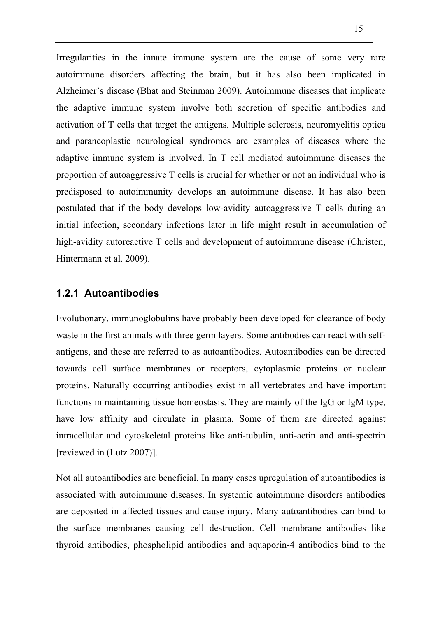Irregularities in the innate immune system are the cause of some very rare autoimmune disorders affecting the brain, but it has also been implicated in Alzheimer's disease (Bhat and Steinman 2009). Autoimmune diseases that implicate the adaptive immune system involve both secretion of specific antibodies and activation of T cells that target the antigens. Multiple sclerosis, neuromyelitis optica and paraneoplastic neurological syndromes are examples of diseases where the adaptive immune system is involved. In T cell mediated autoimmune diseases the proportion of autoaggressive T cells is crucial for whether or not an individual who is predisposed to autoimmunity develops an autoimmune disease. It has also been postulated that if the body develops low-avidity autoaggressive T cells during an initial infection, secondary infections later in life might result in accumulation of high-avidity autoreactive T cells and development of autoimmune disease (Christen, Hintermann et al. 2009).

#### **1.2.1 Autoantibodies**

Evolutionary, immunoglobulins have probably been developed for clearance of body waste in the first animals with three germ layers. Some antibodies can react with selfantigens, and these are referred to as autoantibodies. Autoantibodies can be directed towards cell surface membranes or receptors, cytoplasmic proteins or nuclear proteins. Naturally occurring antibodies exist in all vertebrates and have important functions in maintaining tissue homeostasis. They are mainly of the IgG or IgM type, have low affinity and circulate in plasma. Some of them are directed against intracellular and cytoskeletal proteins like anti-tubulin, anti-actin and anti-spectrin [reviewed in (Lutz 2007)].

Not all autoantibodies are beneficial. In many cases upregulation of autoantibodies is associated with autoimmune diseases. In systemic autoimmune disorders antibodies are deposited in affected tissues and cause injury. Many autoantibodies can bind to the surface membranes causing cell destruction. Cell membrane antibodies like thyroid antibodies, phospholipid antibodies and aquaporin-4 antibodies bind to the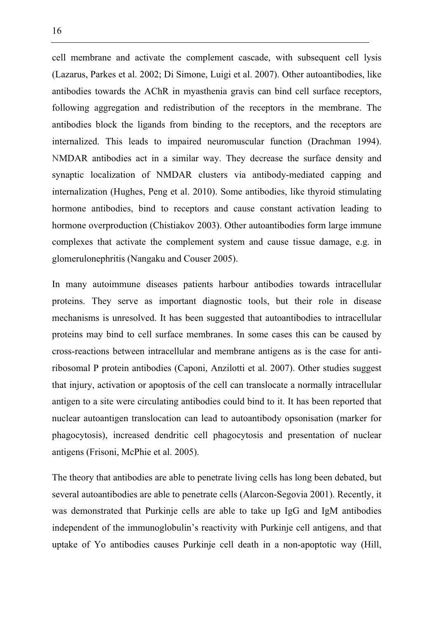cell membrane and activate the complement cascade, with subsequent cell lysis (Lazarus, Parkes et al. 2002; Di Simone, Luigi et al. 2007). Other autoantibodies, like antibodies towards the AChR in myasthenia gravis can bind cell surface receptors, following aggregation and redistribution of the receptors in the membrane. The antibodies block the ligands from binding to the receptors, and the receptors are internalized. This leads to impaired neuromuscular function (Drachman 1994). NMDAR antibodies act in a similar way. They decrease the surface density and synaptic localization of NMDAR clusters via antibody-mediated capping and internalization (Hughes, Peng et al. 2010). Some antibodies, like thyroid stimulating hormone antibodies, bind to receptors and cause constant activation leading to hormone overproduction (Chistiakov 2003). Other autoantibodies form large immune complexes that activate the complement system and cause tissue damage, e.g. in glomerulonephritis (Nangaku and Couser 2005).

In many autoimmune diseases patients harbour antibodies towards intracellular proteins. They serve as important diagnostic tools, but their role in disease mechanisms is unresolved. It has been suggested that autoantibodies to intracellular proteins may bind to cell surface membranes. In some cases this can be caused by cross-reactions between intracellular and membrane antigens as is the case for antiribosomal P protein antibodies (Caponi, Anzilotti et al. 2007). Other studies suggest that injury, activation or apoptosis of the cell can translocate a normally intracellular antigen to a site were circulating antibodies could bind to it. It has been reported that nuclear autoantigen translocation can lead to autoantibody opsonisation (marker for phagocytosis), increased dendritic cell phagocytosis and presentation of nuclear antigens (Frisoni, McPhie et al. 2005).

The theory that antibodies are able to penetrate living cells has long been debated, but several autoantibodies are able to penetrate cells (Alarcon-Segovia 2001). Recently, it was demonstrated that Purkinje cells are able to take up IgG and IgM antibodies independent of the immunoglobulin's reactivity with Purkinje cell antigens, and that uptake of Yo antibodies causes Purkinje cell death in a non-apoptotic way (Hill,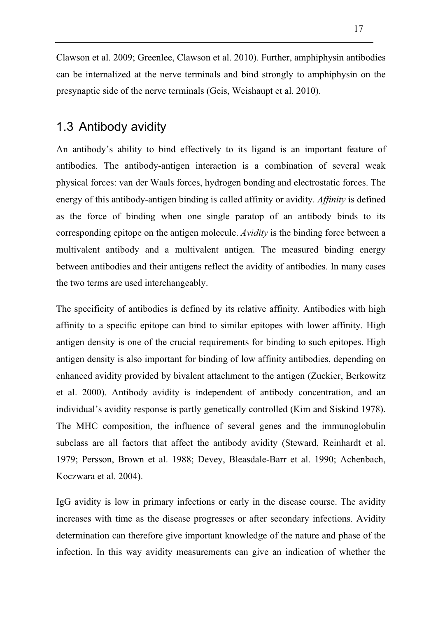Clawson et al. 2009; Greenlee, Clawson et al. 2010). Further, amphiphysin antibodies can be internalized at the nerve terminals and bind strongly to amphiphysin on the presynaptic side of the nerve terminals (Geis, Weishaupt et al. 2010).

#### 1.3 Antibody avidity

An antibody's ability to bind effectively to its ligand is an important feature of antibodies. The antibody-antigen interaction is a combination of several weak physical forces: van der Waals forces, hydrogen bonding and electrostatic forces. The energy of this antibody-antigen binding is called affinity or avidity. *Affinity* is defined as the force of binding when one single paratop of an antibody binds to its corresponding epitope on the antigen molecule. *Avidity* is the binding force between a multivalent antibody and a multivalent antigen. The measured binding energy between antibodies and their antigens reflect the avidity of antibodies. In many cases the two terms are used interchangeably.

The specificity of antibodies is defined by its relative affinity. Antibodies with high affinity to a specific epitope can bind to similar epitopes with lower affinity. High antigen density is one of the crucial requirements for binding to such epitopes. High antigen density is also important for binding of low affinity antibodies, depending on enhanced avidity provided by bivalent attachment to the antigen (Zuckier, Berkowitz et al. 2000). Antibody avidity is independent of antibody concentration, and an individual's avidity response is partly genetically controlled (Kim and Siskind 1978). The MHC composition, the influence of several genes and the immunoglobulin subclass are all factors that affect the antibody avidity (Steward, Reinhardt et al. 1979; Persson, Brown et al. 1988; Devey, Bleasdale-Barr et al. 1990; Achenbach, Koczwara et al. 2004).

IgG avidity is low in primary infections or early in the disease course. The avidity increases with time as the disease progresses or after secondary infections. Avidity determination can therefore give important knowledge of the nature and phase of the infection. In this way avidity measurements can give an indication of whether the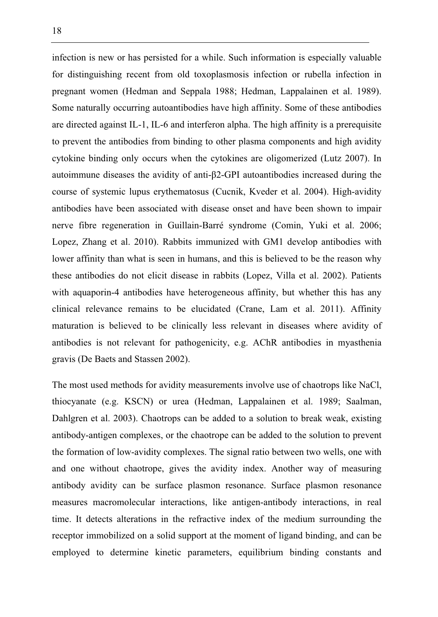infection is new or has persisted for a while. Such information is especially valuable for distinguishing recent from old toxoplasmosis infection or rubella infection in pregnant women (Hedman and Seppala 1988; Hedman, Lappalainen et al. 1989). Some naturally occurring autoantibodies have high affinity. Some of these antibodies are directed against IL-1, IL-6 and interferon alpha. The high affinity is a prerequisite to prevent the antibodies from binding to other plasma components and high avidity cytokine binding only occurs when the cytokines are oligomerized (Lutz 2007). In autoimmune diseases the avidity of anti- $\beta$ 2-GPI autoantibodies increased during the course of systemic lupus erythematosus (Cucnik, Kveder et al. 2004). High-avidity antibodies have been associated with disease onset and have been shown to impair nerve fibre regeneration in Guillain-Barré syndrome (Comin, Yuki et al. 2006; Lopez, Zhang et al. 2010). Rabbits immunized with GM1 develop antibodies with lower affinity than what is seen in humans, and this is believed to be the reason why these antibodies do not elicit disease in rabbits (Lopez, Villa et al. 2002). Patients with aquaporin-4 antibodies have heterogeneous affinity, but whether this has any clinical relevance remains to be elucidated (Crane, Lam et al. 2011). Affinity maturation is believed to be clinically less relevant in diseases where avidity of antibodies is not relevant for pathogenicity, e.g. AChR antibodies in myasthenia gravis (De Baets and Stassen 2002).

The most used methods for avidity measurements involve use of chaotrops like NaCl, thiocyanate (e.g. KSCN) or urea (Hedman, Lappalainen et al. 1989; Saalman, Dahlgren et al. 2003). Chaotrops can be added to a solution to break weak, existing antibody-antigen complexes, or the chaotrope can be added to the solution to prevent the formation of low-avidity complexes. The signal ratio between two wells, one with and one without chaotrope, gives the avidity index. Another way of measuring antibody avidity can be surface plasmon resonance. Surface plasmon resonance measures macromolecular interactions, like antigen-antibody interactions, in real time. It detects alterations in the refractive index of the medium surrounding the receptor immobilized on a solid support at the moment of ligand binding, and can be employed to determine kinetic parameters, equilibrium binding constants and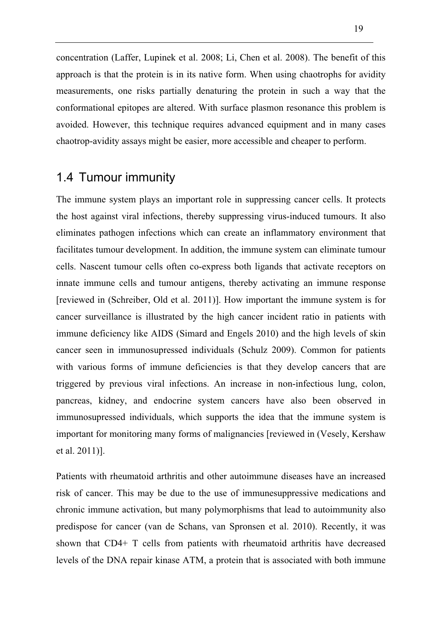concentration (Laffer, Lupinek et al. 2008; Li, Chen et al. 2008). The benefit of this approach is that the protein is in its native form. When using chaotrophs for avidity measurements, one risks partially denaturing the protein in such a way that the conformational epitopes are altered. With surface plasmon resonance this problem is avoided. However, this technique requires advanced equipment and in many cases chaotrop-avidity assays might be easier, more accessible and cheaper to perform.

#### 1.4 Tumour immunity

The immune system plays an important role in suppressing cancer cells. It protects the host against viral infections, thereby suppressing virus-induced tumours. It also eliminates pathogen infections which can create an inflammatory environment that facilitates tumour development. In addition, the immune system can eliminate tumour cells. Nascent tumour cells often co-express both ligands that activate receptors on innate immune cells and tumour antigens, thereby activating an immune response [reviewed in (Schreiber, Old et al. 2011)]. How important the immune system is for cancer surveillance is illustrated by the high cancer incident ratio in patients with immune deficiency like AIDS (Simard and Engels 2010) and the high levels of skin cancer seen in immunosupressed individuals (Schulz 2009). Common for patients with various forms of immune deficiencies is that they develop cancers that are triggered by previous viral infections. An increase in non-infectious lung, colon, pancreas, kidney, and endocrine system cancers have also been observed in immunosupressed individuals, which supports the idea that the immune system is important for monitoring many forms of malignancies [reviewed in (Vesely, Kershaw et al. 2011)].

Patients with rheumatoid arthritis and other autoimmune diseases have an increased risk of cancer. This may be due to the use of immunesuppressive medications and chronic immune activation, but many polymorphisms that lead to autoimmunity also predispose for cancer (van de Schans, van Spronsen et al. 2010). Recently, it was shown that CD4+ T cells from patients with rheumatoid arthritis have decreased levels of the DNA repair kinase ATM, a protein that is associated with both immune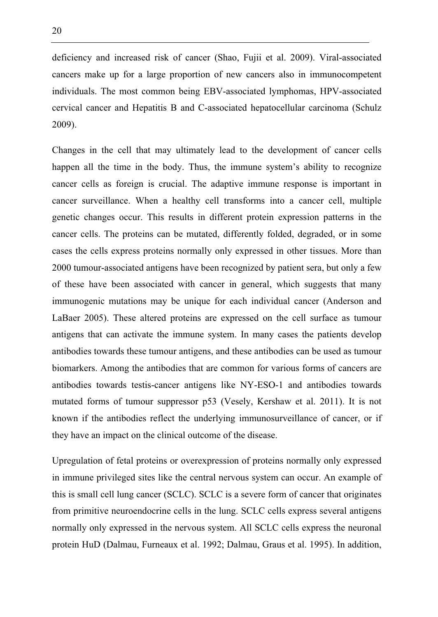deficiency and increased risk of cancer (Shao, Fujii et al. 2009). Viral-associated cancers make up for a large proportion of new cancers also in immunocompetent individuals. The most common being EBV-associated lymphomas, HPV-associated cervical cancer and Hepatitis B and C-associated hepatocellular carcinoma (Schulz 2009).

Changes in the cell that may ultimately lead to the development of cancer cells happen all the time in the body. Thus, the immune system's ability to recognize cancer cells as foreign is crucial. The adaptive immune response is important in cancer surveillance. When a healthy cell transforms into a cancer cell, multiple genetic changes occur. This results in different protein expression patterns in the cancer cells. The proteins can be mutated, differently folded, degraded, or in some cases the cells express proteins normally only expressed in other tissues. More than 2000 tumour-associated antigens have been recognized by patient sera, but only a few of these have been associated with cancer in general, which suggests that many immunogenic mutations may be unique for each individual cancer (Anderson and LaBaer 2005). These altered proteins are expressed on the cell surface as tumour antigens that can activate the immune system. In many cases the patients develop antibodies towards these tumour antigens, and these antibodies can be used as tumour biomarkers. Among the antibodies that are common for various forms of cancers are antibodies towards testis-cancer antigens like NY-ESO-1 and antibodies towards mutated forms of tumour suppressor p53 (Vesely, Kershaw et al. 2011). It is not known if the antibodies reflect the underlying immunosurveillance of cancer, or if they have an impact on the clinical outcome of the disease.

Upregulation of fetal proteins or overexpression of proteins normally only expressed in immune privileged sites like the central nervous system can occur. An example of this is small cell lung cancer (SCLC). SCLC is a severe form of cancer that originates from primitive neuroendocrine cells in the lung. SCLC cells express several antigens normally only expressed in the nervous system. All SCLC cells express the neuronal protein HuD (Dalmau, Furneaux et al. 1992; Dalmau, Graus et al. 1995). In addition,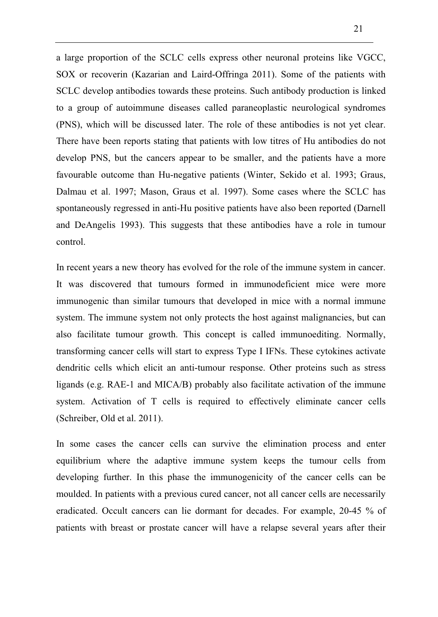a large proportion of the SCLC cells express other neuronal proteins like VGCC, SOX or recoverin (Kazarian and Laird-Offringa 2011). Some of the patients with SCLC develop antibodies towards these proteins. Such antibody production is linked to a group of autoimmune diseases called paraneoplastic neurological syndromes (PNS), which will be discussed later. The role of these antibodies is not yet clear. There have been reports stating that patients with low titres of Hu antibodies do not develop PNS, but the cancers appear to be smaller, and the patients have a more favourable outcome than Hu-negative patients (Winter, Sekido et al. 1993; Graus, Dalmau et al. 1997; Mason, Graus et al. 1997). Some cases where the SCLC has spontaneously regressed in anti-Hu positive patients have also been reported (Darnell and DeAngelis 1993). This suggests that these antibodies have a role in tumour control.

In recent years a new theory has evolved for the role of the immune system in cancer. It was discovered that tumours formed in immunodeficient mice were more immunogenic than similar tumours that developed in mice with a normal immune system. The immune system not only protects the host against malignancies, but can also facilitate tumour growth. This concept is called immunoediting. Normally, transforming cancer cells will start to express Type I IFNs. These cytokines activate dendritic cells which elicit an anti-tumour response. Other proteins such as stress ligands (e.g. RAE-1 and MICA/B) probably also facilitate activation of the immune system. Activation of T cells is required to effectively eliminate cancer cells (Schreiber, Old et al. 2011).

In some cases the cancer cells can survive the elimination process and enter equilibrium where the adaptive immune system keeps the tumour cells from developing further. In this phase the immunogenicity of the cancer cells can be moulded. In patients with a previous cured cancer, not all cancer cells are necessarily eradicated. Occult cancers can lie dormant for decades. For example, 20-45 % of patients with breast or prostate cancer will have a relapse several years after their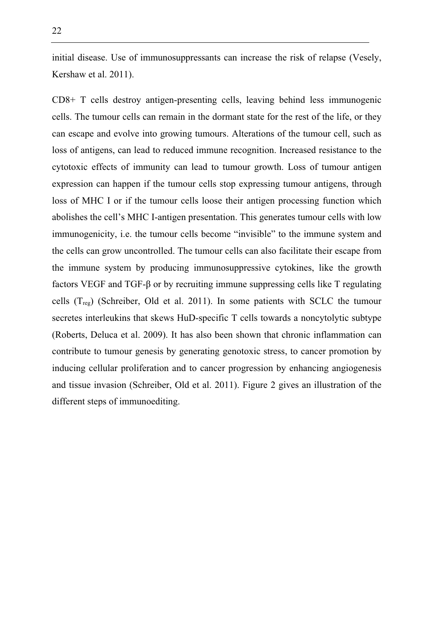initial disease. Use of immunosuppressants can increase the risk of relapse (Vesely, Kershaw et al. 2011).

CD8+ T cells destroy antigen-presenting cells, leaving behind less immunogenic cells. The tumour cells can remain in the dormant state for the rest of the life, or they can escape and evolve into growing tumours. Alterations of the tumour cell, such as loss of antigens, can lead to reduced immune recognition. Increased resistance to the cytotoxic effects of immunity can lead to tumour growth. Loss of tumour antigen expression can happen if the tumour cells stop expressing tumour antigens, through loss of MHC I or if the tumour cells loose their antigen processing function which abolishes the cell's MHC I-antigen presentation. This generates tumour cells with low immunogenicity, i.e. the tumour cells become "invisible" to the immune system and the cells can grow uncontrolled. The tumour cells can also facilitate their escape from the immune system by producing immunosuppressive cytokines, like the growth factors VEGF and TGF- $\beta$  or by recruiting immune suppressing cells like T regulating cells  $(T_{\text{res}})$  (Schreiber, Old et al. 2011). In some patients with SCLC the tumour secretes interleukins that skews HuD-specific T cells towards a noncytolytic subtype (Roberts, Deluca et al. 2009). It has also been shown that chronic inflammation can contribute to tumour genesis by generating genotoxic stress, to cancer promotion by inducing cellular proliferation and to cancer progression by enhancing angiogenesis and tissue invasion (Schreiber, Old et al. 2011). Figure 2 gives an illustration of the different steps of immunoediting.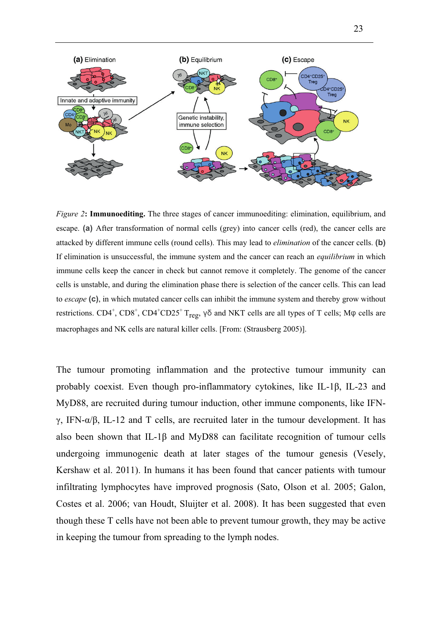

*Figure 2***: Immunoediting.** The three stages of cancer immunoediting: elimination, equilibrium, and escape. **(a)** After transformation of normal cells (grey) into cancer cells (red), the cancer cells are attacked by different immune cells (round cells). This may lead to *elimination* of the cancer cells. **(b)** If elimination is unsuccessful, the immune system and the cancer can reach an *equilibrium* in which immune cells keep the cancer in check but cannot remove it completely. The genome of the cancer cells is unstable, and during the elimination phase there is selection of the cancer cells. This can lead to *escape* **(c)**, in which mutated cancer cells can inhibit the immune system and thereby grow without restrictions. CD4<sup>+</sup>, CD8<sup>+</sup>, CD4<sup>+</sup>CD25<sup>+</sup> T<sub>reg</sub>,  $\gamma \delta$  and NKT cells are all types of T cells; M $\varphi$  cells are macrophages and NK cells are natural killer cells. [From: (Strausberg 2005)].

The tumour promoting inflammation and the protective tumour immunity can probably coexist. Even though pro-inflammatory cytokines, like IL-1 $\beta$ , IL-23 and MyD88, are recruited during tumour induction, other immune components, like IFN-  $\gamma$ , IFN- $\alpha/\beta$ , IL-12 and T cells, are recruited later in the tumour development. It has also been shown that IL-1 $\beta$  and MyD88 can facilitate recognition of tumour cells undergoing immunogenic death at later stages of the tumour genesis (Vesely, Kershaw et al. 2011). In humans it has been found that cancer patients with tumour infiltrating lymphocytes have improved prognosis (Sato, Olson et al. 2005; Galon, Costes et al. 2006; van Houdt, Sluijter et al. 2008). It has been suggested that even though these T cells have not been able to prevent tumour growth, they may be active in keeping the tumour from spreading to the lymph nodes.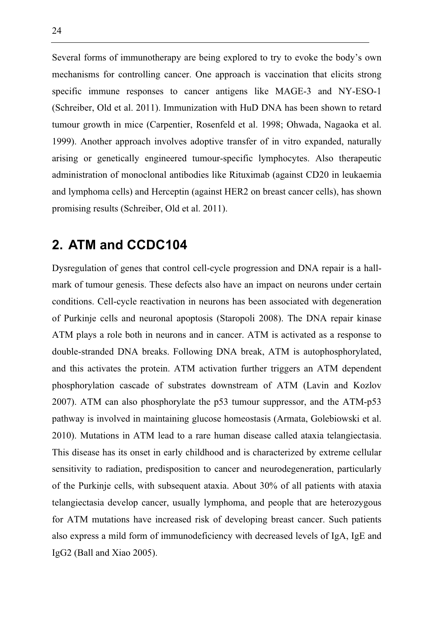Several forms of immunotherapy are being explored to try to evoke the body's own mechanisms for controlling cancer. One approach is vaccination that elicits strong specific immune responses to cancer antigens like MAGE-3 and NY-ESO-1 (Schreiber, Old et al. 2011). Immunization with HuD DNA has been shown to retard tumour growth in mice (Carpentier, Rosenfeld et al. 1998; Ohwada, Nagaoka et al. 1999). Another approach involves adoptive transfer of in vitro expanded, naturally arising or genetically engineered tumour-specific lymphocytes. Also therapeutic administration of monoclonal antibodies like Rituximab (against CD20 in leukaemia and lymphoma cells) and Herceptin (against HER2 on breast cancer cells), has shown promising results (Schreiber, Old et al. 2011).

## **2. ATM and CCDC104**

Dysregulation of genes that control cell-cycle progression and DNA repair is a hallmark of tumour genesis. These defects also have an impact on neurons under certain conditions. Cell-cycle reactivation in neurons has been associated with degeneration of Purkinje cells and neuronal apoptosis (Staropoli 2008). The DNA repair kinase ATM plays a role both in neurons and in cancer. ATM is activated as a response to double-stranded DNA breaks. Following DNA break, ATM is autophosphorylated, and this activates the protein. ATM activation further triggers an ATM dependent phosphorylation cascade of substrates downstream of ATM (Lavin and Kozlov 2007). ATM can also phosphorylate the p53 tumour suppressor, and the ATM-p53 pathway is involved in maintaining glucose homeostasis (Armata, Golebiowski et al. 2010). Mutations in ATM lead to a rare human disease called ataxia telangiectasia. This disease has its onset in early childhood and is characterized by extreme cellular sensitivity to radiation, predisposition to cancer and neurodegeneration, particularly of the Purkinje cells, with subsequent ataxia. About 30% of all patients with ataxia telangiectasia develop cancer, usually lymphoma, and people that are heterozygous for ATM mutations have increased risk of developing breast cancer. Such patients also express a mild form of immunodeficiency with decreased levels of IgA, IgE and IgG2 (Ball and Xiao 2005).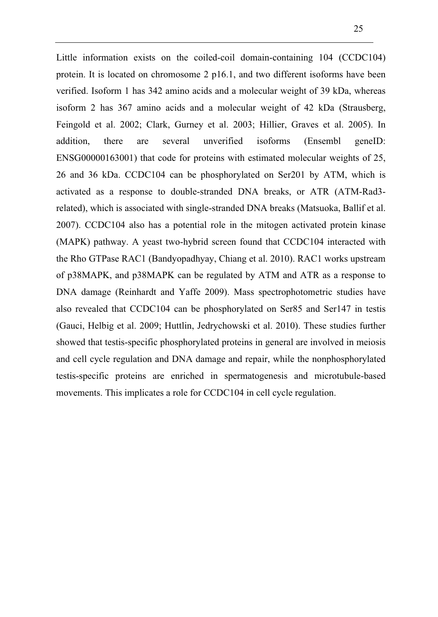Little information exists on the coiled-coil domain-containing 104 (CCDC104) protein. It is located on chromosome 2 p16.1, and two different isoforms have been verified. Isoform 1 has 342 amino acids and a molecular weight of 39 kDa, whereas isoform 2 has 367 amino acids and a molecular weight of 42 kDa (Strausberg, Feingold et al. 2002; Clark, Gurney et al. 2003; Hillier, Graves et al. 2005). In addition, there are several unverified isoforms (Ensembl geneID: ENSG00000163001) that code for proteins with estimated molecular weights of 25, 26 and 36 kDa. CCDC104 can be phosphorylated on Ser201 by ATM, which is activated as a response to double-stranded DNA breaks, or ATR (ATM-Rad3 related), which is associated with single-stranded DNA breaks (Matsuoka, Ballif et al. 2007). CCDC104 also has a potential role in the mitogen activated protein kinase (MAPK) pathway. A yeast two-hybrid screen found that CCDC104 interacted with the Rho GTPase RAC1 (Bandyopadhyay, Chiang et al. 2010). RAC1 works upstream of p38MAPK, and p38MAPK can be regulated by ATM and ATR as a response to DNA damage (Reinhardt and Yaffe 2009). Mass spectrophotometric studies have also revealed that CCDC104 can be phosphorylated on Ser85 and Ser147 in testis (Gauci, Helbig et al. 2009; Huttlin, Jedrychowski et al. 2010). These studies further showed that testis-specific phosphorylated proteins in general are involved in meiosis and cell cycle regulation and DNA damage and repair, while the nonphosphorylated testis-specific proteins are enriched in spermatogenesis and microtubule-based movements. This implicates a role for CCDC104 in cell cycle regulation.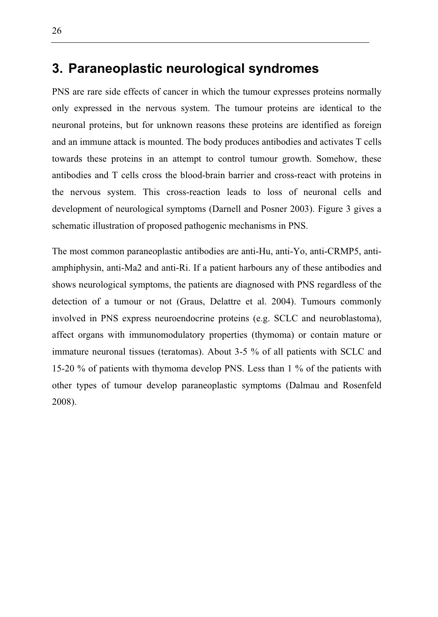## **3. Paraneoplastic neurological syndromes**

PNS are rare side effects of cancer in which the tumour expresses proteins normally only expressed in the nervous system. The tumour proteins are identical to the neuronal proteins, but for unknown reasons these proteins are identified as foreign and an immune attack is mounted. The body produces antibodies and activates T cells towards these proteins in an attempt to control tumour growth. Somehow, these antibodies and T cells cross the blood-brain barrier and cross-react with proteins in the nervous system. This cross-reaction leads to loss of neuronal cells and development of neurological symptoms (Darnell and Posner 2003). Figure 3 gives a schematic illustration of proposed pathogenic mechanisms in PNS.

The most common paraneoplastic antibodies are anti-Hu, anti-Yo, anti-CRMP5, antiamphiphysin, anti-Ma2 and anti-Ri. If a patient harbours any of these antibodies and shows neurological symptoms, the patients are diagnosed with PNS regardless of the detection of a tumour or not (Graus, Delattre et al. 2004). Tumours commonly involved in PNS express neuroendocrine proteins (e.g. SCLC and neuroblastoma), affect organs with immunomodulatory properties (thymoma) or contain mature or immature neuronal tissues (teratomas). About 3-5 % of all patients with SCLC and 15-20 % of patients with thymoma develop PNS. Less than 1 % of the patients with other types of tumour develop paraneoplastic symptoms (Dalmau and Rosenfeld 2008).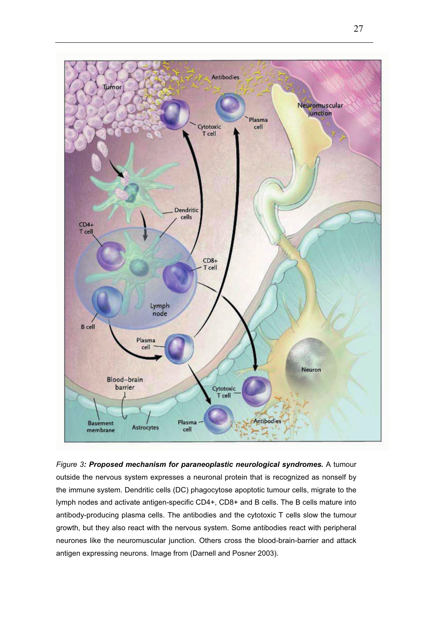

*Figure 3: Proposed mechanism for paraneoplastic neurological syndromes.* A tumour outside the nervous system expresses a neuronal protein that is recognized as nonself by the immune system. Dendritic cells (DC) phagocytose apoptotic tumour cells, migrate to the lymph nodes and activate antigen-specific CD4+, CD8+ and B cells. The B cells mature into antibody-producing plasma cells. The antibodies and the cytotoxic T cells slow the tumour growth, but they also react with the nervous system. Some antibodies react with peripheral neurones like the neuromuscular junction. Others cross the blood-brain-barrier and attack antigen expressing neurons. Image from (Darnell and Posner 2003).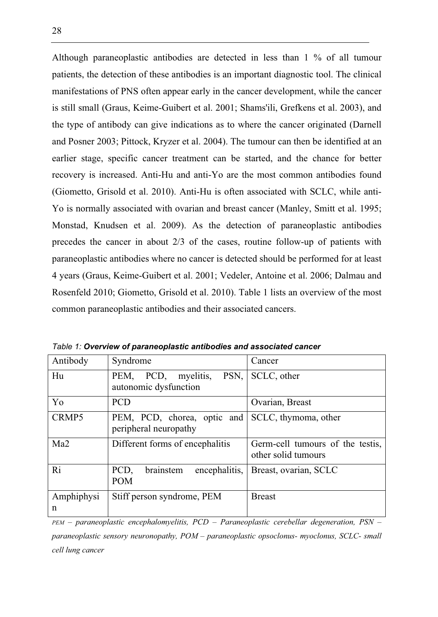Although paraneoplastic antibodies are detected in less than 1 % of all tumour patients, the detection of these antibodies is an important diagnostic tool. The clinical manifestations of PNS often appear early in the cancer development, while the cancer is still small (Graus, Keime-Guibert et al. 2001; Shams'ili, Grefkens et al. 2003), and the type of antibody can give indications as to where the cancer originated (Darnell and Posner 2003; Pittock, Kryzer et al. 2004). The tumour can then be identified at an earlier stage, specific cancer treatment can be started, and the chance for better recovery is increased. Anti-Hu and anti-Yo are the most common antibodies found (Giometto, Grisold et al. 2010). Anti-Hu is often associated with SCLC, while anti-Yo is normally associated with ovarian and breast cancer (Manley, Smitt et al. 1995; Monstad, Knudsen et al. 2009). As the detection of paraneoplastic antibodies precedes the cancer in about 2/3 of the cases, routine follow-up of patients with paraneoplastic antibodies where no cancer is detected should be performed for at least 4 years (Graus, Keime-Guibert et al. 2001; Vedeler, Antoine et al. 2006; Dalmau and Rosenfeld 2010; Giometto, Grisold et al. 2010). Table 1 lists an overview of the most common paraneoplastic antibodies and their associated cancers.

| Antibody        | Syndrome                                                   | Cancer                                                  |
|-----------------|------------------------------------------------------------|---------------------------------------------------------|
| Hu              | PCD,<br>myelitis,<br>PSN,<br>PEM.<br>autonomic dysfunction | SCLC, other                                             |
| Yo              | <b>PCD</b>                                                 | Ovarian, Breast                                         |
| CRMP5           | PEM, PCD, chorea, optic and<br>peripheral neuropathy       | SCLC, thymoma, other                                    |
| Ma2             | Different forms of encephalitis                            | Germ-cell tumours of the testis,<br>other solid tumours |
| Ri              | PCD,<br>brainstem<br>encephalitis,<br><b>POM</b>           | Breast, ovarian, SCLC                                   |
| Amphiphysi<br>n | Stiff person syndrome, PEM                                 | <b>Breast</b>                                           |

*Table 1: Overview of paraneoplastic antibodies and associated cancer*

*PEM – paraneoplastic encephalomyelitis, PCD – Paraneoplastic cerebellar degeneration, PSN – paraneoplastic sensory neuronopathy, POM – paraneoplastic opsoclonus- myoclonus, SCLC- small cell lung cancer*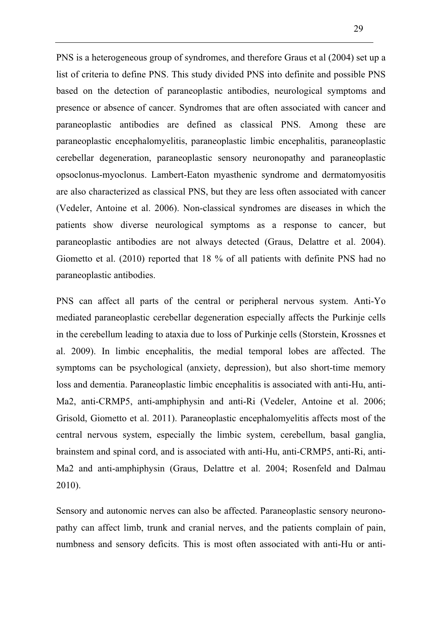PNS is a heterogeneous group of syndromes, and therefore Graus et al (2004) set up a list of criteria to define PNS. This study divided PNS into definite and possible PNS based on the detection of paraneoplastic antibodies, neurological symptoms and presence or absence of cancer. Syndromes that are often associated with cancer and paraneoplastic antibodies are defined as classical PNS. Among these are paraneoplastic encephalomyelitis, paraneoplastic limbic encephalitis, paraneoplastic cerebellar degeneration, paraneoplastic sensory neuronopathy and paraneoplastic opsoclonus-myoclonus. Lambert-Eaton myasthenic syndrome and dermatomyositis are also characterized as classical PNS, but they are less often associated with cancer (Vedeler, Antoine et al. 2006). Non-classical syndromes are diseases in which the patients show diverse neurological symptoms as a response to cancer, but paraneoplastic antibodies are not always detected (Graus, Delattre et al. 2004). Giometto et al. (2010) reported that 18 % of all patients with definite PNS had no paraneoplastic antibodies.

PNS can affect all parts of the central or peripheral nervous system. Anti-Yo mediated paraneoplastic cerebellar degeneration especially affects the Purkinje cells in the cerebellum leading to ataxia due to loss of Purkinje cells (Storstein, Krossnes et al. 2009). In limbic encephalitis, the medial temporal lobes are affected. The symptoms can be psychological (anxiety, depression), but also short-time memory loss and dementia. Paraneoplastic limbic encephalitis is associated with anti-Hu, anti-Ma2, anti-CRMP5, anti-amphiphysin and anti-Ri (Vedeler, Antoine et al. 2006; Grisold, Giometto et al. 2011). Paraneoplastic encephalomyelitis affects most of the central nervous system, especially the limbic system, cerebellum, basal ganglia, brainstem and spinal cord, and is associated with anti-Hu, anti-CRMP5, anti-Ri, anti-Ma2 and anti-amphiphysin (Graus, Delattre et al. 2004; Rosenfeld and Dalmau 2010).

Sensory and autonomic nerves can also be affected. Paraneoplastic sensory neuronopathy can affect limb, trunk and cranial nerves, and the patients complain of pain, numbness and sensory deficits. This is most often associated with anti-Hu or anti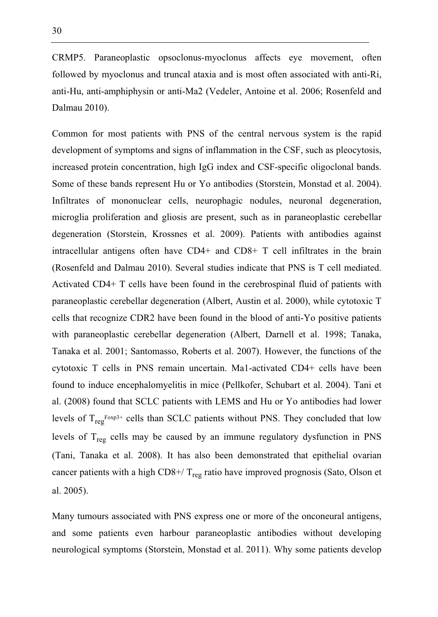CRMP5. Paraneoplastic opsoclonus-myoclonus affects eye movement, often followed by myoclonus and truncal ataxia and is most often associated with anti-Ri, anti-Hu, anti-amphiphysin or anti-Ma2 (Vedeler, Antoine et al. 2006; Rosenfeld and Dalmau 2010).

Common for most patients with PNS of the central nervous system is the rapid development of symptoms and signs of inflammation in the CSF, such as pleocytosis, increased protein concentration, high IgG index and CSF-specific oligoclonal bands. Some of these bands represent Hu or Yo antibodies (Storstein, Monstad et al. 2004). Infiltrates of mononuclear cells, neurophagic nodules, neuronal degeneration, microglia proliferation and gliosis are present, such as in paraneoplastic cerebellar degeneration (Storstein, Krossnes et al. 2009). Patients with antibodies against intracellular antigens often have CD4+ and CD8+ T cell infiltrates in the brain (Rosenfeld and Dalmau 2010). Several studies indicate that PNS is T cell mediated. Activated CD4+ T cells have been found in the cerebrospinal fluid of patients with paraneoplastic cerebellar degeneration (Albert, Austin et al. 2000), while cytotoxic T cells that recognize CDR2 have been found in the blood of anti-Yo positive patients with paraneoplastic cerebellar degeneration (Albert, Darnell et al. 1998; Tanaka, Tanaka et al. 2001; Santomasso, Roberts et al. 2007). However, the functions of the cytotoxic T cells in PNS remain uncertain. Ma1-activated CD4+ cells have been found to induce encephalomyelitis in mice (Pellkofer, Schubart et al. 2004). Tani et al. (2008) found that SCLC patients with LEMS and Hu or Yo antibodies had lower levels of  $T_{\text{res}}^{\text{Foxp3+}}$  cells than SCLC patients without PNS. They concluded that low levels of  $T_{\text{reg}}$  cells may be caused by an immune regulatory dysfunction in PNS (Tani, Tanaka et al. 2008). It has also been demonstrated that epithelial ovarian cancer patients with a high CD8+/ $T_{\text{reg}}$  ratio have improved prognosis (Sato, Olson et al. 2005).

Many tumours associated with PNS express one or more of the onconeural antigens, and some patients even harbour paraneoplastic antibodies without developing neurological symptoms (Storstein, Monstad et al. 2011). Why some patients develop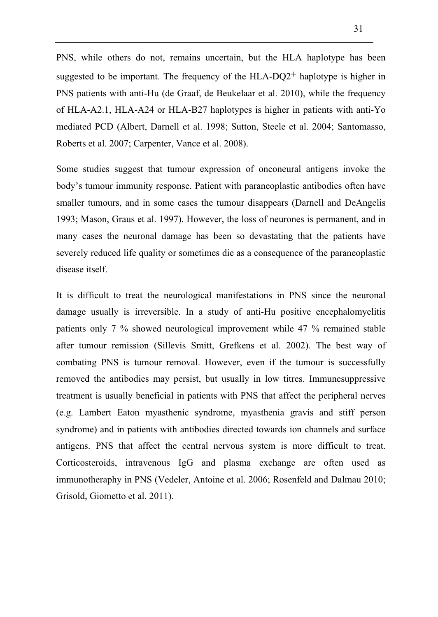PNS, while others do not, remains uncertain, but the HLA haplotype has been suggested to be important. The frequency of the  $HLA-DQ2^+$  haplotype is higher in PNS patients with anti-Hu (de Graaf, de Beukelaar et al. 2010), while the frequency of HLA-A2.1, HLA-A24 or HLA-B27 haplotypes is higher in patients with anti-Yo mediated PCD (Albert, Darnell et al. 1998; Sutton, Steele et al. 2004; Santomasso, Roberts et al. 2007; Carpenter, Vance et al. 2008).

Some studies suggest that tumour expression of onconeural antigens invoke the body's tumour immunity response. Patient with paraneoplastic antibodies often have smaller tumours, and in some cases the tumour disappears (Darnell and DeAngelis 1993; Mason, Graus et al. 1997). However, the loss of neurones is permanent, and in many cases the neuronal damage has been so devastating that the patients have severely reduced life quality or sometimes die as a consequence of the paraneoplastic disease itself.

It is difficult to treat the neurological manifestations in PNS since the neuronal damage usually is irreversible. In a study of anti-Hu positive encephalomyelitis patients only 7 % showed neurological improvement while 47 % remained stable after tumour remission (Sillevis Smitt, Grefkens et al. 2002). The best way of combating PNS is tumour removal. However, even if the tumour is successfully removed the antibodies may persist, but usually in low titres. Immunesuppressive treatment is usually beneficial in patients with PNS that affect the peripheral nerves (e.g. Lambert Eaton myasthenic syndrome, myasthenia gravis and stiff person syndrome) and in patients with antibodies directed towards ion channels and surface antigens. PNS that affect the central nervous system is more difficult to treat. Corticosteroids, intravenous IgG and plasma exchange are often used as immunotheraphy in PNS (Vedeler, Antoine et al. 2006; Rosenfeld and Dalmau 2010; Grisold, Giometto et al. 2011).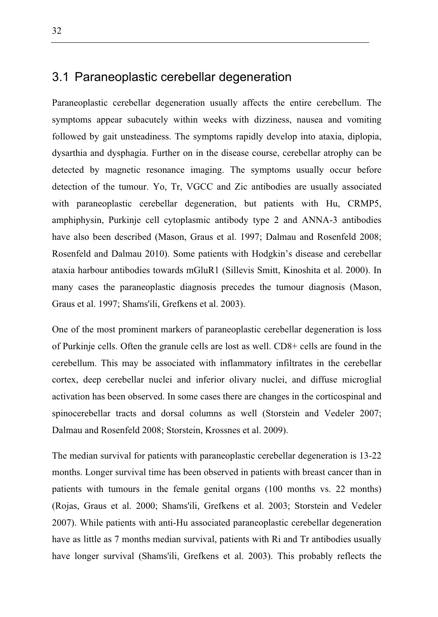#### 3.1 Paraneoplastic cerebellar degeneration

Paraneoplastic cerebellar degeneration usually affects the entire cerebellum. The symptoms appear subacutely within weeks with dizziness, nausea and vomiting followed by gait unsteadiness. The symptoms rapidly develop into ataxia, diplopia, dysarthia and dysphagia. Further on in the disease course, cerebellar atrophy can be detected by magnetic resonance imaging. The symptoms usually occur before detection of the tumour. Yo, Tr, VGCC and Zic antibodies are usually associated with paraneoplastic cerebellar degeneration, but patients with Hu, CRMP5, amphiphysin, Purkinje cell cytoplasmic antibody type 2 and ANNA-3 antibodies have also been described (Mason, Graus et al. 1997; Dalmau and Rosenfeld 2008; Rosenfeld and Dalmau 2010). Some patients with Hodgkin's disease and cerebellar ataxia harbour antibodies towards mGluR1 (Sillevis Smitt, Kinoshita et al. 2000). In many cases the paraneoplastic diagnosis precedes the tumour diagnosis (Mason, Graus et al. 1997; Shams'ili, Grefkens et al. 2003).

One of the most prominent markers of paraneoplastic cerebellar degeneration is loss of Purkinje cells. Often the granule cells are lost as well. CD8+ cells are found in the cerebellum. This may be associated with inflammatory infiltrates in the cerebellar cortex, deep cerebellar nuclei and inferior olivary nuclei, and diffuse microglial activation has been observed. In some cases there are changes in the corticospinal and spinocerebellar tracts and dorsal columns as well (Storstein and Vedeler 2007; Dalmau and Rosenfeld 2008; Storstein, Krossnes et al. 2009).

The median survival for patients with paraneoplastic cerebellar degeneration is 13-22 months. Longer survival time has been observed in patients with breast cancer than in patients with tumours in the female genital organs (100 months vs. 22 months) (Rojas, Graus et al. 2000; Shams'ili, Grefkens et al. 2003; Storstein and Vedeler 2007). While patients with anti-Hu associated paraneoplastic cerebellar degeneration have as little as 7 months median survival, patients with Ri and Tr antibodies usually have longer survival (Shams'ili, Grefkens et al. 2003). This probably reflects the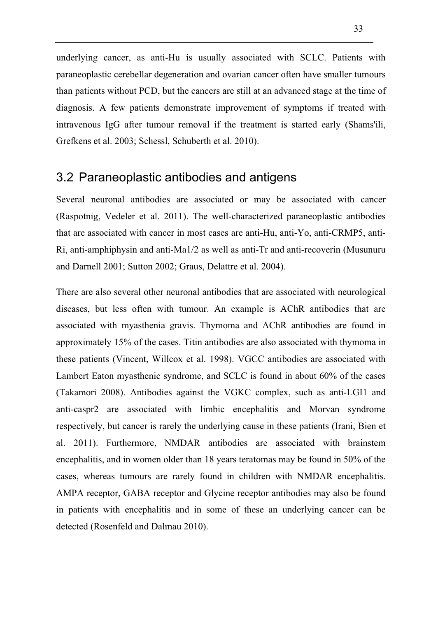underlying cancer, as anti-Hu is usually associated with SCLC. Patients with paraneoplastic cerebellar degeneration and ovarian cancer often have smaller tumours than patients without PCD, but the cancers are still at an advanced stage at the time of diagnosis. A few patients demonstrate improvement of symptoms if treated with intravenous IgG after tumour removal if the treatment is started early (Shams'ili, Grefkens et al. 2003; Schessl, Schuberth et al. 2010).

#### 3.2 Paraneoplastic antibodies and antigens

Several neuronal antibodies are associated or may be associated with cancer (Raspotnig, Vedeler et al. 2011). The well-characterized paraneoplastic antibodies that are associated with cancer in most cases are anti-Hu, anti-Yo, anti-CRMP5, anti-Ri, anti-amphiphysin and anti-Ma1/2 as well as anti-Tr and anti-recoverin (Musunuru and Darnell 2001; Sutton 2002; Graus, Delattre et al. 2004).

There are also several other neuronal antibodies that are associated with neurological diseases, but less often with tumour. An example is AChR antibodies that are associated with myasthenia gravis. Thymoma and AChR antibodies are found in approximately 15% of the cases. Titin antibodies are also associated with thymoma in these patients (Vincent, Willcox et al. 1998). VGCC antibodies are associated with Lambert Eaton myasthenic syndrome, and SCLC is found in about 60% of the cases (Takamori 2008). Antibodies against the VGKC complex, such as anti-LGI1 and anti-caspr2 are associated with limbic encephalitis and Morvan syndrome respectively, but cancer is rarely the underlying cause in these patients (Irani, Bien et al. 2011). Furthermore, NMDAR antibodies are associated with brainstem encephalitis, and in women older than 18 years teratomas may be found in 50% of the cases, whereas tumours are rarely found in children with NMDAR encephalitis. AMPA receptor, GABA receptor and Glycine receptor antibodies may also be found in patients with encephalitis and in some of these an underlying cancer can be detected (Rosenfeld and Dalmau 2010).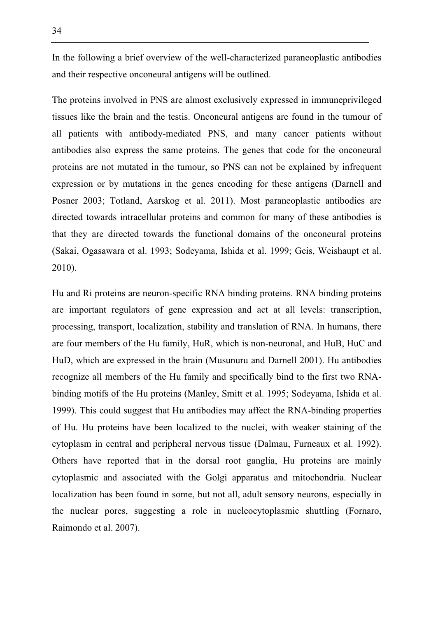In the following a brief overview of the well-characterized paraneoplastic antibodies and their respective onconeural antigens will be outlined.

The proteins involved in PNS are almost exclusively expressed in immuneprivileged tissues like the brain and the testis. Onconeural antigens are found in the tumour of all patients with antibody-mediated PNS, and many cancer patients without antibodies also express the same proteins. The genes that code for the onconeural proteins are not mutated in the tumour, so PNS can not be explained by infrequent expression or by mutations in the genes encoding for these antigens (Darnell and Posner 2003; Totland, Aarskog et al. 2011). Most paraneoplastic antibodies are directed towards intracellular proteins and common for many of these antibodies is that they are directed towards the functional domains of the onconeural proteins (Sakai, Ogasawara et al. 1993; Sodeyama, Ishida et al. 1999; Geis, Weishaupt et al. 2010).

Hu and Ri proteins are neuron-specific RNA binding proteins. RNA binding proteins are important regulators of gene expression and act at all levels: transcription, processing, transport, localization, stability and translation of RNA. In humans, there are four members of the Hu family, HuR, which is non-neuronal, and HuB, HuC and HuD, which are expressed in the brain (Musunuru and Darnell 2001). Hu antibodies recognize all members of the Hu family and specifically bind to the first two RNAbinding motifs of the Hu proteins (Manley, Smitt et al. 1995; Sodeyama, Ishida et al. 1999). This could suggest that Hu antibodies may affect the RNA-binding properties of Hu. Hu proteins have been localized to the nuclei, with weaker staining of the cytoplasm in central and peripheral nervous tissue (Dalmau, Furneaux et al. 1992). Others have reported that in the dorsal root ganglia, Hu proteins are mainly cytoplasmic and associated with the Golgi apparatus and mitochondria. Nuclear localization has been found in some, but not all, adult sensory neurons, especially in the nuclear pores, suggesting a role in nucleocytoplasmic shuttling (Fornaro, Raimondo et al. 2007).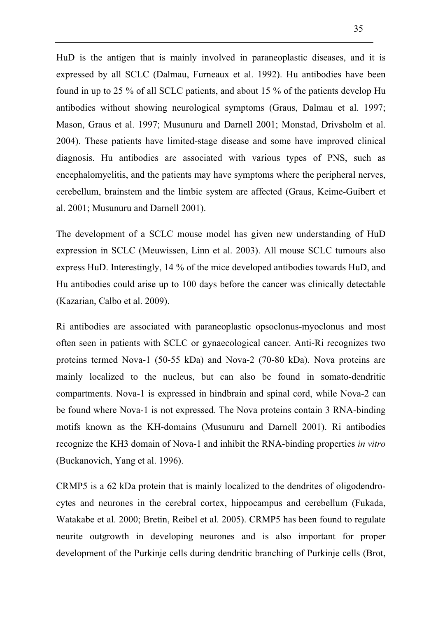HuD is the antigen that is mainly involved in paraneoplastic diseases, and it is expressed by all SCLC (Dalmau, Furneaux et al. 1992). Hu antibodies have been found in up to 25 % of all SCLC patients, and about 15 % of the patients develop Hu antibodies without showing neurological symptoms (Graus, Dalmau et al. 1997; Mason, Graus et al. 1997; Musunuru and Darnell 2001; Monstad, Drivsholm et al. 2004). These patients have limited-stage disease and some have improved clinical diagnosis. Hu antibodies are associated with various types of PNS, such as encephalomyelitis, and the patients may have symptoms where the peripheral nerves, cerebellum, brainstem and the limbic system are affected (Graus, Keime-Guibert et al. 2001; Musunuru and Darnell 2001).

The development of a SCLC mouse model has given new understanding of HuD expression in SCLC (Meuwissen, Linn et al. 2003). All mouse SCLC tumours also express HuD. Interestingly, 14 % of the mice developed antibodies towards HuD, and Hu antibodies could arise up to 100 days before the cancer was clinically detectable (Kazarian, Calbo et al. 2009).

Ri antibodies are associated with paraneoplastic opsoclonus-myoclonus and most often seen in patients with SCLC or gynaecological cancer. Anti-Ri recognizes two proteins termed Nova-1 (50-55 kDa) and Nova-2 (70-80 kDa). Nova proteins are mainly localized to the nucleus, but can also be found in somato-dendritic compartments. Nova-1 is expressed in hindbrain and spinal cord, while Nova-2 can be found where Nova-1 is not expressed. The Nova proteins contain 3 RNA-binding motifs known as the KH-domains (Musunuru and Darnell 2001). Ri antibodies recognize the KH3 domain of Nova-1 and inhibit the RNA-binding properties *in vitro* (Buckanovich, Yang et al. 1996).

CRMP5 is a 62 kDa protein that is mainly localized to the dendrites of oligodendrocytes and neurones in the cerebral cortex, hippocampus and cerebellum (Fukada, Watakabe et al. 2000; Bretin, Reibel et al. 2005). CRMP5 has been found to regulate neurite outgrowth in developing neurones and is also important for proper development of the Purkinje cells during dendritic branching of Purkinje cells (Brot,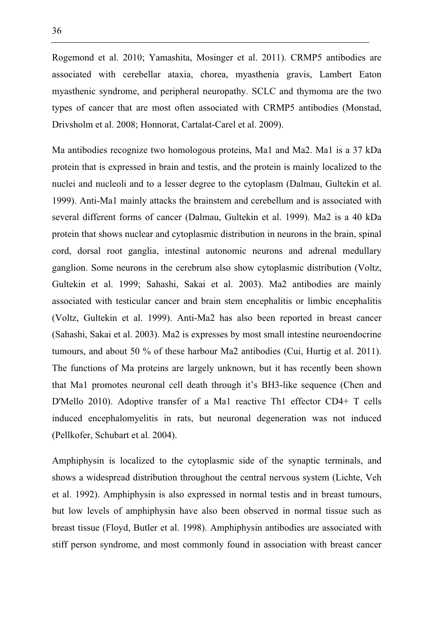Rogemond et al. 2010; Yamashita, Mosinger et al. 2011). CRMP5 antibodies are associated with cerebellar ataxia, chorea, myasthenia gravis, Lambert Eaton myasthenic syndrome, and peripheral neuropathy. SCLC and thymoma are the two types of cancer that are most often associated with CRMP5 antibodies (Monstad, Drivsholm et al. 2008; Honnorat, Cartalat-Carel et al. 2009).

Ma antibodies recognize two homologous proteins, Ma1 and Ma2. Ma1 is a 37 kDa protein that is expressed in brain and testis, and the protein is mainly localized to the nuclei and nucleoli and to a lesser degree to the cytoplasm (Dalmau, Gultekin et al. 1999). Anti-Ma1 mainly attacks the brainstem and cerebellum and is associated with several different forms of cancer (Dalmau, Gultekin et al. 1999). Ma2 is a 40 kDa protein that shows nuclear and cytoplasmic distribution in neurons in the brain, spinal cord, dorsal root ganglia, intestinal autonomic neurons and adrenal medullary ganglion. Some neurons in the cerebrum also show cytoplasmic distribution (Voltz, Gultekin et al. 1999; Sahashi, Sakai et al. 2003). Ma2 antibodies are mainly associated with testicular cancer and brain stem encephalitis or limbic encephalitis (Voltz, Gultekin et al. 1999). Anti-Ma2 has also been reported in breast cancer (Sahashi, Sakai et al. 2003). Ma2 is expresses by most small intestine neuroendocrine tumours, and about 50 % of these harbour Ma2 antibodies (Cui, Hurtig et al. 2011). The functions of Ma proteins are largely unknown, but it has recently been shown that Ma1 promotes neuronal cell death through it's BH3-like sequence (Chen and D'Mello 2010). Adoptive transfer of a Ma1 reactive Th1 effector CD4+ T cells induced encephalomyelitis in rats, but neuronal degeneration was not induced (Pellkofer, Schubart et al. 2004).

Amphiphysin is localized to the cytoplasmic side of the synaptic terminals, and shows a widespread distribution throughout the central nervous system (Lichte, Veh et al. 1992). Amphiphysin is also expressed in normal testis and in breast tumours, but low levels of amphiphysin have also been observed in normal tissue such as breast tissue (Floyd, Butler et al. 1998). Amphiphysin antibodies are associated with stiff person syndrome, and most commonly found in association with breast cancer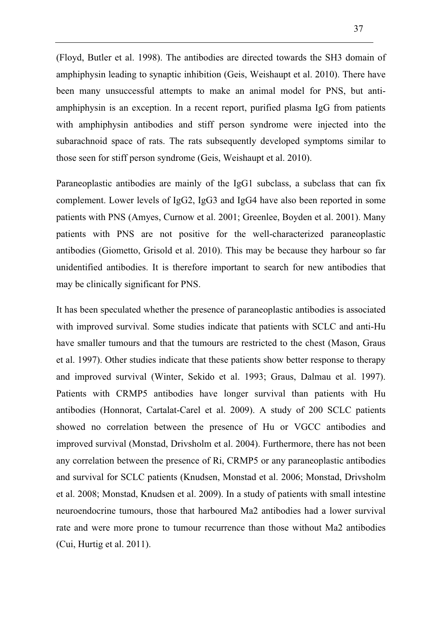(Floyd, Butler et al. 1998). The antibodies are directed towards the SH3 domain of amphiphysin leading to synaptic inhibition (Geis, Weishaupt et al. 2010). There have been many unsuccessful attempts to make an animal model for PNS, but antiamphiphysin is an exception. In a recent report, purified plasma IgG from patients with amphiphysin antibodies and stiff person syndrome were injected into the subarachnoid space of rats. The rats subsequently developed symptoms similar to those seen for stiff person syndrome (Geis, Weishaupt et al. 2010).

Paraneoplastic antibodies are mainly of the IgG1 subclass, a subclass that can fix complement. Lower levels of IgG2, IgG3 and IgG4 have also been reported in some patients with PNS (Amyes, Curnow et al. 2001; Greenlee, Boyden et al. 2001). Many patients with PNS are not positive for the well-characterized paraneoplastic antibodies (Giometto, Grisold et al. 2010). This may be because they harbour so far unidentified antibodies. It is therefore important to search for new antibodies that may be clinically significant for PNS.

It has been speculated whether the presence of paraneoplastic antibodies is associated with improved survival. Some studies indicate that patients with SCLC and anti-Hu have smaller tumours and that the tumours are restricted to the chest (Mason, Graus et al. 1997). Other studies indicate that these patients show better response to therapy and improved survival (Winter, Sekido et al. 1993; Graus, Dalmau et al. 1997). Patients with CRMP5 antibodies have longer survival than patients with Hu antibodies (Honnorat, Cartalat-Carel et al. 2009). A study of 200 SCLC patients showed no correlation between the presence of Hu or VGCC antibodies and improved survival (Monstad, Drivsholm et al. 2004). Furthermore, there has not been any correlation between the presence of Ri, CRMP5 or any paraneoplastic antibodies and survival for SCLC patients (Knudsen, Monstad et al. 2006; Monstad, Drivsholm et al. 2008; Monstad, Knudsen et al. 2009). In a study of patients with small intestine neuroendocrine tumours, those that harboured Ma2 antibodies had a lower survival rate and were more prone to tumour recurrence than those without Ma2 antibodies (Cui, Hurtig et al. 2011).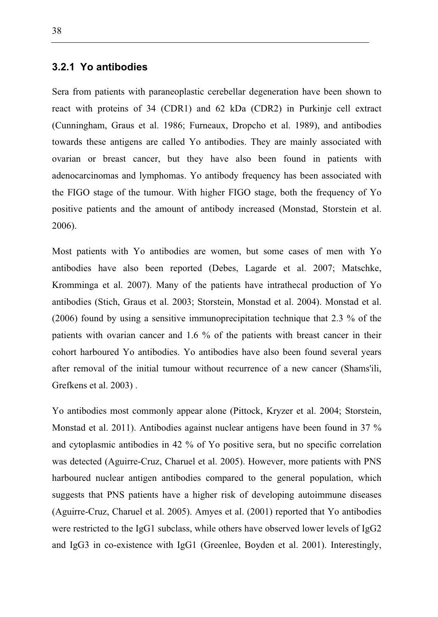#### **3.2.1 Yo antibodies**

Sera from patients with paraneoplastic cerebellar degeneration have been shown to react with proteins of 34 (CDR1) and 62 kDa (CDR2) in Purkinje cell extract (Cunningham, Graus et al. 1986; Furneaux, Dropcho et al. 1989), and antibodies towards these antigens are called Yo antibodies. They are mainly associated with ovarian or breast cancer, but they have also been found in patients with adenocarcinomas and lymphomas. Yo antibody frequency has been associated with the FIGO stage of the tumour. With higher FIGO stage, both the frequency of Yo positive patients and the amount of antibody increased (Monstad, Storstein et al. 2006).

Most patients with Yo antibodies are women, but some cases of men with Yo antibodies have also been reported (Debes, Lagarde et al. 2007; Matschke, Kromminga et al. 2007). Many of the patients have intrathecal production of Yo antibodies (Stich, Graus et al. 2003; Storstein, Monstad et al. 2004). Monstad et al. (2006) found by using a sensitive immunoprecipitation technique that 2.3 % of the patients with ovarian cancer and 1.6 % of the patients with breast cancer in their cohort harboured Yo antibodies. Yo antibodies have also been found several years after removal of the initial tumour without recurrence of a new cancer (Shams'ili, Grefkens et al. 2003) .

Yo antibodies most commonly appear alone (Pittock, Kryzer et al. 2004; Storstein, Monstad et al. 2011). Antibodies against nuclear antigens have been found in 37 % and cytoplasmic antibodies in 42 % of Yo positive sera, but no specific correlation was detected (Aguirre-Cruz, Charuel et al. 2005). However, more patients with PNS harboured nuclear antigen antibodies compared to the general population, which suggests that PNS patients have a higher risk of developing autoimmune diseases (Aguirre-Cruz, Charuel et al. 2005). Amyes et al. (2001) reported that Yo antibodies were restricted to the IgG1 subclass, while others have observed lower levels of IgG2 and IgG3 in co-existence with IgG1 (Greenlee, Boyden et al. 2001). Interestingly,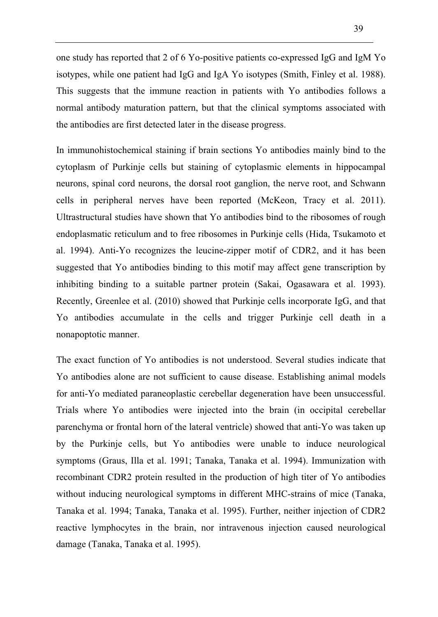one study has reported that 2 of 6 Yo-positive patients co-expressed IgG and IgM Yo isotypes, while one patient had IgG and IgA Yo isotypes (Smith, Finley et al. 1988). This suggests that the immune reaction in patients with Yo antibodies follows a normal antibody maturation pattern, but that the clinical symptoms associated with the antibodies are first detected later in the disease progress.

In immunohistochemical staining if brain sections Yo antibodies mainly bind to the cytoplasm of Purkinje cells but staining of cytoplasmic elements in hippocampal neurons, spinal cord neurons, the dorsal root ganglion, the nerve root, and Schwann cells in peripheral nerves have been reported (McKeon, Tracy et al. 2011). Ultrastructural studies have shown that Yo antibodies bind to the ribosomes of rough endoplasmatic reticulum and to free ribosomes in Purkinje cells (Hida, Tsukamoto et al. 1994). Anti-Yo recognizes the leucine-zipper motif of CDR2, and it has been suggested that Yo antibodies binding to this motif may affect gene transcription by inhibiting binding to a suitable partner protein (Sakai, Ogasawara et al. 1993). Recently, Greenlee et al. (2010) showed that Purkinje cells incorporate IgG, and that Yo antibodies accumulate in the cells and trigger Purkinje cell death in a nonapoptotic manner.

The exact function of Yo antibodies is not understood. Several studies indicate that Yo antibodies alone are not sufficient to cause disease. Establishing animal models for anti-Yo mediated paraneoplastic cerebellar degeneration have been unsuccessful. Trials where Yo antibodies were injected into the brain (in occipital cerebellar parenchyma or frontal horn of the lateral ventricle) showed that anti-Yo was taken up by the Purkinje cells, but Yo antibodies were unable to induce neurological symptoms (Graus, Illa et al. 1991; Tanaka, Tanaka et al. 1994). Immunization with recombinant CDR2 protein resulted in the production of high titer of Yo antibodies without inducing neurological symptoms in different MHC-strains of mice (Tanaka, Tanaka et al. 1994; Tanaka, Tanaka et al. 1995). Further, neither injection of CDR2 reactive lymphocytes in the brain, nor intravenous injection caused neurological damage (Tanaka, Tanaka et al. 1995).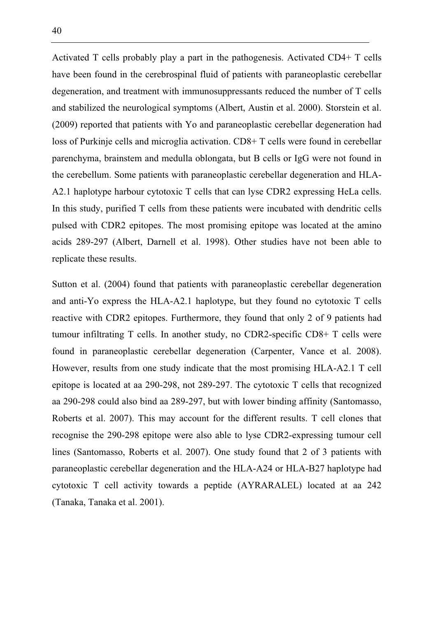Activated T cells probably play a part in the pathogenesis. Activated CD4+ T cells have been found in the cerebrospinal fluid of patients with paraneoplastic cerebellar degeneration, and treatment with immunosuppressants reduced the number of T cells and stabilized the neurological symptoms (Albert, Austin et al. 2000). Storstein et al. (2009) reported that patients with Yo and paraneoplastic cerebellar degeneration had loss of Purkinje cells and microglia activation. CD8+ T cells were found in cerebellar parenchyma, brainstem and medulla oblongata, but B cells or IgG were not found in the cerebellum. Some patients with paraneoplastic cerebellar degeneration and HLA-A2.1 haplotype harbour cytotoxic T cells that can lyse CDR2 expressing HeLa cells. In this study, purified T cells from these patients were incubated with dendritic cells pulsed with CDR2 epitopes. The most promising epitope was located at the amino acids 289-297 (Albert, Darnell et al. 1998). Other studies have not been able to replicate these results.

Sutton et al. (2004) found that patients with paraneoplastic cerebellar degeneration and anti-Yo express the HLA-A2.1 haplotype, but they found no cytotoxic T cells reactive with CDR2 epitopes. Furthermore, they found that only 2 of 9 patients had tumour infiltrating T cells. In another study, no CDR2-specific CD8+ T cells were found in paraneoplastic cerebellar degeneration (Carpenter, Vance et al. 2008). However, results from one study indicate that the most promising HLA-A2.1 T cell epitope is located at aa 290-298, not 289-297. The cytotoxic T cells that recognized aa 290-298 could also bind aa 289-297, but with lower binding affinity (Santomasso, Roberts et al. 2007). This may account for the different results. T cell clones that recognise the 290-298 epitope were also able to lyse CDR2-expressing tumour cell lines (Santomasso, Roberts et al. 2007). One study found that 2 of 3 patients with paraneoplastic cerebellar degeneration and the HLA-A24 or HLA-B27 haplotype had cytotoxic T cell activity towards a peptide (AYRARALEL) located at aa 242 (Tanaka, Tanaka et al. 2001).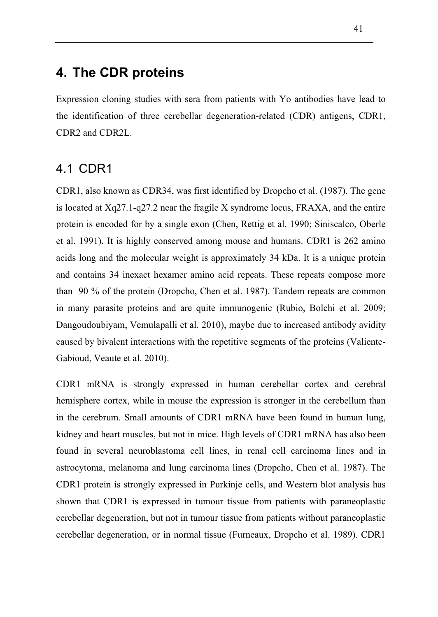## **4. The CDR proteins**

Expression cloning studies with sera from patients with Yo antibodies have lead to the identification of three cerebellar degeneration-related (CDR) antigens, CDR1, CDR2 and CDR2L.

### 4.1 CDR1

CDR1, also known as CDR34, was first identified by Dropcho et al. (1987). The gene is located at Xq27.1-q27.2 near the fragile X syndrome locus, FRAXA, and the entire protein is encoded for by a single exon (Chen, Rettig et al. 1990; Siniscalco, Oberle et al. 1991). It is highly conserved among mouse and humans. CDR1 is 262 amino acids long and the molecular weight is approximately 34 kDa. It is a unique protein and contains 34 inexact hexamer amino acid repeats. These repeats compose more than 90 % of the protein (Dropcho, Chen et al. 1987). Tandem repeats are common in many parasite proteins and are quite immunogenic (Rubio, Bolchi et al. 2009; Dangoudoubiyam, Vemulapalli et al. 2010), maybe due to increased antibody avidity caused by bivalent interactions with the repetitive segments of the proteins (Valiente-Gabioud, Veaute et al. 2010).

CDR1 mRNA is strongly expressed in human cerebellar cortex and cerebral hemisphere cortex, while in mouse the expression is stronger in the cerebellum than in the cerebrum. Small amounts of CDR1 mRNA have been found in human lung, kidney and heart muscles, but not in mice. High levels of CDR1 mRNA has also been found in several neuroblastoma cell lines, in renal cell carcinoma lines and in astrocytoma, melanoma and lung carcinoma lines (Dropcho, Chen et al. 1987). The CDR1 protein is strongly expressed in Purkinje cells, and Western blot analysis has shown that CDR1 is expressed in tumour tissue from patients with paraneoplastic cerebellar degeneration, but not in tumour tissue from patients without paraneoplastic cerebellar degeneration, or in normal tissue (Furneaux, Dropcho et al. 1989). CDR1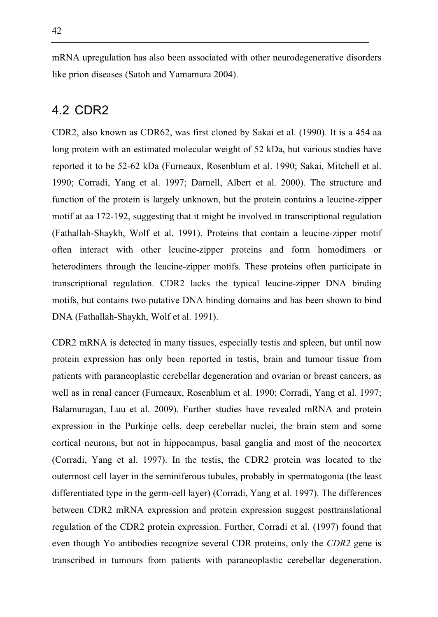mRNA upregulation has also been associated with other neurodegenerative disorders like prion diseases (Satoh and Yamamura 2004).

### 4.2 CDR2

CDR2, also known as CDR62, was first cloned by Sakai et al. (1990). It is a 454 aa long protein with an estimated molecular weight of 52 kDa, but various studies have reported it to be 52-62 kDa (Furneaux, Rosenblum et al. 1990; Sakai, Mitchell et al. 1990; Corradi, Yang et al. 1997; Darnell, Albert et al. 2000). The structure and function of the protein is largely unknown, but the protein contains a leucine-zipper motif at aa 172-192, suggesting that it might be involved in transcriptional regulation (Fathallah-Shaykh, Wolf et al. 1991). Proteins that contain a leucine-zipper motif often interact with other leucine-zipper proteins and form homodimers or heterodimers through the leucine-zipper motifs. These proteins often participate in transcriptional regulation. CDR2 lacks the typical leucine-zipper DNA binding motifs, but contains two putative DNA binding domains and has been shown to bind DNA (Fathallah-Shaykh, Wolf et al. 1991).

CDR2 mRNA is detected in many tissues, especially testis and spleen, but until now protein expression has only been reported in testis, brain and tumour tissue from patients with paraneoplastic cerebellar degeneration and ovarian or breast cancers, as well as in renal cancer (Furneaux, Rosenblum et al. 1990; Corradi, Yang et al. 1997; Balamurugan, Luu et al. 2009). Further studies have revealed mRNA and protein expression in the Purkinje cells, deep cerebellar nuclei, the brain stem and some cortical neurons, but not in hippocampus, basal ganglia and most of the neocortex (Corradi, Yang et al. 1997). In the testis, the CDR2 protein was located to the outermost cell layer in the seminiferous tubules, probably in spermatogonia (the least differentiated type in the germ-cell layer) (Corradi, Yang et al. 1997). The differences between CDR2 mRNA expression and protein expression suggest posttranslational regulation of the CDR2 protein expression. Further, Corradi et al. (1997) found that even though Yo antibodies recognize several CDR proteins, only the *CDR2* gene is transcribed in tumours from patients with paraneoplastic cerebellar degeneration.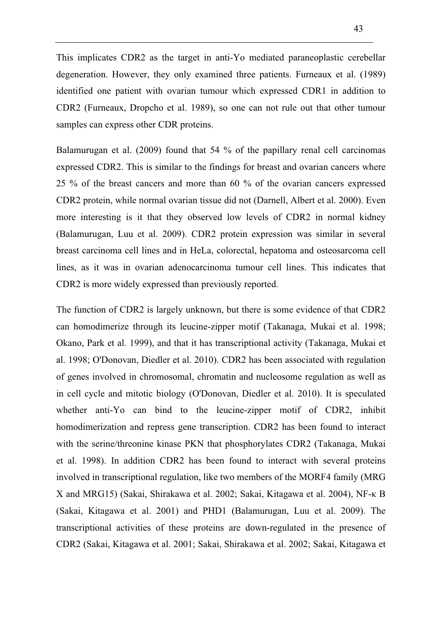This implicates CDR2 as the target in anti-Yo mediated paraneoplastic cerebellar degeneration. However, they only examined three patients. Furneaux et al. (1989) identified one patient with ovarian tumour which expressed CDR1 in addition to CDR2 (Furneaux, Dropcho et al. 1989), so one can not rule out that other tumour samples can express other CDR proteins.

Balamurugan et al. (2009) found that 54 % of the papillary renal cell carcinomas expressed CDR2. This is similar to the findings for breast and ovarian cancers where 25 % of the breast cancers and more than 60 % of the ovarian cancers expressed CDR2 protein, while normal ovarian tissue did not (Darnell, Albert et al. 2000). Even more interesting is it that they observed low levels of CDR2 in normal kidney (Balamurugan, Luu et al. 2009). CDR2 protein expression was similar in several breast carcinoma cell lines and in HeLa, colorectal, hepatoma and osteosarcoma cell lines, as it was in ovarian adenocarcinoma tumour cell lines. This indicates that CDR2 is more widely expressed than previously reported.

The function of CDR2 is largely unknown, but there is some evidence of that CDR2 can homodimerize through its leucine-zipper motif (Takanaga, Mukai et al. 1998; Okano, Park et al. 1999), and that it has transcriptional activity (Takanaga, Mukai et al. 1998; O'Donovan, Diedler et al. 2010). CDR2 has been associated with regulation of genes involved in chromosomal, chromatin and nucleosome regulation as well as in cell cycle and mitotic biology (O'Donovan, Diedler et al. 2010). It is speculated whether anti-Yo can bind to the leucine-zipper motif of CDR2, inhibit homodimerization and repress gene transcription. CDR2 has been found to interact with the serine/threonine kinase PKN that phosphorylates CDR2 (Takanaga, Mukai et al. 1998). In addition CDR2 has been found to interact with several proteins involved in transcriptional regulation, like two members of the MORF4 family (MRG X and MRG15) (Sakai, Shirakawa et al. 2002; Sakai, Kitagawa et al. 2004), NF- B (Sakai, Kitagawa et al. 2001) and PHD1 (Balamurugan, Luu et al. 2009). The transcriptional activities of these proteins are down-regulated in the presence of CDR2 (Sakai, Kitagawa et al. 2001; Sakai, Shirakawa et al. 2002; Sakai, Kitagawa et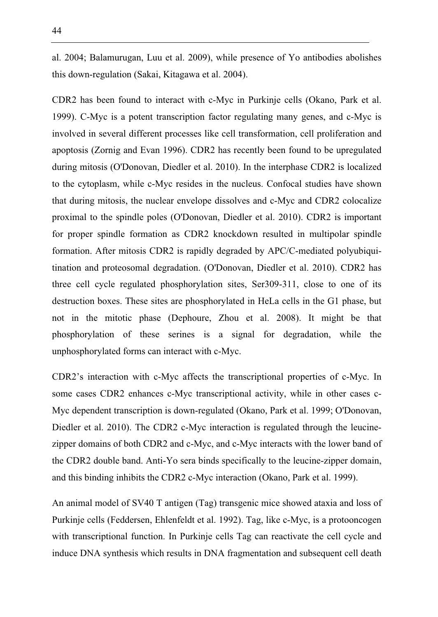al. 2004; Balamurugan, Luu et al. 2009), while presence of Yo antibodies abolishes this down-regulation (Sakai, Kitagawa et al. 2004).

CDR2 has been found to interact with c-Myc in Purkinje cells (Okano, Park et al. 1999). C-Myc is a potent transcription factor regulating many genes, and c-Myc is involved in several different processes like cell transformation, cell proliferation and apoptosis (Zornig and Evan 1996). CDR2 has recently been found to be upregulated during mitosis (O'Donovan, Diedler et al. 2010). In the interphase CDR2 is localized to the cytoplasm, while c-Myc resides in the nucleus. Confocal studies have shown that during mitosis, the nuclear envelope dissolves and c-Myc and CDR2 colocalize proximal to the spindle poles (O'Donovan, Diedler et al. 2010). CDR2 is important for proper spindle formation as CDR2 knockdown resulted in multipolar spindle formation. After mitosis CDR2 is rapidly degraded by APC/C-mediated polyubiquitination and proteosomal degradation. (O'Donovan, Diedler et al. 2010). CDR2 has three cell cycle regulated phosphorylation sites, Ser309-311, close to one of its destruction boxes. These sites are phosphorylated in HeLa cells in the G1 phase, but not in the mitotic phase (Dephoure, Zhou et al. 2008). It might be that phosphorylation of these serines is a signal for degradation, while the unphosphorylated forms can interact with c-Myc.

CDR2's interaction with c-Myc affects the transcriptional properties of c-Myc. In some cases CDR2 enhances c-Myc transcriptional activity, while in other cases c-Myc dependent transcription is down-regulated (Okano, Park et al. 1999; O'Donovan, Diedler et al. 2010). The CDR2 c-Myc interaction is regulated through the leucinezipper domains of both CDR2 and c-Myc, and c-Myc interacts with the lower band of the CDR2 double band. Anti-Yo sera binds specifically to the leucine-zipper domain, and this binding inhibits the CDR2 c-Myc interaction (Okano, Park et al. 1999).

An animal model of SV40 T antigen (Tag) transgenic mice showed ataxia and loss of Purkinje cells (Feddersen, Ehlenfeldt et al. 1992). Tag, like c-Myc, is a protooncogen with transcriptional function. In Purkinje cells Tag can reactivate the cell cycle and induce DNA synthesis which results in DNA fragmentation and subsequent cell death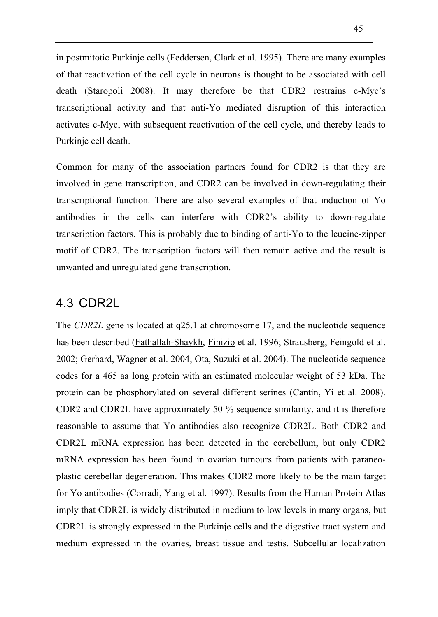in postmitotic Purkinje cells (Feddersen, Clark et al. 1995). There are many examples of that reactivation of the cell cycle in neurons is thought to be associated with cell death (Staropoli 2008). It may therefore be that CDR2 restrains c-Myc's transcriptional activity and that anti-Yo mediated disruption of this interaction activates c-Myc, with subsequent reactivation of the cell cycle, and thereby leads to Purkinje cell death.

Common for many of the association partners found for CDR2 is that they are involved in gene transcription, and CDR2 can be involved in down-regulating their transcriptional function. There are also several examples of that induction of Yo antibodies in the cells can interfere with CDR2's ability to down-regulate transcription factors. This is probably due to binding of anti-Yo to the leucine-zipper motif of CDR2. The transcription factors will then remain active and the result is unwanted and unregulated gene transcription.

### 4.3 CDR2L

The *CDR2L* gene is located at q25.1 at chromosome 17, and the nucleotide sequence has been described (Fathallah-Shaykh, Finizio et al. 1996; Strausberg, Feingold et al. 2002; Gerhard, Wagner et al. 2004; Ota, Suzuki et al. 2004). The nucleotide sequence codes for a 465 aa long protein with an estimated molecular weight of 53 kDa. The protein can be phosphorylated on several different serines (Cantin, Yi et al. 2008). CDR2 and CDR2L have approximately 50 % sequence similarity, and it is therefore reasonable to assume that Yo antibodies also recognize CDR2L. Both CDR2 and CDR2L mRNA expression has been detected in the cerebellum, but only CDR2 mRNA expression has been found in ovarian tumours from patients with paraneoplastic cerebellar degeneration. This makes CDR2 more likely to be the main target for Yo antibodies (Corradi, Yang et al. 1997). Results from the Human Protein Atlas imply that CDR2L is widely distributed in medium to low levels in many organs, but CDR2L is strongly expressed in the Purkinje cells and the digestive tract system and medium expressed in the ovaries, breast tissue and testis. Subcellular localization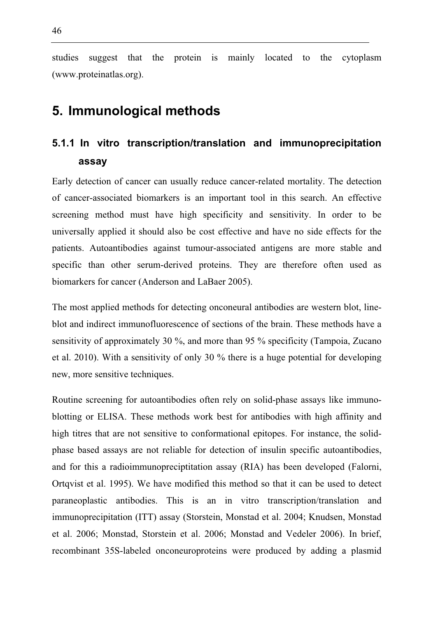studies suggest that the protein is mainly located to the cytoplasm (www.proteinatlas.org).

### **5. Immunological methods**

# **5.1.1 In vitro transcription/translation and immunoprecipitation assay**

Early detection of cancer can usually reduce cancer-related mortality. The detection of cancer-associated biomarkers is an important tool in this search. An effective screening method must have high specificity and sensitivity. In order to be universally applied it should also be cost effective and have no side effects for the patients. Autoantibodies against tumour-associated antigens are more stable and specific than other serum-derived proteins. They are therefore often used as biomarkers for cancer (Anderson and LaBaer 2005).

The most applied methods for detecting onconeural antibodies are western blot, lineblot and indirect immunofluorescence of sections of the brain. These methods have a sensitivity of approximately 30 %, and more than 95 % specificity (Tampoia, Zucano et al. 2010). With a sensitivity of only 30 % there is a huge potential for developing new, more sensitive techniques.

Routine screening for autoantibodies often rely on solid-phase assays like immunoblotting or ELISA. These methods work best for antibodies with high affinity and high titres that are not sensitive to conformational epitopes. For instance, the solidphase based assays are not reliable for detection of insulin specific autoantibodies, and for this a radioimmunopreciptitation assay (RIA) has been developed (Falorni, Ortqvist et al. 1995). We have modified this method so that it can be used to detect paraneoplastic antibodies. This is an in vitro transcription/translation and immunoprecipitation (ITT) assay (Storstein, Monstad et al. 2004; Knudsen, Monstad et al. 2006; Monstad, Storstein et al. 2006; Monstad and Vedeler 2006). In brief, recombinant 35S-labeled onconeuroproteins were produced by adding a plasmid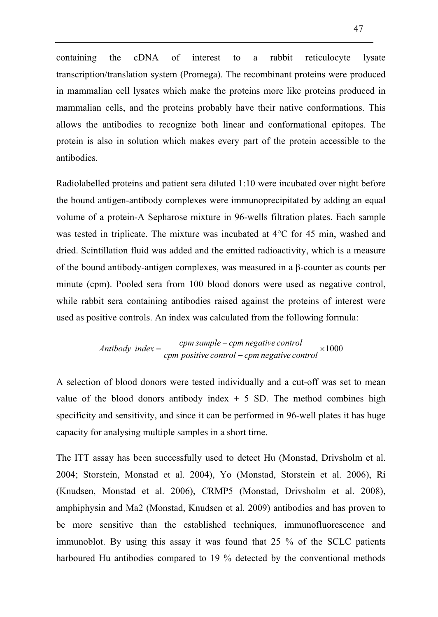containing the cDNA of interest to a rabbit reticulocyte lysate transcription/translation system (Promega). The recombinant proteins were produced in mammalian cell lysates which make the proteins more like proteins produced in mammalian cells, and the proteins probably have their native conformations. This allows the antibodies to recognize both linear and conformational epitopes. The protein is also in solution which makes every part of the protein accessible to the antibodies.

Radiolabelled proteins and patient sera diluted 1:10 were incubated over night before the bound antigen-antibody complexes were immunoprecipitated by adding an equal volume of a protein-A Sepharose mixture in 96-wells filtration plates. Each sample was tested in triplicate. The mixture was incubated at 4°C for 45 min, washed and dried. Scintillation fluid was added and the emitted radioactivity, which is a measure of the bound antibody-antigen complexes, was measured in a  $\beta$ -counter as counts per minute (cpm). Pooled sera from 100 blood donors were used as negative control, while rabbit sera containing antibodies raised against the proteins of interest were used as positive controls. An index was calculated from the following formula:

Antibody index = 
$$
\frac{cpm \, sample - cpm \, negative \, control}{cpm \, positive \, control -cpm \, negative \, control} \times 1000
$$

A selection of blood donors were tested individually and a cut-off was set to mean value of the blood donors antibody index  $+ 5$  SD. The method combines high specificity and sensitivity, and since it can be performed in 96-well plates it has huge capacity for analysing multiple samples in a short time.

The ITT assay has been successfully used to detect Hu (Monstad, Drivsholm et al. 2004; Storstein, Monstad et al. 2004), Yo (Monstad, Storstein et al. 2006), Ri (Knudsen, Monstad et al. 2006), CRMP5 (Monstad, Drivsholm et al. 2008), amphiphysin and Ma2 (Monstad, Knudsen et al. 2009) antibodies and has proven to be more sensitive than the established techniques, immunofluorescence and immunoblot. By using this assay it was found that 25 % of the SCLC patients harboured Hu antibodies compared to 19 % detected by the conventional methods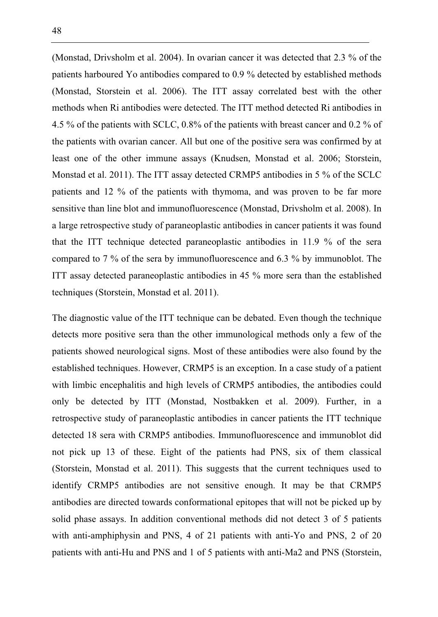(Monstad, Drivsholm et al. 2004). In ovarian cancer it was detected that 2.3 % of the patients harboured Yo antibodies compared to 0.9 % detected by established methods (Monstad, Storstein et al. 2006). The ITT assay correlated best with the other methods when Ri antibodies were detected. The ITT method detected Ri antibodies in 4.5 % of the patients with SCLC, 0.8% of the patients with breast cancer and 0.2 % of the patients with ovarian cancer. All but one of the positive sera was confirmed by at least one of the other immune assays (Knudsen, Monstad et al. 2006; Storstein, Monstad et al. 2011). The ITT assay detected CRMP5 antibodies in 5 % of the SCLC patients and 12 % of the patients with thymoma, and was proven to be far more sensitive than line blot and immunofluorescence (Monstad, Drivsholm et al. 2008). In a large retrospective study of paraneoplastic antibodies in cancer patients it was found that the ITT technique detected paraneoplastic antibodies in 11.9 % of the sera compared to 7 % of the sera by immunofluorescence and 6.3 % by immunoblot. The ITT assay detected paraneoplastic antibodies in 45 % more sera than the established techniques (Storstein, Monstad et al. 2011).

The diagnostic value of the ITT technique can be debated. Even though the technique detects more positive sera than the other immunological methods only a few of the patients showed neurological signs. Most of these antibodies were also found by the established techniques. However, CRMP5 is an exception. In a case study of a patient with limbic encephalitis and high levels of CRMP5 antibodies, the antibodies could only be detected by ITT (Monstad, Nostbakken et al. 2009). Further, in a retrospective study of paraneoplastic antibodies in cancer patients the ITT technique detected 18 sera with CRMP5 antibodies. Immunofluorescence and immunoblot did not pick up 13 of these. Eight of the patients had PNS, six of them classical (Storstein, Monstad et al. 2011). This suggests that the current techniques used to identify CRMP5 antibodies are not sensitive enough. It may be that CRMP5 antibodies are directed towards conformational epitopes that will not be picked up by solid phase assays. In addition conventional methods did not detect 3 of 5 patients with anti-amphiphysin and PNS, 4 of 21 patients with anti-Yo and PNS, 2 of 20 patients with anti-Hu and PNS and 1 of 5 patients with anti-Ma2 and PNS (Storstein,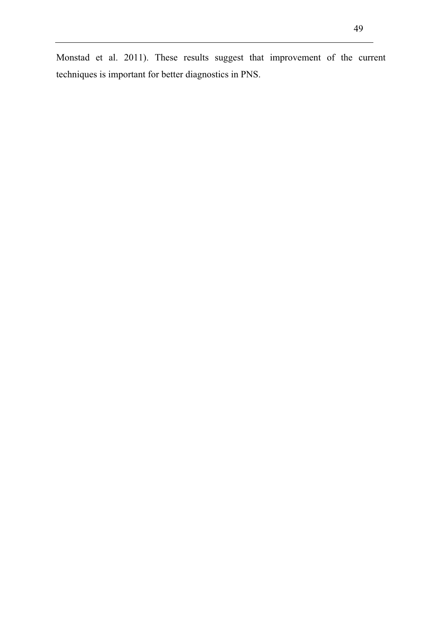Monstad et al. 2011). These results suggest that improvement of the current techniques is important for better diagnostics in PNS.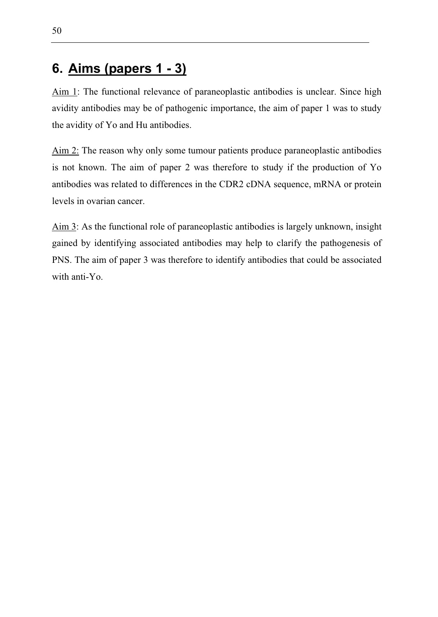# **6. Aims (papers 1 - 3)**

Aim 1: The functional relevance of paraneoplastic antibodies is unclear. Since high avidity antibodies may be of pathogenic importance, the aim of paper 1 was to study the avidity of Yo and Hu antibodies.

Aim 2: The reason why only some tumour patients produce paraneoplastic antibodies is not known. The aim of paper 2 was therefore to study if the production of Yo antibodies was related to differences in the CDR2 cDNA sequence, mRNA or protein levels in ovarian cancer.

Aim 3: As the functional role of paraneoplastic antibodies is largely unknown, insight gained by identifying associated antibodies may help to clarify the pathogenesis of PNS. The aim of paper 3 was therefore to identify antibodies that could be associated with anti-Yo.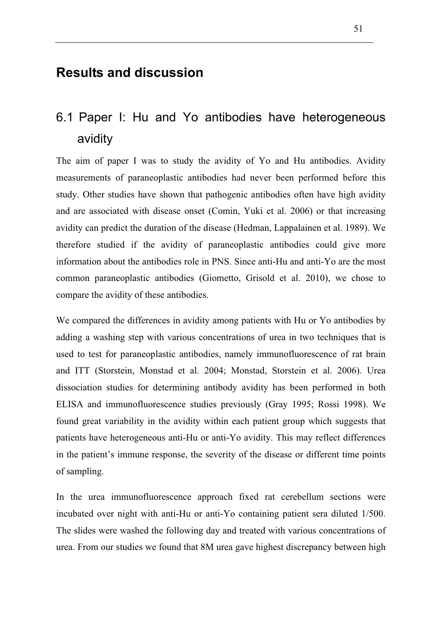# **Results and discussion**

# 6.1 Paper I: Hu and Yo antibodies have heterogeneous avidity

The aim of paper I was to study the avidity of Yo and Hu antibodies. Avidity measurements of paraneoplastic antibodies had never been performed before this study. Other studies have shown that pathogenic antibodies often have high avidity and are associated with disease onset (Comin, Yuki et al. 2006) or that increasing avidity can predict the duration of the disease (Hedman, Lappalainen et al. 1989). We therefore studied if the avidity of paraneoplastic antibodies could give more information about the antibodies role in PNS. Since anti-Hu and anti-Yo are the most common paraneoplastic antibodies (Giometto, Grisold et al. 2010), we chose to compare the avidity of these antibodies.

We compared the differences in avidity among patients with Hu or Yo antibodies by adding a washing step with various concentrations of urea in two techniques that is used to test for paraneoplastic antibodies, namely immunofluorescence of rat brain and ITT (Storstein, Monstad et al. 2004; Monstad, Storstein et al. 2006). Urea dissociation studies for determining antibody avidity has been performed in both ELISA and immunofluorescence studies previously (Gray 1995; Rossi 1998). We found great variability in the avidity within each patient group which suggests that patients have heterogeneous anti-Hu or anti-Yo avidity. This may reflect differences in the patient's immune response, the severity of the disease or different time points of sampling.

In the urea immunofluorescence approach fixed rat cerebellum sections were incubated over night with anti-Hu or anti-Yo containing patient sera diluted 1/500. The slides were washed the following day and treated with various concentrations of urea. From our studies we found that 8M urea gave highest discrepancy between high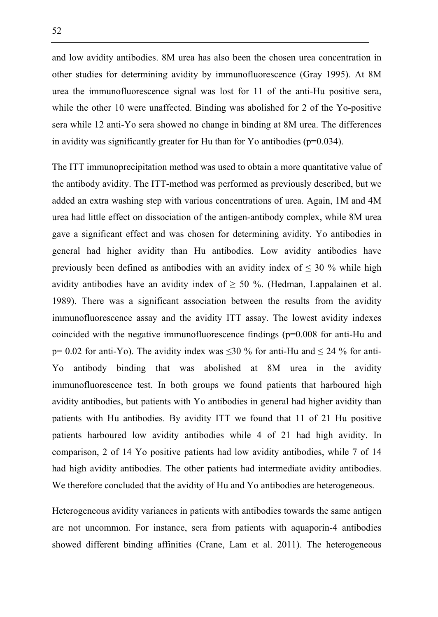and low avidity antibodies. 8M urea has also been the chosen urea concentration in other studies for determining avidity by immunofluorescence (Gray 1995). At 8M urea the immunofluorescence signal was lost for 11 of the anti-Hu positive sera, while the other 10 were unaffected. Binding was abolished for 2 of the Yo-positive sera while 12 anti-Yo sera showed no change in binding at 8M urea. The differences in avidity was significantly greater for Hu than for Yo antibodies ( $p=0.034$ ).

The ITT immunoprecipitation method was used to obtain a more quantitative value of the antibody avidity. The ITT-method was performed as previously described, but we added an extra washing step with various concentrations of urea. Again, 1M and 4M urea had little effect on dissociation of the antigen-antibody complex, while 8M urea gave a significant effect and was chosen for determining avidity. Yo antibodies in general had higher avidity than Hu antibodies. Low avidity antibodies have previously been defined as antibodies with an avidity index of  $\leq 30$  % while high avidity antibodies have an avidity index of  $\geq$  50 %. (Hedman, Lappalainen et al. 1989). There was a significant association between the results from the avidity immunofluorescence assay and the avidity ITT assay. The lowest avidity indexes coincided with the negative immunofluorescence findings  $(p=0.008$  for anti-Hu and  $p= 0.02$  for anti-Yo). The avidity index was  $\leq 30$  % for anti-Hu and  $\leq 24$  % for anti-Yo antibody binding that was abolished at 8M urea in the avidity immunofluorescence test. In both groups we found patients that harboured high avidity antibodies, but patients with Yo antibodies in general had higher avidity than patients with Hu antibodies. By avidity ITT we found that 11 of 21 Hu positive patients harboured low avidity antibodies while 4 of 21 had high avidity. In comparison, 2 of 14 Yo positive patients had low avidity antibodies, while 7 of 14 had high avidity antibodies. The other patients had intermediate avidity antibodies. We therefore concluded that the avidity of Hu and Yo antibodies are heterogeneous.

Heterogeneous avidity variances in patients with antibodies towards the same antigen are not uncommon. For instance, sera from patients with aquaporin-4 antibodies showed different binding affinities (Crane, Lam et al. 2011). The heterogeneous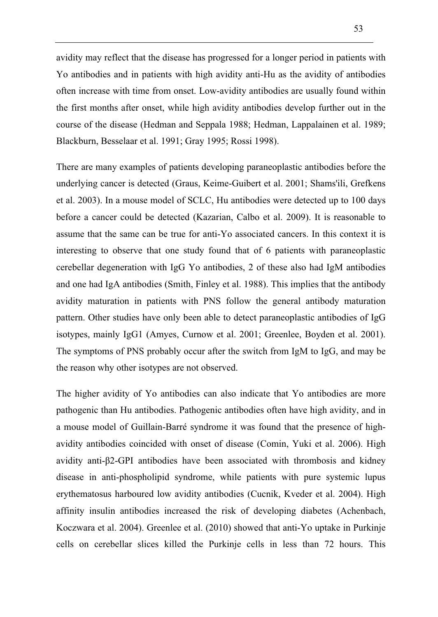avidity may reflect that the disease has progressed for a longer period in patients with Yo antibodies and in patients with high avidity anti-Hu as the avidity of antibodies often increase with time from onset. Low-avidity antibodies are usually found within the first months after onset, while high avidity antibodies develop further out in the course of the disease (Hedman and Seppala 1988; Hedman, Lappalainen et al. 1989; Blackburn, Besselaar et al. 1991; Gray 1995; Rossi 1998).

There are many examples of patients developing paraneoplastic antibodies before the underlying cancer is detected (Graus, Keime-Guibert et al. 2001; Shams'ili, Grefkens et al. 2003). In a mouse model of SCLC, Hu antibodies were detected up to 100 days before a cancer could be detected (Kazarian, Calbo et al. 2009). It is reasonable to assume that the same can be true for anti-Yo associated cancers. In this context it is interesting to observe that one study found that of 6 patients with paraneoplastic cerebellar degeneration with IgG Yo antibodies, 2 of these also had IgM antibodies and one had IgA antibodies (Smith, Finley et al. 1988). This implies that the antibody avidity maturation in patients with PNS follow the general antibody maturation pattern. Other studies have only been able to detect paraneoplastic antibodies of IgG isotypes, mainly IgG1 (Amyes, Curnow et al. 2001; Greenlee, Boyden et al. 2001). The symptoms of PNS probably occur after the switch from IgM to IgG, and may be the reason why other isotypes are not observed.

The higher avidity of Yo antibodies can also indicate that Yo antibodies are more pathogenic than Hu antibodies. Pathogenic antibodies often have high avidity, and in a mouse model of Guillain-Barré syndrome it was found that the presence of highavidity antibodies coincided with onset of disease (Comin, Yuki et al. 2006). High avidity anti- $\beta$ 2-GPI antibodies have been associated with thrombosis and kidney disease in anti-phospholipid syndrome, while patients with pure systemic lupus erythematosus harboured low avidity antibodies (Cucnik, Kveder et al. 2004). High affinity insulin antibodies increased the risk of developing diabetes (Achenbach, Koczwara et al. 2004). Greenlee et al. (2010) showed that anti-Yo uptake in Purkinje cells on cerebellar slices killed the Purkinje cells in less than 72 hours. This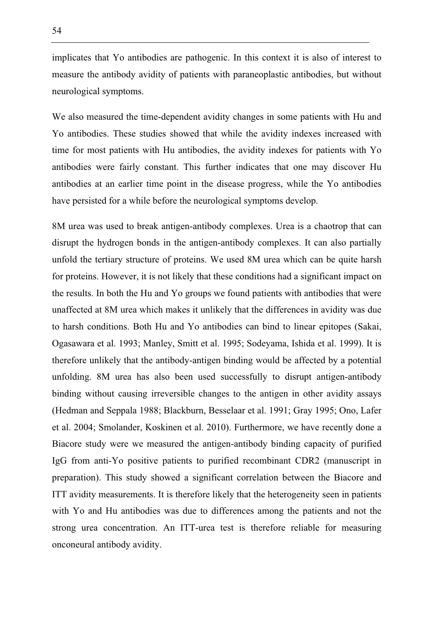implicates that Yo antibodies are pathogenic. In this context it is also of interest to measure the antibody avidity of patients with paraneoplastic antibodies, but without neurological symptoms.

We also measured the time-dependent avidity changes in some patients with Hu and Yo antibodies. These studies showed that while the avidity indexes increased with time for most patients with Hu antibodies, the avidity indexes for patients with Yo antibodies were fairly constant. This further indicates that one may discover Hu antibodies at an earlier time point in the disease progress, while the Yo antibodies have persisted for a while before the neurological symptoms develop.

8M urea was used to break antigen-antibody complexes. Urea is a chaotrop that can disrupt the hydrogen bonds in the antigen-antibody complexes. It can also partially unfold the tertiary structure of proteins. We used 8M urea which can be quite harsh for proteins. However, it is not likely that these conditions had a significant impact on the results. In both the Hu and Yo groups we found patients with antibodies that were unaffected at 8M urea which makes it unlikely that the differences in avidity was due to harsh conditions. Both Hu and Yo antibodies can bind to linear epitopes (Sakai, Ogasawara et al. 1993; Manley, Smitt et al. 1995; Sodeyama, Ishida et al. 1999). It is therefore unlikely that the antibody-antigen binding would be affected by a potential unfolding. 8M urea has also been used successfully to disrupt antigen-antibody binding without causing irreversible changes to the antigen in other avidity assays (Hedman and Seppala 1988; Blackburn, Besselaar et al. 1991; Gray 1995; Ono, Lafer et al. 2004; Smolander, Koskinen et al. 2010). Furthermore, we have recently done a Biacore study were we measured the antigen-antibody binding capacity of purified IgG from anti-Yo positive patients to purified recombinant CDR2 (manuscript in preparation). This study showed a significant correlation between the Biacore and ITT avidity measurements. It is therefore likely that the heterogeneity seen in patients with Yo and Hu antibodies was due to differences among the patients and not the strong urea concentration. An ITT-urea test is therefore reliable for measuring onconeural antibody avidity.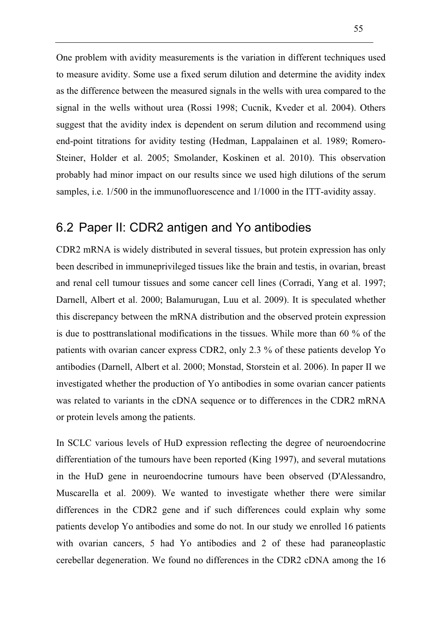One problem with avidity measurements is the variation in different techniques used to measure avidity. Some use a fixed serum dilution and determine the avidity index as the difference between the measured signals in the wells with urea compared to the signal in the wells without urea (Rossi 1998; Cucnik, Kveder et al. 2004). Others suggest that the avidity index is dependent on serum dilution and recommend using end-point titrations for avidity testing (Hedman, Lappalainen et al. 1989; Romero-Steiner, Holder et al. 2005; Smolander, Koskinen et al. 2010). This observation probably had minor impact on our results since we used high dilutions of the serum samples, i.e. 1/500 in the immunofluorescence and 1/1000 in the ITT-avidity assay.

### 6.2 Paper II: CDR2 antigen and Yo antibodies

CDR2 mRNA is widely distributed in several tissues, but protein expression has only been described in immuneprivileged tissues like the brain and testis, in ovarian, breast and renal cell tumour tissues and some cancer cell lines (Corradi, Yang et al. 1997; Darnell, Albert et al. 2000; Balamurugan, Luu et al. 2009). It is speculated whether this discrepancy between the mRNA distribution and the observed protein expression is due to posttranslational modifications in the tissues. While more than 60 % of the patients with ovarian cancer express CDR2, only 2.3 % of these patients develop Yo antibodies (Darnell, Albert et al. 2000; Monstad, Storstein et al. 2006). In paper II we investigated whether the production of Yo antibodies in some ovarian cancer patients was related to variants in the cDNA sequence or to differences in the CDR2 mRNA or protein levels among the patients.

In SCLC various levels of HuD expression reflecting the degree of neuroendocrine differentiation of the tumours have been reported (King 1997), and several mutations in the HuD gene in neuroendocrine tumours have been observed (D'Alessandro, Muscarella et al. 2009). We wanted to investigate whether there were similar differences in the CDR2 gene and if such differences could explain why some patients develop Yo antibodies and some do not. In our study we enrolled 16 patients with ovarian cancers, 5 had Yo antibodies and 2 of these had paraneoplastic cerebellar degeneration. We found no differences in the CDR2 cDNA among the 16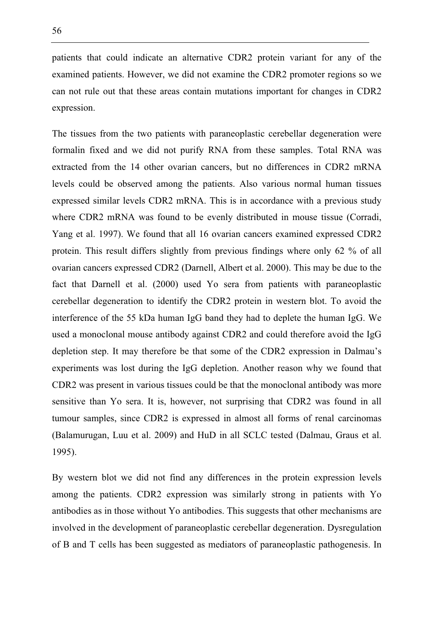patients that could indicate an alternative CDR2 protein variant for any of the examined patients. However, we did not examine the CDR2 promoter regions so we can not rule out that these areas contain mutations important for changes in CDR2 expression.

The tissues from the two patients with paraneoplastic cerebellar degeneration were formalin fixed and we did not purify RNA from these samples. Total RNA was extracted from the 14 other ovarian cancers, but no differences in CDR2 mRNA levels could be observed among the patients. Also various normal human tissues expressed similar levels CDR2 mRNA. This is in accordance with a previous study where CDR2 mRNA was found to be evenly distributed in mouse tissue (Corradi, Yang et al. 1997). We found that all 16 ovarian cancers examined expressed CDR2 protein. This result differs slightly from previous findings where only 62 % of all ovarian cancers expressed CDR2 (Darnell, Albert et al. 2000). This may be due to the fact that Darnell et al. (2000) used Yo sera from patients with paraneoplastic cerebellar degeneration to identify the CDR2 protein in western blot. To avoid the interference of the 55 kDa human IgG band they had to deplete the human IgG. We used a monoclonal mouse antibody against CDR2 and could therefore avoid the IgG depletion step. It may therefore be that some of the CDR2 expression in Dalmau's experiments was lost during the IgG depletion. Another reason why we found that CDR2 was present in various tissues could be that the monoclonal antibody was more sensitive than Yo sera. It is, however, not surprising that CDR2 was found in all tumour samples, since CDR2 is expressed in almost all forms of renal carcinomas (Balamurugan, Luu et al. 2009) and HuD in all SCLC tested (Dalmau, Graus et al. 1995).

By western blot we did not find any differences in the protein expression levels among the patients. CDR2 expression was similarly strong in patients with Yo antibodies as in those without Yo antibodies. This suggests that other mechanisms are involved in the development of paraneoplastic cerebellar degeneration. Dysregulation of B and T cells has been suggested as mediators of paraneoplastic pathogenesis. In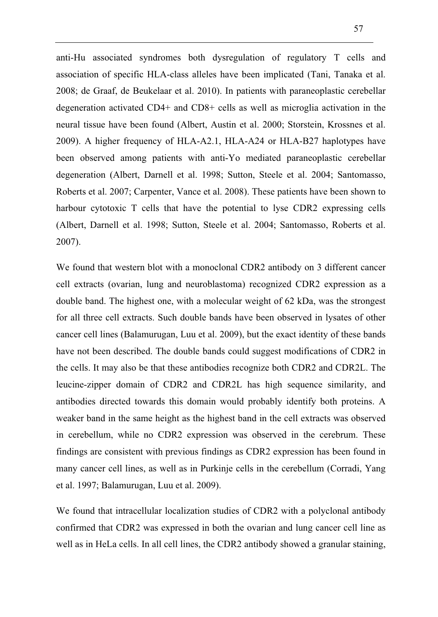anti-Hu associated syndromes both dysregulation of regulatory T cells and association of specific HLA-class alleles have been implicated (Tani, Tanaka et al. 2008; de Graaf, de Beukelaar et al. 2010). In patients with paraneoplastic cerebellar degeneration activated CD4+ and CD8+ cells as well as microglia activation in the neural tissue have been found (Albert, Austin et al. 2000; Storstein, Krossnes et al. 2009). A higher frequency of HLA-A2.1, HLA-A24 or HLA-B27 haplotypes have been observed among patients with anti-Yo mediated paraneoplastic cerebellar degeneration (Albert, Darnell et al. 1998; Sutton, Steele et al. 2004; Santomasso, Roberts et al. 2007; Carpenter, Vance et al. 2008). These patients have been shown to harbour cytotoxic T cells that have the potential to lyse CDR2 expressing cells (Albert, Darnell et al. 1998; Sutton, Steele et al. 2004; Santomasso, Roberts et al. 2007).

We found that western blot with a monoclonal CDR2 antibody on 3 different cancer cell extracts (ovarian, lung and neuroblastoma) recognized CDR2 expression as a double band. The highest one, with a molecular weight of 62 kDa, was the strongest for all three cell extracts. Such double bands have been observed in lysates of other cancer cell lines (Balamurugan, Luu et al. 2009), but the exact identity of these bands have not been described. The double bands could suggest modifications of CDR2 in the cells. It may also be that these antibodies recognize both CDR2 and CDR2L. The leucine-zipper domain of CDR2 and CDR2L has high sequence similarity, and antibodies directed towards this domain would probably identify both proteins. A weaker band in the same height as the highest band in the cell extracts was observed in cerebellum, while no CDR2 expression was observed in the cerebrum. These findings are consistent with previous findings as CDR2 expression has been found in many cancer cell lines, as well as in Purkinje cells in the cerebellum (Corradi, Yang et al. 1997; Balamurugan, Luu et al. 2009).

We found that intracellular localization studies of CDR2 with a polyclonal antibody confirmed that CDR2 was expressed in both the ovarian and lung cancer cell line as well as in HeLa cells. In all cell lines, the CDR2 antibody showed a granular staining,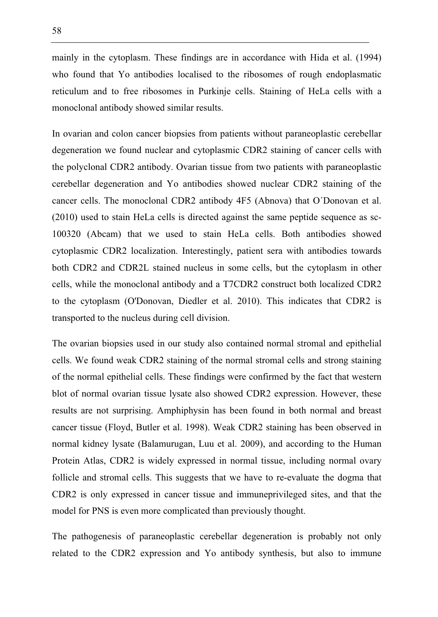mainly in the cytoplasm. These findings are in accordance with Hida et al. (1994) who found that Yo antibodies localised to the ribosomes of rough endoplasmatic reticulum and to free ribosomes in Purkinje cells. Staining of HeLa cells with a monoclonal antibody showed similar results.

In ovarian and colon cancer biopsies from patients without paraneoplastic cerebellar degeneration we found nuclear and cytoplasmic CDR2 staining of cancer cells with the polyclonal CDR2 antibody. Ovarian tissue from two patients with paraneoplastic cerebellar degeneration and Yo antibodies showed nuclear CDR2 staining of the cancer cells. The monoclonal CDR2 antibody 4F5 (Abnova) that O´Donovan et al. (2010) used to stain HeLa cells is directed against the same peptide sequence as sc-100320 (Abcam) that we used to stain HeLa cells. Both antibodies showed cytoplasmic CDR2 localization. Interestingly, patient sera with antibodies towards both CDR2 and CDR2L stained nucleus in some cells, but the cytoplasm in other cells, while the monoclonal antibody and a T7CDR2 construct both localized CDR2 to the cytoplasm (O'Donovan, Diedler et al. 2010). This indicates that CDR2 is transported to the nucleus during cell division.

The ovarian biopsies used in our study also contained normal stromal and epithelial cells. We found weak CDR2 staining of the normal stromal cells and strong staining of the normal epithelial cells. These findings were confirmed by the fact that western blot of normal ovarian tissue lysate also showed CDR2 expression. However, these results are not surprising. Amphiphysin has been found in both normal and breast cancer tissue (Floyd, Butler et al. 1998). Weak CDR2 staining has been observed in normal kidney lysate (Balamurugan, Luu et al. 2009), and according to the Human Protein Atlas, CDR2 is widely expressed in normal tissue, including normal ovary follicle and stromal cells. This suggests that we have to re-evaluate the dogma that CDR2 is only expressed in cancer tissue and immuneprivileged sites, and that the model for PNS is even more complicated than previously thought.

The pathogenesis of paraneoplastic cerebellar degeneration is probably not only related to the CDR2 expression and Yo antibody synthesis, but also to immune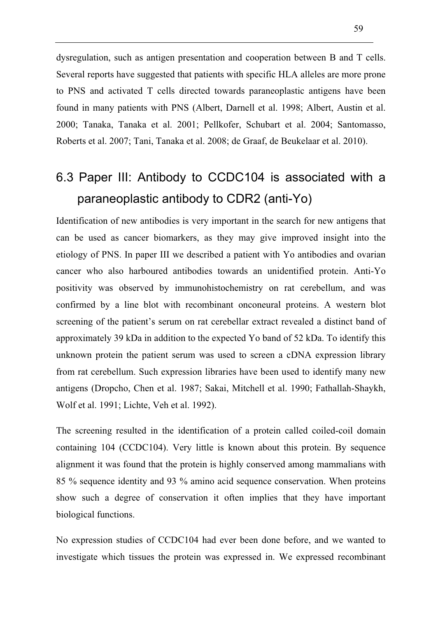dysregulation, such as antigen presentation and cooperation between B and T cells. Several reports have suggested that patients with specific HLA alleles are more prone to PNS and activated T cells directed towards paraneoplastic antigens have been found in many patients with PNS (Albert, Darnell et al. 1998; Albert, Austin et al. 2000; Tanaka, Tanaka et al. 2001; Pellkofer, Schubart et al. 2004; Santomasso, Roberts et al. 2007; Tani, Tanaka et al. 2008; de Graaf, de Beukelaar et al. 2010).

# 6.3 Paper III: Antibody to CCDC104 is associated with a paraneoplastic antibody to CDR2 (anti-Yo)

Identification of new antibodies is very important in the search for new antigens that can be used as cancer biomarkers, as they may give improved insight into the etiology of PNS. In paper III we described a patient with Yo antibodies and ovarian cancer who also harboured antibodies towards an unidentified protein. Anti-Yo positivity was observed by immunohistochemistry on rat cerebellum, and was confirmed by a line blot with recombinant onconeural proteins. A western blot screening of the patient's serum on rat cerebellar extract revealed a distinct band of approximately 39 kDa in addition to the expected Yo band of 52 kDa. To identify this unknown protein the patient serum was used to screen a cDNA expression library from rat cerebellum. Such expression libraries have been used to identify many new antigens (Dropcho, Chen et al. 1987; Sakai, Mitchell et al. 1990; Fathallah-Shaykh, Wolf et al. 1991; Lichte, Veh et al. 1992).

The screening resulted in the identification of a protein called coiled-coil domain containing 104 (CCDC104). Very little is known about this protein. By sequence alignment it was found that the protein is highly conserved among mammalians with 85 % sequence identity and 93 % amino acid sequence conservation. When proteins show such a degree of conservation it often implies that they have important biological functions.

No expression studies of CCDC104 had ever been done before, and we wanted to investigate which tissues the protein was expressed in. We expressed recombinant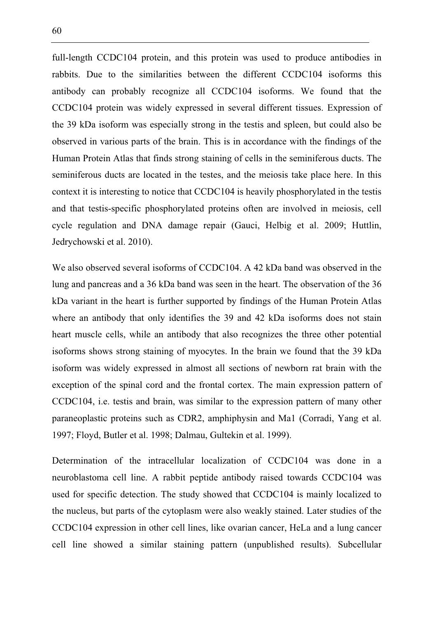full-length CCDC104 protein, and this protein was used to produce antibodies in rabbits. Due to the similarities between the different CCDC104 isoforms this antibody can probably recognize all CCDC104 isoforms. We found that the CCDC104 protein was widely expressed in several different tissues. Expression of the 39 kDa isoform was especially strong in the testis and spleen, but could also be observed in various parts of the brain. This is in accordance with the findings of the Human Protein Atlas that finds strong staining of cells in the seminiferous ducts. The seminiferous ducts are located in the testes, and the meiosis take place here. In this context it is interesting to notice that CCDC104 is heavily phosphorylated in the testis and that testis-specific phosphorylated proteins often are involved in meiosis, cell cycle regulation and DNA damage repair (Gauci, Helbig et al. 2009; Huttlin, Jedrychowski et al. 2010).

We also observed several isoforms of CCDC104. A 42 kDa band was observed in the lung and pancreas and a 36 kDa band was seen in the heart. The observation of the 36 kDa variant in the heart is further supported by findings of the Human Protein Atlas where an antibody that only identifies the 39 and 42 kDa isoforms does not stain heart muscle cells, while an antibody that also recognizes the three other potential isoforms shows strong staining of myocytes. In the brain we found that the 39 kDa isoform was widely expressed in almost all sections of newborn rat brain with the exception of the spinal cord and the frontal cortex. The main expression pattern of CCDC104, i.e. testis and brain, was similar to the expression pattern of many other paraneoplastic proteins such as CDR2, amphiphysin and Ma1 (Corradi, Yang et al. 1997; Floyd, Butler et al. 1998; Dalmau, Gultekin et al. 1999).

Determination of the intracellular localization of CCDC104 was done in a neuroblastoma cell line. A rabbit peptide antibody raised towards CCDC104 was used for specific detection. The study showed that CCDC104 is mainly localized to the nucleus, but parts of the cytoplasm were also weakly stained. Later studies of the CCDC104 expression in other cell lines, like ovarian cancer, HeLa and a lung cancer cell line showed a similar staining pattern (unpublished results). Subcellular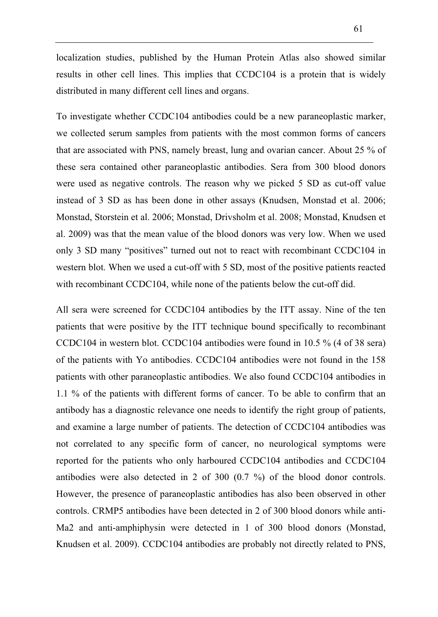localization studies, published by the Human Protein Atlas also showed similar results in other cell lines. This implies that CCDC104 is a protein that is widely distributed in many different cell lines and organs.

To investigate whether CCDC104 antibodies could be a new paraneoplastic marker, we collected serum samples from patients with the most common forms of cancers that are associated with PNS, namely breast, lung and ovarian cancer. About 25 % of these sera contained other paraneoplastic antibodies. Sera from 300 blood donors were used as negative controls. The reason why we picked 5 SD as cut-off value instead of 3 SD as has been done in other assays (Knudsen, Monstad et al. 2006; Monstad, Storstein et al. 2006; Monstad, Drivsholm et al. 2008; Monstad, Knudsen et al. 2009) was that the mean value of the blood donors was very low. When we used only 3 SD many "positives" turned out not to react with recombinant CCDC104 in western blot. When we used a cut-off with 5 SD, most of the positive patients reacted with recombinant CCDC104, while none of the patients below the cut-off did.

All sera were screened for CCDC104 antibodies by the ITT assay. Nine of the ten patients that were positive by the ITT technique bound specifically to recombinant CCDC104 in western blot. CCDC104 antibodies were found in 10.5 % (4 of 38 sera) of the patients with Yo antibodies. CCDC104 antibodies were not found in the 158 patients with other paraneoplastic antibodies. We also found CCDC104 antibodies in 1.1 % of the patients with different forms of cancer. To be able to confirm that an antibody has a diagnostic relevance one needs to identify the right group of patients, and examine a large number of patients. The detection of CCDC104 antibodies was not correlated to any specific form of cancer, no neurological symptoms were reported for the patients who only harboured CCDC104 antibodies and CCDC104 antibodies were also detected in 2 of 300 (0.7 %) of the blood donor controls. However, the presence of paraneoplastic antibodies has also been observed in other controls. CRMP5 antibodies have been detected in 2 of 300 blood donors while anti-Ma2 and anti-amphiphysin were detected in 1 of 300 blood donors (Monstad, Knudsen et al. 2009). CCDC104 antibodies are probably not directly related to PNS,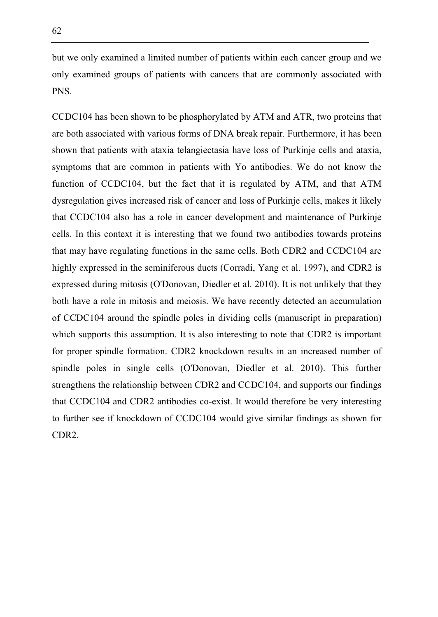but we only examined a limited number of patients within each cancer group and we only examined groups of patients with cancers that are commonly associated with PNS.

CCDC104 has been shown to be phosphorylated by ATM and ATR, two proteins that are both associated with various forms of DNA break repair. Furthermore, it has been shown that patients with ataxia telangiectasia have loss of Purkinje cells and ataxia, symptoms that are common in patients with Yo antibodies. We do not know the function of CCDC104, but the fact that it is regulated by ATM, and that ATM dysregulation gives increased risk of cancer and loss of Purkinje cells, makes it likely that CCDC104 also has a role in cancer development and maintenance of Purkinje cells. In this context it is interesting that we found two antibodies towards proteins that may have regulating functions in the same cells. Both CDR2 and CCDC104 are highly expressed in the seminiferous ducts (Corradi, Yang et al. 1997), and CDR2 is expressed during mitosis (O'Donovan, Diedler et al. 2010). It is not unlikely that they both have a role in mitosis and meiosis. We have recently detected an accumulation of CCDC104 around the spindle poles in dividing cells (manuscript in preparation) which supports this assumption. It is also interesting to note that CDR2 is important for proper spindle formation. CDR2 knockdown results in an increased number of spindle poles in single cells (O'Donovan, Diedler et al. 2010). This further strengthens the relationship between CDR2 and CCDC104, and supports our findings that CCDC104 and CDR2 antibodies co-exist. It would therefore be very interesting to further see if knockdown of CCDC104 would give similar findings as shown for CDR2.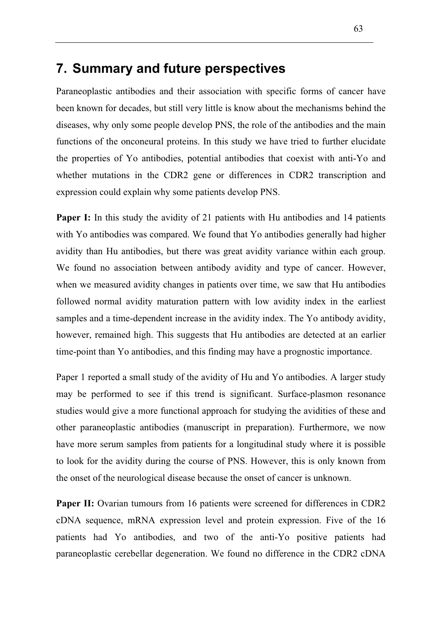## **7. Summary and future perspectives**

Paraneoplastic antibodies and their association with specific forms of cancer have been known for decades, but still very little is know about the mechanisms behind the diseases, why only some people develop PNS, the role of the antibodies and the main functions of the onconeural proteins. In this study we have tried to further elucidate the properties of Yo antibodies, potential antibodies that coexist with anti-Yo and whether mutations in the CDR2 gene or differences in CDR2 transcription and expression could explain why some patients develop PNS.

**Paper I:** In this study the avidity of 21 patients with Hu antibodies and 14 patients with Yo antibodies was compared. We found that Yo antibodies generally had higher avidity than Hu antibodies, but there was great avidity variance within each group. We found no association between antibody avidity and type of cancer. However, when we measured avidity changes in patients over time, we saw that Hu antibodies followed normal avidity maturation pattern with low avidity index in the earliest samples and a time-dependent increase in the avidity index. The Yo antibody avidity, however, remained high. This suggests that Hu antibodies are detected at an earlier time-point than Yo antibodies, and this finding may have a prognostic importance.

Paper 1 reported a small study of the avidity of Hu and Yo antibodies. A larger study may be performed to see if this trend is significant. Surface-plasmon resonance studies would give a more functional approach for studying the avidities of these and other paraneoplastic antibodies (manuscript in preparation). Furthermore, we now have more serum samples from patients for a longitudinal study where it is possible to look for the avidity during the course of PNS. However, this is only known from the onset of the neurological disease because the onset of cancer is unknown.

**Paper II:** Ovarian tumours from 16 patients were screened for differences in CDR2 cDNA sequence, mRNA expression level and protein expression. Five of the 16 patients had Yo antibodies, and two of the anti-Yo positive patients had paraneoplastic cerebellar degeneration. We found no difference in the CDR2 cDNA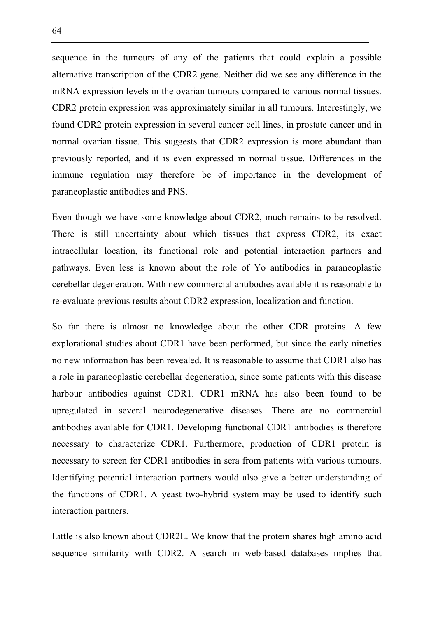sequence in the tumours of any of the patients that could explain a possible alternative transcription of the CDR2 gene. Neither did we see any difference in the mRNA expression levels in the ovarian tumours compared to various normal tissues. CDR2 protein expression was approximately similar in all tumours. Interestingly, we found CDR2 protein expression in several cancer cell lines, in prostate cancer and in normal ovarian tissue. This suggests that CDR2 expression is more abundant than previously reported, and it is even expressed in normal tissue. Differences in the immune regulation may therefore be of importance in the development of paraneoplastic antibodies and PNS.

Even though we have some knowledge about CDR2, much remains to be resolved. There is still uncertainty about which tissues that express CDR2, its exact intracellular location, its functional role and potential interaction partners and pathways. Even less is known about the role of Yo antibodies in paraneoplastic cerebellar degeneration. With new commercial antibodies available it is reasonable to re-evaluate previous results about CDR2 expression, localization and function.

So far there is almost no knowledge about the other CDR proteins. A few explorational studies about CDR1 have been performed, but since the early nineties no new information has been revealed. It is reasonable to assume that CDR1 also has a role in paraneoplastic cerebellar degeneration, since some patients with this disease harbour antibodies against CDR1. CDR1 mRNA has also been found to be upregulated in several neurodegenerative diseases. There are no commercial antibodies available for CDR1. Developing functional CDR1 antibodies is therefore necessary to characterize CDR1. Furthermore, production of CDR1 protein is necessary to screen for CDR1 antibodies in sera from patients with various tumours. Identifying potential interaction partners would also give a better understanding of the functions of CDR1. A yeast two-hybrid system may be used to identify such interaction partners.

Little is also known about CDR2L. We know that the protein shares high amino acid sequence similarity with CDR2. A search in web-based databases implies that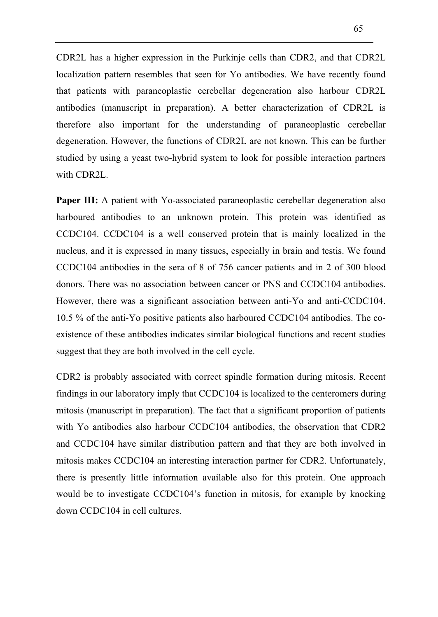CDR2L has a higher expression in the Purkinje cells than CDR2, and that CDR2L localization pattern resembles that seen for Yo antibodies. We have recently found that patients with paraneoplastic cerebellar degeneration also harbour CDR2L antibodies (manuscript in preparation). A better characterization of CDR2L is therefore also important for the understanding of paraneoplastic cerebellar degeneration. However, the functions of CDR2L are not known. This can be further studied by using a yeast two-hybrid system to look for possible interaction partners with CDR2L.

**Paper III:** A patient with Yo-associated paraneoplastic cerebellar degeneration also harboured antibodies to an unknown protein. This protein was identified as CCDC104. CCDC104 is a well conserved protein that is mainly localized in the nucleus, and it is expressed in many tissues, especially in brain and testis. We found CCDC104 antibodies in the sera of 8 of 756 cancer patients and in 2 of 300 blood donors. There was no association between cancer or PNS and CCDC104 antibodies. However, there was a significant association between anti-Yo and anti-CCDC104. 10.5 % of the anti-Yo positive patients also harboured CCDC104 antibodies. The coexistence of these antibodies indicates similar biological functions and recent studies suggest that they are both involved in the cell cycle.

CDR2 is probably associated with correct spindle formation during mitosis. Recent findings in our laboratory imply that CCDC104 is localized to the centeromers during mitosis (manuscript in preparation). The fact that a significant proportion of patients with Yo antibodies also harbour CCDC104 antibodies, the observation that CDR2 and CCDC104 have similar distribution pattern and that they are both involved in mitosis makes CCDC104 an interesting interaction partner for CDR2. Unfortunately, there is presently little information available also for this protein. One approach would be to investigate CCDC104's function in mitosis, for example by knocking down CCDC104 in cell cultures.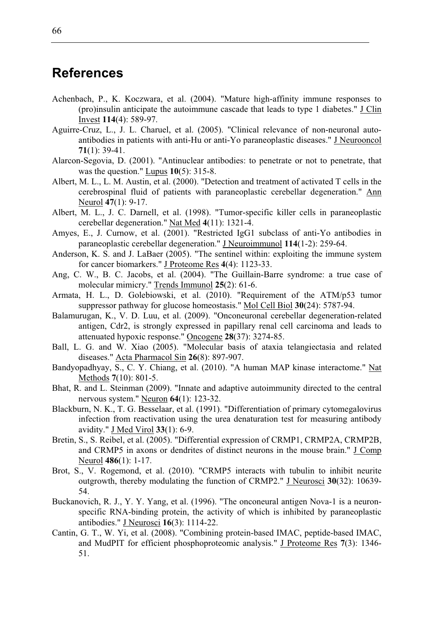# **References**

- Achenbach, P., K. Koczwara, et al. (2004). "Mature high-affinity immune responses to (pro)insulin anticipate the autoimmune cascade that leads to type 1 diabetes." J Clin Invest **114**(4): 589-97.
- Aguirre-Cruz, L., J. L. Charuel, et al. (2005). "Clinical relevance of non-neuronal autoantibodies in patients with anti-Hu or anti-Yo paraneoplastic diseases." J Neurooncol **71**(1): 39-41.
- Alarcon-Segovia, D. (2001). "Antinuclear antibodies: to penetrate or not to penetrate, that was the question." Lupus **10**(5): 315-8.
- Albert, M. L., L. M. Austin, et al. (2000). "Detection and treatment of activated T cells in the cerebrospinal fluid of patients with paraneoplastic cerebellar degeneration." Ann Neurol **47**(1): 9-17.
- Albert, M. L., J. C. Darnell, et al. (1998). "Tumor-specific killer cells in paraneoplastic cerebellar degeneration." Nat Med **4**(11): 1321-4.
- Amyes, E., J. Curnow, et al. (2001). "Restricted IgG1 subclass of anti-Yo antibodies in paraneoplastic cerebellar degeneration." J Neuroimmunol **114**(1-2): 259-64.
- Anderson, K. S. and J. LaBaer (2005). "The sentinel within: exploiting the immune system for cancer biomarkers." J Proteome Res **4**(4): 1123-33.
- Ang, C. W., B. C. Jacobs, et al. (2004). "The Guillain-Barre syndrome: a true case of molecular mimicry." Trends Immunol **25**(2): 61-6.
- Armata, H. L., D. Golebiowski, et al. (2010). "Requirement of the ATM/p53 tumor suppressor pathway for glucose homeostasis." Mol Cell Biol **30**(24): 5787-94.
- Balamurugan, K., V. D. Luu, et al. (2009). "Onconeuronal cerebellar degeneration-related antigen, Cdr2, is strongly expressed in papillary renal cell carcinoma and leads to attenuated hypoxic response." Oncogene **28**(37): 3274-85.
- Ball, L. G. and W. Xiao (2005). "Molecular basis of ataxia telangiectasia and related diseases." Acta Pharmacol Sin **26**(8): 897-907.
- Bandyopadhyay, S., C. Y. Chiang, et al. (2010). "A human MAP kinase interactome." Nat Methods **7**(10): 801-5.
- Bhat, R. and L. Steinman (2009). "Innate and adaptive autoimmunity directed to the central nervous system." Neuron **64**(1): 123-32.
- Blackburn, N. K., T. G. Besselaar, et al. (1991). "Differentiation of primary cytomegalovirus infection from reactivation using the urea denaturation test for measuring antibody avidity." J Med Virol **33**(1): 6-9.
- Bretin, S., S. Reibel, et al. (2005). "Differential expression of CRMP1, CRMP2A, CRMP2B, and CRMP5 in axons or dendrites of distinct neurons in the mouse brain." J Comp Neurol **486**(1): 1-17.
- Brot, S., V. Rogemond, et al. (2010). "CRMP5 interacts with tubulin to inhibit neurite outgrowth, thereby modulating the function of CRMP2." J Neurosci **30**(32): 10639- 54.
- Buckanovich, R. J., Y. Y. Yang, et al. (1996). "The onconeural antigen Nova-1 is a neuronspecific RNA-binding protein, the activity of which is inhibited by paraneoplastic antibodies." J Neurosci **16**(3): 1114-22.
- Cantin, G. T., W. Yi, et al. (2008). "Combining protein-based IMAC, peptide-based IMAC, and MudPIT for efficient phosphoproteomic analysis." J Proteome Res **7**(3): 1346- 51.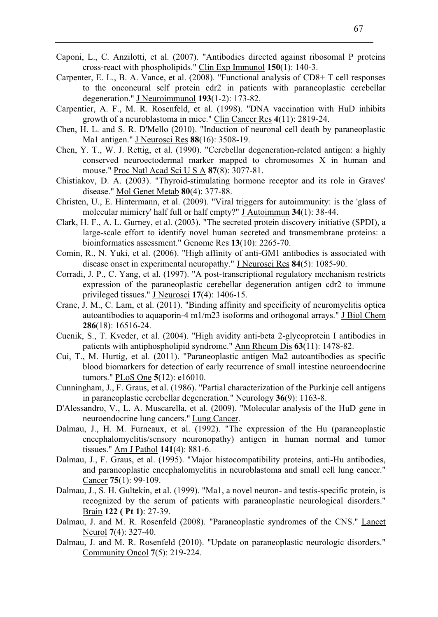- Caponi, L., C. Anzilotti, et al. (2007). "Antibodies directed against ribosomal P proteins cross-react with phospholipids." Clin Exp Immunol **150**(1): 140-3.
- Carpenter, E. L., B. A. Vance, et al. (2008). "Functional analysis of CD8+ T cell responses to the onconeural self protein cdr2 in patients with paraneoplastic cerebellar degeneration." J Neuroimmunol **193**(1-2): 173-82.
- Carpentier, A. F., M. R. Rosenfeld, et al. (1998). "DNA vaccination with HuD inhibits growth of a neuroblastoma in mice." Clin Cancer Res **4**(11): 2819-24.
- Chen, H. L. and S. R. D'Mello (2010). "Induction of neuronal cell death by paraneoplastic Ma1 antigen." J Neurosci Res **88**(16): 3508-19.
- Chen, Y. T., W. J. Rettig, et al. (1990). "Cerebellar degeneration-related antigen: a highly conserved neuroectodermal marker mapped to chromosomes X in human and mouse." Proc Natl Acad Sci U S A **87**(8): 3077-81.
- Chistiakov, D. A. (2003). "Thyroid-stimulating hormone receptor and its role in Graves' disease." Mol Genet Metab **80**(4): 377-88.
- Christen, U., E. Hintermann, et al. (2009). "Viral triggers for autoimmunity: is the 'glass of molecular mimicry' half full or half empty?" J Autoimmun **34**(1): 38-44.
- Clark, H. F., A. L. Gurney, et al. (2003). "The secreted protein discovery initiative (SPDI), a large-scale effort to identify novel human secreted and transmembrane proteins: a bioinformatics assessment." Genome Res **13**(10): 2265-70.
- Comin, R., N. Yuki, et al. (2006). "High affinity of anti-GM1 antibodies is associated with disease onset in experimental neuropathy." J Neurosci Res **84**(5): 1085-90.
- Corradi, J. P., C. Yang, et al. (1997). "A post-transcriptional regulatory mechanism restricts expression of the paraneoplastic cerebellar degeneration antigen cdr2 to immune privileged tissues." J Neurosci **17**(4): 1406-15.
- Crane, J. M., C. Lam, et al. (2011). "Binding affinity and specificity of neuromyelitis optica autoantibodies to aquaporin-4 m1/m23 isoforms and orthogonal arrays." J Biol Chem **286**(18): 16516-24.
- Cucnik, S., T. Kveder, et al. (2004). "High avidity anti-beta 2-glycoprotein I antibodies in patients with antiphospholipid syndrome." Ann Rheum Dis **63**(11): 1478-82.
- Cui, T., M. Hurtig, et al. (2011). "Paraneoplastic antigen Ma2 autoantibodies as specific blood biomarkers for detection of early recurrence of small intestine neuroendocrine tumors." PLoS One **5**(12): e16010.
- Cunningham, J., F. Graus, et al. (1986). "Partial characterization of the Purkinje cell antigens in paraneoplastic cerebellar degeneration." Neurology **36**(9): 1163-8.
- D'Alessandro, V., L. A. Muscarella, et al. (2009). "Molecular analysis of the HuD gene in neuroendocrine lung cancers." Lung Cancer.
- Dalmau, J., H. M. Furneaux, et al. (1992). "The expression of the Hu (paraneoplastic encephalomyelitis/sensory neuronopathy) antigen in human normal and tumor tissues." Am J Pathol **141**(4): 881-6.
- Dalmau, J., F. Graus, et al. (1995). "Major histocompatibility proteins, anti-Hu antibodies, and paraneoplastic encephalomyelitis in neuroblastoma and small cell lung cancer." Cancer **75**(1): 99-109.
- Dalmau, J., S. H. Gultekin, et al. (1999). "Ma1, a novel neuron- and testis-specific protein, is recognized by the serum of patients with paraneoplastic neurological disorders." Brain **122 ( Pt 1)**: 27-39.
- Dalmau, J. and M. R. Rosenfeld (2008). "Paraneoplastic syndromes of the CNS." Lancet Neurol **7**(4): 327-40.
- Dalmau, J. and M. R. Rosenfeld (2010). "Update on paraneoplastic neurologic disorders." Community Oncol **7**(5): 219-224.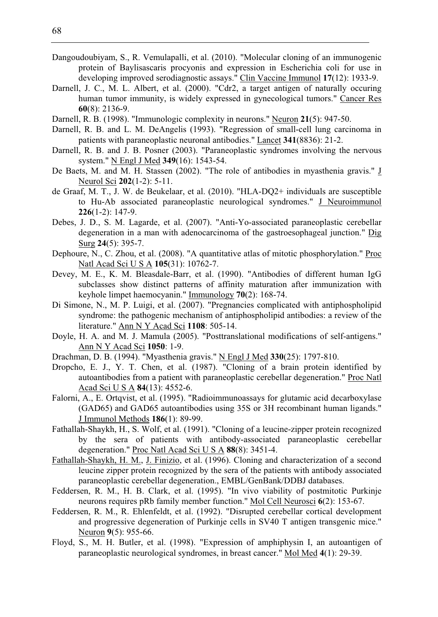- Dangoudoubiyam, S., R. Vemulapalli, et al. (2010). "Molecular cloning of an immunogenic protein of Baylisascaris procyonis and expression in Escherichia coli for use in developing improved serodiagnostic assays." Clin Vaccine Immunol **17**(12): 1933-9.
- Darnell, J. C., M. L. Albert, et al. (2000). "Cdr2, a target antigen of naturally occuring human tumor immunity, is widely expressed in gynecological tumors." Cancer Res **60**(8): 2136-9.
- Darnell, R. B. (1998). "Immunologic complexity in neurons." Neuron **21**(5): 947-50.
- Darnell, R. B. and L. M. DeAngelis (1993). "Regression of small-cell lung carcinoma in patients with paraneoplastic neuronal antibodies." Lancet **341**(8836): 21-2.
- Darnell, R. B. and J. B. Posner (2003). "Paraneoplastic syndromes involving the nervous system." N Engl J Med **349**(16): 1543-54.
- De Baets, M. and M. H. Stassen (2002). "The role of antibodies in myasthenia gravis." J Neurol Sci **202**(1-2): 5-11.
- de Graaf, M. T., J. W. de Beukelaar, et al. (2010). "HLA-DQ2+ individuals are susceptible to Hu-Ab associated paraneoplastic neurological syndromes." J Neuroimmunol **226**(1-2): 147-9.
- Debes, J. D., S. M. Lagarde, et al. (2007). "Anti-Yo-associated paraneoplastic cerebellar degeneration in a man with adenocarcinoma of the gastroesophageal junction." Dig Surg **24**(5): 395-7.
- Dephoure, N., C. Zhou, et al. (2008). "A quantitative atlas of mitotic phosphorylation." Proc Natl Acad Sci U S A **105**(31): 10762-7.
- Devey, M. E., K. M. Bleasdale-Barr, et al. (1990). "Antibodies of different human IgG subclasses show distinct patterns of affinity maturation after immunization with keyhole limpet haemocyanin." Immunology **70**(2): 168-74.
- Di Simone, N., M. P. Luigi, et al. (2007). "Pregnancies complicated with antiphospholipid syndrome: the pathogenic mechanism of antiphospholipid antibodies: a review of the literature." Ann N Y Acad Sci **1108**: 505-14.
- Doyle, H. A. and M. J. Mamula (2005). "Posttranslational modifications of self-antigens." Ann N Y Acad Sci **1050**: 1-9.
- Drachman, D. B. (1994). "Myasthenia gravis." N Engl J Med **330**(25): 1797-810.
- Dropcho, E. J., Y. T. Chen, et al. (1987). "Cloning of a brain protein identified by autoantibodies from a patient with paraneoplastic cerebellar degeneration." Proc Natl Acad Sci U S A **84**(13): 4552-6.
- Falorni, A., E. Ortqvist, et al. (1995). "Radioimmunoassays for glutamic acid decarboxylase (GAD65) and GAD65 autoantibodies using 35S or 3H recombinant human ligands." J Immunol Methods **186**(1): 89-99.
- Fathallah-Shaykh, H., S. Wolf, et al. (1991). "Cloning of a leucine-zipper protein recognized by the sera of patients with antibody-associated paraneoplastic cerebellar degeneration." Proc Natl Acad Sci U S A **88**(8): 3451-4.
- Fathallah-Shaykh, H. M., J. Finizio, et al. (1996). Cloning and characterization of a second leucine zipper protein recognized by the sera of the patients with antibody associated paraneoplastic cerebellar degeneration., EMBL/GenBank/DDBJ databases.
- Feddersen, R. M., H. B. Clark, et al. (1995). "In vivo viability of postmitotic Purkinje neurons requires pRb family member function." Mol Cell Neurosci **6**(2): 153-67.
- Feddersen, R. M., R. Ehlenfeldt, et al. (1992). "Disrupted cerebellar cortical development and progressive degeneration of Purkinje cells in SV40 T antigen transgenic mice." Neuron **9**(5): 955-66.
- Floyd, S., M. H. Butler, et al. (1998). "Expression of amphiphysin I, an autoantigen of paraneoplastic neurological syndromes, in breast cancer." Mol Med **4**(1): 29-39.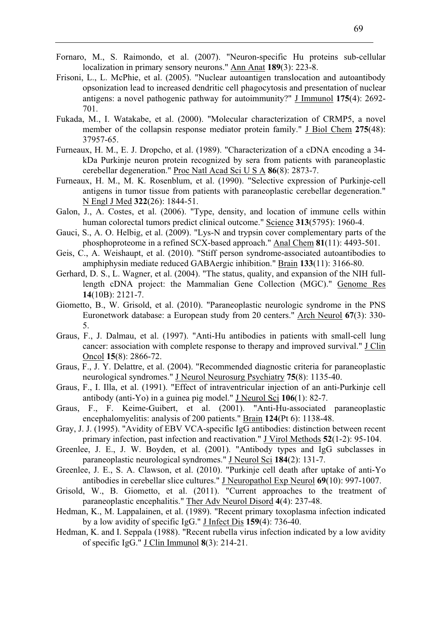- Fornaro, M., S. Raimondo, et al. (2007). "Neuron-specific Hu proteins sub-cellular localization in primary sensory neurons." Ann Anat **189**(3): 223-8.
- Frisoni, L., L. McPhie, et al. (2005). "Nuclear autoantigen translocation and autoantibody opsonization lead to increased dendritic cell phagocytosis and presentation of nuclear antigens: a novel pathogenic pathway for autoimmunity?" J Immunol **175**(4): 2692- 701.
- Fukada, M., I. Watakabe, et al. (2000). "Molecular characterization of CRMP5, a novel member of the collapsin response mediator protein family." J Biol Chem **275**(48): 37957-65.
- Furneaux, H. M., E. J. Dropcho, et al. (1989). "Characterization of a cDNA encoding a 34 kDa Purkinje neuron protein recognized by sera from patients with paraneoplastic cerebellar degeneration." Proc Natl Acad Sci U S A **86**(8): 2873-7.
- Furneaux, H. M., M. K. Rosenblum, et al. (1990). "Selective expression of Purkinje-cell antigens in tumor tissue from patients with paraneoplastic cerebellar degeneration." N Engl J Med **322**(26): 1844-51.
- Galon, J., A. Costes, et al. (2006). "Type, density, and location of immune cells within human colorectal tumors predict clinical outcome." Science **313**(5795): 1960-4.
- Gauci, S., A. O. Helbig, et al. (2009). "Lys-N and trypsin cover complementary parts of the phosphoproteome in a refined SCX-based approach." Anal Chem **81**(11): 4493-501.
- Geis, C., A. Weishaupt, et al. (2010). "Stiff person syndrome-associated autoantibodies to amphiphysin mediate reduced GABAergic inhibition." Brain **133**(11): 3166-80.
- Gerhard, D. S., L. Wagner, et al. (2004). "The status, quality, and expansion of the NIH fulllength cDNA project: the Mammalian Gene Collection (MGC)." Genome Res **14**(10B): 2121-7.
- Giometto, B., W. Grisold, et al. (2010). "Paraneoplastic neurologic syndrome in the PNS Euronetwork database: a European study from 20 centers." Arch Neurol **67**(3): 330- 5.
- Graus, F., J. Dalmau, et al. (1997). "Anti-Hu antibodies in patients with small-cell lung cancer: association with complete response to therapy and improved survival." **J** Clin Oncol **15**(8): 2866-72.
- Graus, F., J. Y. Delattre, et al. (2004). "Recommended diagnostic criteria for paraneoplastic neurological syndromes." J Neurol Neurosurg Psychiatry **75**(8): 1135-40.
- Graus, F., I. Illa, et al. (1991). "Effect of intraventricular injection of an anti-Purkinje cell antibody (anti-Yo) in a guinea pig model." J Neurol Sci **106**(1): 82-7.
- Graus, F., F. Keime-Guibert, et al. (2001). "Anti-Hu-associated paraneoplastic encephalomyelitis: analysis of 200 patients." Brain **124**(Pt 6): 1138-48.
- Gray, J. J. (1995). "Avidity of EBV VCA-specific IgG antibodies: distinction between recent primary infection, past infection and reactivation." J Virol Methods **52**(1-2): 95-104.
- Greenlee, J. E., J. W. Boyden, et al. (2001). "Antibody types and IgG subclasses in paraneoplastic neurological syndromes." J Neurol Sci **184**(2): 131-7.
- Greenlee, J. E., S. A. Clawson, et al. (2010). "Purkinje cell death after uptake of anti-Yo antibodies in cerebellar slice cultures." J Neuropathol Exp Neurol **69**(10): 997-1007.
- Grisold, W., B. Giometto, et al. (2011). "Current approaches to the treatment of paraneoplastic encephalitis." Ther Adv Neurol Disord **4**(4): 237-48.
- Hedman, K., M. Lappalainen, et al. (1989). "Recent primary toxoplasma infection indicated by a low avidity of specific IgG." J Infect Dis **159**(4): 736-40.
- Hedman, K. and I. Seppala (1988). "Recent rubella virus infection indicated by a low avidity of specific IgG." J Clin Immunol **8**(3): 214-21.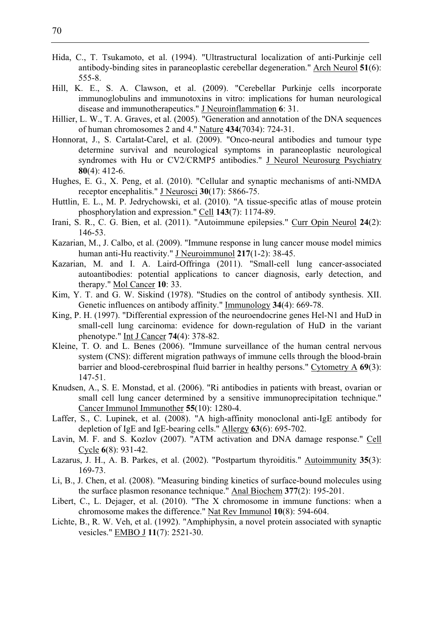- Hida, C., T. Tsukamoto, et al. (1994). "Ultrastructural localization of anti-Purkinje cell antibody-binding sites in paraneoplastic cerebellar degeneration." Arch Neurol **51**(6): 555-8.
- Hill, K. E., S. A. Clawson, et al. (2009). "Cerebellar Purkinje cells incorporate immunoglobulins and immunotoxins in vitro: implications for human neurological disease and immunotherapeutics." J Neuroinflammation **6**: 31.
- Hillier, L. W., T. A. Graves, et al. (2005). "Generation and annotation of the DNA sequences of human chromosomes 2 and 4." Nature **434**(7034): 724-31.
- Honnorat, J., S. Cartalat-Carel, et al. (2009). "Onco-neural antibodies and tumour type determine survival and neurological symptoms in paraneoplastic neurological syndromes with Hu or CV2/CRMP5 antibodies." J Neurol Neurosurg Psychiatry **80**(4): 412-6.
- Hughes, E. G., X. Peng, et al. (2010). "Cellular and synaptic mechanisms of anti-NMDA receptor encephalitis." J Neurosci **30**(17): 5866-75.
- Huttlin, E. L., M. P. Jedrychowski, et al. (2010). "A tissue-specific atlas of mouse protein phosphorylation and expression." Cell **143**(7): 1174-89.
- Irani, S. R., C. G. Bien, et al. (2011). "Autoimmune epilepsies." Curr Opin Neurol **24**(2): 146-53.
- Kazarian, M., J. Calbo, et al. (2009). "Immune response in lung cancer mouse model mimics human anti-Hu reactivity." J Neuroimmunol **217**(1-2): 38-45.
- Kazarian, M. and I. A. Laird-Offringa (2011). "Small-cell lung cancer-associated autoantibodies: potential applications to cancer diagnosis, early detection, and therapy." Mol Cancer **10**: 33.
- Kim, Y. T. and G. W. Siskind (1978). "Studies on the control of antibody synthesis. XII. Genetic influences on antibody affinity." Immunology **34**(4): 669-78.
- King, P. H. (1997). "Differential expression of the neuroendocrine genes Hel-N1 and HuD in small-cell lung carcinoma: evidence for down-regulation of HuD in the variant phenotype." Int J Cancer **74**(4): 378-82.
- Kleine, T. O. and L. Benes (2006). "Immune surveillance of the human central nervous system (CNS): different migration pathways of immune cells through the blood-brain barrier and blood-cerebrospinal fluid barrier in healthy persons." Cytometry A **69**(3): 147-51.
- Knudsen, A., S. E. Monstad, et al. (2006). "Ri antibodies in patients with breast, ovarian or small cell lung cancer determined by a sensitive immunoprecipitation technique." Cancer Immunol Immunother **55**(10): 1280-4.
- Laffer, S., C. Lupinek, et al. (2008). "A high-affinity monoclonal anti-IgE antibody for depletion of IgE and IgE-bearing cells." Allergy **63**(6): 695-702.
- Lavin, M. F. and S. Kozlov (2007). "ATM activation and DNA damage response." Cell Cycle **6**(8): 931-42.
- Lazarus, J. H., A. B. Parkes, et al. (2002). "Postpartum thyroiditis." Autoimmunity **35**(3): 169-73.
- Li, B., J. Chen, et al. (2008). "Measuring binding kinetics of surface-bound molecules using the surface plasmon resonance technique." Anal Biochem **377**(2): 195-201.
- Libert, C., L. Dejager, et al. (2010). "The X chromosome in immune functions: when a chromosome makes the difference." Nat Rev Immunol **10**(8): 594-604.
- Lichte, B., R. W. Veh, et al. (1992). "Amphiphysin, a novel protein associated with synaptic vesicles." EMBO J **11**(7): 2521-30.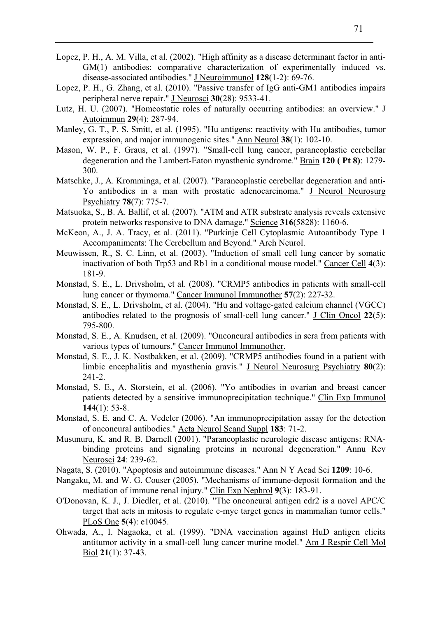- Lopez, P. H., A. M. Villa, et al. (2002). "High affinity as a disease determinant factor in anti-GM(1) antibodies: comparative characterization of experimentally induced vs. disease-associated antibodies." J Neuroimmunol **128**(1-2): 69-76.
- Lopez, P. H., G. Zhang, et al. (2010). "Passive transfer of IgG anti-GM1 antibodies impairs peripheral nerve repair." J Neurosci **30**(28): 9533-41.
- Lutz, H. U. (2007). "Homeostatic roles of naturally occurring antibodies: an overview." **J** Autoimmun **29**(4): 287-94.
- Manley, G. T., P. S. Smitt, et al. (1995). "Hu antigens: reactivity with Hu antibodies, tumor expression, and major immunogenic sites." Ann Neurol **38**(1): 102-10.
- Mason, W. P., F. Graus, et al. (1997). "Small-cell lung cancer, paraneoplastic cerebellar degeneration and the Lambert-Eaton myasthenic syndrome." Brain **120 ( Pt 8)**: 1279- 300.
- Matschke, J., A. Kromminga, et al. (2007). "Paraneoplastic cerebellar degeneration and anti-Yo antibodies in a man with prostatic adenocarcinoma." J Neurol Neurosurg Psychiatry **78**(7): 775-7.
- Matsuoka, S., B. A. Ballif, et al. (2007). "ATM and ATR substrate analysis reveals extensive protein networks responsive to DNA damage." Science **316**(5828): 1160-6.
- McKeon, A., J. A. Tracy, et al. (2011). "Purkinje Cell Cytoplasmic Autoantibody Type 1 Accompaniments: The Cerebellum and Beyond." Arch Neurol.
- Meuwissen, R., S. C. Linn, et al. (2003). "Induction of small cell lung cancer by somatic inactivation of both Trp53 and Rb1 in a conditional mouse model." Cancer Cell **4**(3): 181-9.
- Monstad, S. E., L. Drivsholm, et al. (2008). "CRMP5 antibodies in patients with small-cell lung cancer or thymoma." Cancer Immunol Immunother **57**(2): 227-32.
- Monstad, S. E., L. Drivsholm, et al. (2004). "Hu and voltage-gated calcium channel (VGCC) antibodies related to the prognosis of small-cell lung cancer." J Clin Oncol **22**(5): 795-800.
- Monstad, S. E., A. Knudsen, et al. (2009). "Onconeural antibodies in sera from patients with various types of tumours." Cancer Immunol Immunother.
- Monstad, S. E., J. K. Nostbakken, et al. (2009). "CRMP5 antibodies found in a patient with limbic encephalitis and myasthenia gravis." J Neurol Neurosurg Psychiatry **80**(2): 241-2.
- Monstad, S. E., A. Storstein, et al. (2006). "Yo antibodies in ovarian and breast cancer patients detected by a sensitive immunoprecipitation technique." Clin Exp Immunol **144**(1): 53-8.
- Monstad, S. E. and C. A. Vedeler (2006). "An immunoprecipitation assay for the detection of onconeural antibodies." Acta Neurol Scand Suppl **183**: 71-2.
- Musunuru, K. and R. B. Darnell (2001). "Paraneoplastic neurologic disease antigens: RNAbinding proteins and signaling proteins in neuronal degeneration." Annu Rev Neurosci **24**: 239-62.
- Nagata, S. (2010). "Apoptosis and autoimmune diseases." Ann N Y Acad Sci **1209**: 10-6.
- Nangaku, M. and W. G. Couser (2005). "Mechanisms of immune-deposit formation and the mediation of immune renal injury." Clin Exp Nephrol **9**(3): 183-91.
- O'Donovan, K. J., J. Diedler, et al. (2010). "The onconeural antigen cdr2 is a novel APC/C target that acts in mitosis to regulate c-myc target genes in mammalian tumor cells." PLoS One **5**(4): e10045.
- Ohwada, A., I. Nagaoka, et al. (1999). "DNA vaccination against HuD antigen elicits antitumor activity in a small-cell lung cancer murine model." Am J Respir Cell Mol Biol **21**(1): 37-43.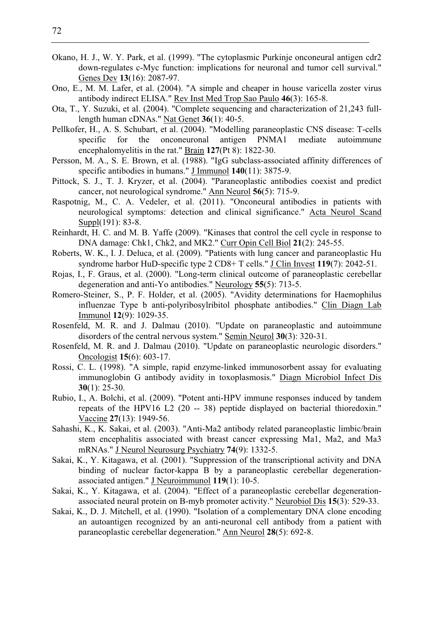- Okano, H. J., W. Y. Park, et al. (1999). "The cytoplasmic Purkinje onconeural antigen cdr2 down-regulates c-Myc function: implications for neuronal and tumor cell survival." Genes Dev **13**(16): 2087-97.
- Ono, E., M. M. Lafer, et al. (2004). "A simple and cheaper in house varicella zoster virus antibody indirect ELISA." Rev Inst Med Trop Sao Paulo **46**(3): 165-8.
- Ota, T., Y. Suzuki, et al. (2004). "Complete sequencing and characterization of 21,243 fulllength human cDNAs." Nat Genet **36**(1): 40-5.
- Pellkofer, H., A. S. Schubart, et al. (2004). "Modelling paraneoplastic CNS disease: T-cells specific for the onconeuronal antigen PNMA1 mediate autoimmune encephalomyelitis in the rat." Brain **127**(Pt 8): 1822-30.
- Persson, M. A., S. E. Brown, et al. (1988). "IgG subclass-associated affinity differences of specific antibodies in humans." J Immunol **140**(11): 3875-9.
- Pittock, S. J., T. J. Kryzer, et al. (2004). "Paraneoplastic antibodies coexist and predict cancer, not neurological syndrome." Ann Neurol **56**(5): 715-9.
- Raspotnig, M., C. A. Vedeler, et al. (2011). "Onconeural antibodies in patients with neurological symptoms: detection and clinical significance." Acta Neurol Scand Suppl(191): 83-8.
- Reinhardt, H. C. and M. B. Yaffe (2009). "Kinases that control the cell cycle in response to DNA damage: Chk1, Chk2, and MK2." Curr Opin Cell Biol **21**(2): 245-55.
- Roberts, W. K., I. J. Deluca, et al. (2009). "Patients with lung cancer and paraneoplastic Hu syndrome harbor HuD-specific type 2 CD8+ T cells." J Clin Invest **119**(7): 2042-51.
- Rojas, I., F. Graus, et al. (2000). "Long-term clinical outcome of paraneoplastic cerebellar degeneration and anti-Yo antibodies." Neurology **55**(5): 713-5.
- Romero-Steiner, S., P. F. Holder, et al. (2005). "Avidity determinations for Haemophilus influenzae Type b anti-polyribosylribitol phosphate antibodies." Clin Diagn Lab Immunol **12**(9): 1029-35.
- Rosenfeld, M. R. and J. Dalmau (2010). "Update on paraneoplastic and autoimmune disorders of the central nervous system." Semin Neurol **30**(3): 320-31.
- Rosenfeld, M. R. and J. Dalmau (2010). "Update on paraneoplastic neurologic disorders." Oncologist **15**(6): 603-17.
- Rossi, C. L. (1998). "A simple, rapid enzyme-linked immunosorbent assay for evaluating immunoglobin G antibody avidity in toxoplasmosis." Diagn Microbiol Infect Dis **30**(1): 25-30.
- Rubio, I., A. Bolchi, et al. (2009). "Potent anti-HPV immune responses induced by tandem repeats of the HPV16 L2 (20 -- 38) peptide displayed on bacterial thioredoxin." Vaccine **27**(13): 1949-56.
- Sahashi, K., K. Sakai, et al. (2003). "Anti-Ma2 antibody related paraneoplastic limbic/brain stem encephalitis associated with breast cancer expressing Ma1, Ma2, and Ma3 mRNAs." J Neurol Neurosurg Psychiatry **74**(9): 1332-5.
- Sakai, K., Y. Kitagawa, et al. (2001). "Suppression of the transcriptional activity and DNA binding of nuclear factor-kappa B by a paraneoplastic cerebellar degenerationassociated antigen." J Neuroimmunol **119**(1): 10-5.
- Sakai, K., Y. Kitagawa, et al. (2004). "Effect of a paraneoplastic cerebellar degenerationassociated neural protein on B-myb promoter activity." Neurobiol Dis **15**(3): 529-33.
- Sakai, K., D. J. Mitchell, et al. (1990). "Isolation of a complementary DNA clone encoding an autoantigen recognized by an anti-neuronal cell antibody from a patient with paraneoplastic cerebellar degeneration." Ann Neurol **28**(5): 692-8.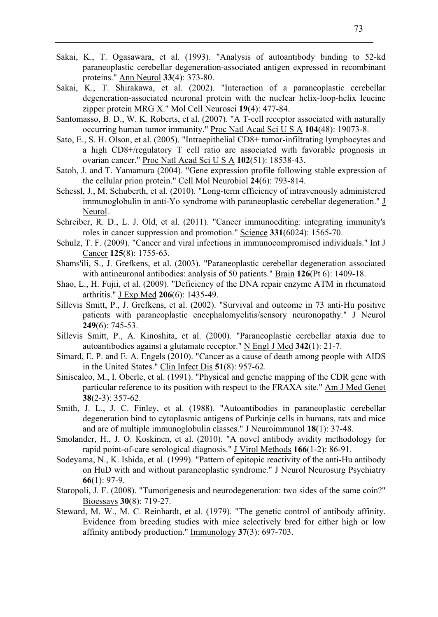- Sakai, K., T. Ogasawara, et al. (1993). "Analysis of autoantibody binding to 52-kd paraneoplastic cerebellar degeneration-associated antigen expressed in recombinant proteins." Ann Neurol **33**(4): 373-80.
- Sakai, K., T. Shirakawa, et al. (2002). "Interaction of a paraneoplastic cerebellar degeneration-associated neuronal protein with the nuclear helix-loop-helix leucine zipper protein MRG X." Mol Cell Neurosci **19**(4): 477-84.
- Santomasso, B. D., W. K. Roberts, et al. (2007). "A T-cell receptor associated with naturally occurring human tumor immunity." Proc Natl Acad Sci U S A **104**(48): 19073-8.
- Sato, E., S. H. Olson, et al. (2005). "Intraepithelial CD8+ tumor-infiltrating lymphocytes and a high CD8+/regulatory T cell ratio are associated with favorable prognosis in ovarian cancer." Proc Natl Acad Sci U S A **102**(51): 18538-43.
- Satoh, J. and T. Yamamura (2004). "Gene expression profile following stable expression of the cellular prion protein." Cell Mol Neurobiol **24**(6): 793-814.
- Schessl, J., M. Schuberth, et al. (2010). "Long-term efficiency of intravenously administered immunoglobulin in anti-Yo syndrome with paraneoplastic cerebellar degeneration." J Neurol.
- Schreiber, R. D., L. J. Old, et al. (2011). "Cancer immunoediting: integrating immunity's roles in cancer suppression and promotion." Science **331**(6024): 1565-70.
- Schulz, T. F. (2009). "Cancer and viral infections in immunocompromised individuals." Int J Cancer **125**(8): 1755-63.
- Shams'ili, S., J. Grefkens, et al. (2003). "Paraneoplastic cerebellar degeneration associated with antineuronal antibodies: analysis of 50 patients." Brain **126**(Pt 6): 1409-18.
- Shao, L., H. Fujii, et al. (2009). "Deficiency of the DNA repair enzyme ATM in rheumatoid arthritis." J Exp Med **206**(6): 1435-49.
- Sillevis Smitt, P., J. Grefkens, et al. (2002). "Survival and outcome in 73 anti-Hu positive patients with paraneoplastic encephalomyelitis/sensory neuronopathy." J Neurol **249**(6): 745-53.
- Sillevis Smitt, P., A. Kinoshita, et al. (2000). "Paraneoplastic cerebellar ataxia due to autoantibodies against a glutamate receptor." N Engl J Med **342**(1): 21-7.
- Simard, E. P. and E. A. Engels (2010). "Cancer as a cause of death among people with AIDS in the United States." Clin Infect Dis **51**(8): 957-62.
- Siniscalco, M., I. Oberle, et al. (1991). "Physical and genetic mapping of the CDR gene with particular reference to its position with respect to the FRAXA site." Am J Med Genet **38**(2-3): 357-62.
- Smith, J. L., J. C. Finley, et al. (1988). "Autoantibodies in paraneoplastic cerebellar degeneration bind to cytoplasmic antigens of Purkinje cells in humans, rats and mice and are of multiple immunoglobulin classes." J Neuroimmunol **18**(1): 37-48.
- Smolander, H., J. O. Koskinen, et al. (2010). "A novel antibody avidity methodology for rapid point-of-care serological diagnosis." J Virol Methods **166**(1-2): 86-91.
- Sodeyama, N., K. Ishida, et al. (1999). "Pattern of epitopic reactivity of the anti-Hu antibody on HuD with and without paraneoplastic syndrome." J Neurol Neurosurg Psychiatry **66**(1): 97-9.
- Staropoli, J. F. (2008). "Tumorigenesis and neurodegeneration: two sides of the same coin?" Bioessays **30**(8): 719-27.
- Steward, M. W., M. C. Reinhardt, et al. (1979). "The genetic control of antibody affinity. Evidence from breeding studies with mice selectively bred for either high or low affinity antibody production." Immunology **37**(3): 697-703.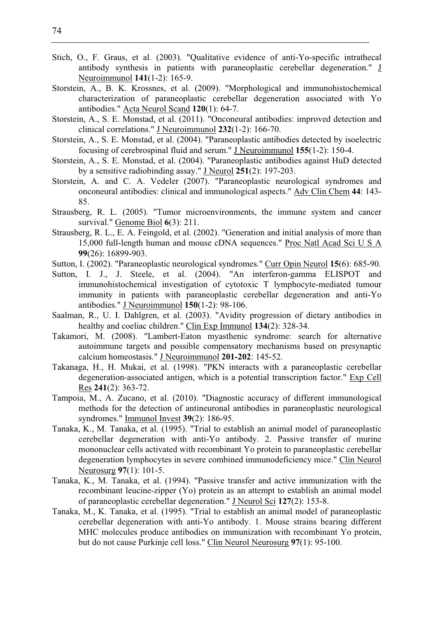- Stich, O., F. Graus, et al. (2003). "Qualitative evidence of anti-Yo-specific intrathecal antibody synthesis in patients with paraneoplastic cerebellar degeneration." J Neuroimmunol **141**(1-2): 165-9.
- Storstein, A., B. K. Krossnes, et al. (2009). "Morphological and immunohistochemical characterization of paraneoplastic cerebellar degeneration associated with Yo antibodies." Acta Neurol Scand **120**(1): 64-7.
- Storstein, A., S. E. Monstad, et al. (2011). "Onconeural antibodies: improved detection and clinical correlations." J Neuroimmunol **232**(1-2): 166-70.
- Storstein, A., S. E. Monstad, et al. (2004). "Paraneoplastic antibodies detected by isoelectric focusing of cerebrospinal fluid and serum." J Neuroimmunol **155**(1-2): 150-4.
- Storstein, A., S. E. Monstad, et al. (2004). "Paraneoplastic antibodies against HuD detected by a sensitive radiobinding assay." J Neurol **251**(2): 197-203.
- Storstein, A. and C. A. Vedeler (2007). "Paraneoplastic neurological syndromes and onconeural antibodies: clinical and immunological aspects." Adv Clin Chem **44**: 143- 85.
- Strausberg, R. L. (2005). "Tumor microenvironments, the immune system and cancer survival." Genome Biol **6**(3): 211.
- Strausberg, R. L., E. A. Feingold, et al. (2002). "Generation and initial analysis of more than 15,000 full-length human and mouse cDNA sequences." Proc Natl Acad Sci U S A **99**(26): 16899-903.
- Sutton, I. (2002). "Paraneoplastic neurological syndromes." Curr Opin Neurol **15**(6): 685-90.
- Sutton, I. J., J. Steele, et al. (2004). "An interferon-gamma ELISPOT and immunohistochemical investigation of cytotoxic T lymphocyte-mediated tumour immunity in patients with paraneoplastic cerebellar degeneration and anti-Yo antibodies." J Neuroimmunol **150**(1-2): 98-106.
- Saalman, R., U. I. Dahlgren, et al. (2003). "Avidity progression of dietary antibodies in healthy and coeliac children." Clin Exp Immunol **134**(2): 328-34.
- Takamori, M. (2008). "Lambert-Eaton myasthenic syndrome: search for alternative autoimmune targets and possible compensatory mechanisms based on presynaptic calcium homeostasis." J Neuroimmunol **201-202**: 145-52.
- Takanaga, H., H. Mukai, et al. (1998). "PKN interacts with a paraneoplastic cerebellar degeneration-associated antigen, which is a potential transcription factor." Exp Cell Res **241**(2): 363-72.
- Tampoia, M., A. Zucano, et al. (2010). "Diagnostic accuracy of different immunological methods for the detection of antineuronal antibodies in paraneoplastic neurological syndromes." Immunol Invest **39**(2): 186-95.
- Tanaka, K., M. Tanaka, et al. (1995). "Trial to establish an animal model of paraneoplastic cerebellar degeneration with anti-Yo antibody. 2. Passive transfer of murine mononuclear cells activated with recombinant Yo protein to paraneoplastic cerebellar degeneration lymphocytes in severe combined immunodeficiency mice." Clin Neurol Neurosurg **97**(1): 101-5.
- Tanaka, K., M. Tanaka, et al. (1994). "Passive transfer and active immunization with the recombinant leucine-zipper (Yo) protein as an attempt to establish an animal model of paraneoplastic cerebellar degeneration." J Neurol Sci **127**(2): 153-8.
- Tanaka, M., K. Tanaka, et al. (1995). "Trial to establish an animal model of paraneoplastic cerebellar degeneration with anti-Yo antibody. 1. Mouse strains bearing different MHC molecules produce antibodies on immunization with recombinant Yo protein, but do not cause Purkinje cell loss." Clin Neurol Neurosurg **97**(1): 95-100.